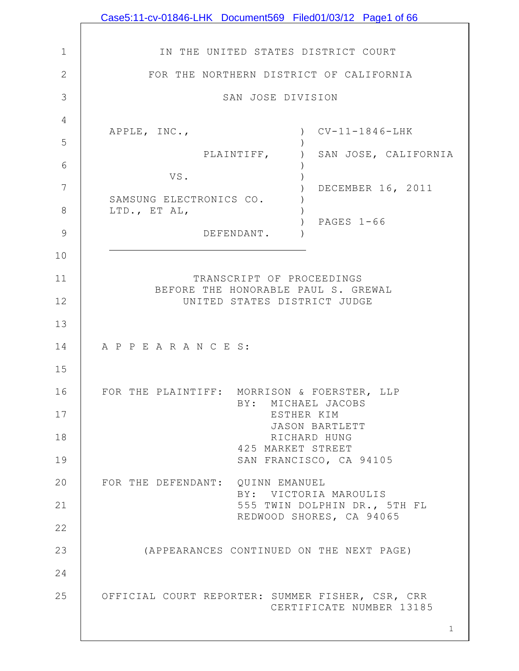|                | Case5:11-cv-01846-LHK Document569 Filed01/03/12 Page1 of 66                  |
|----------------|------------------------------------------------------------------------------|
|                |                                                                              |
| $\mathbf{1}$   | IN THE UNITED STATES DISTRICT COURT                                          |
| $\overline{2}$ | FOR THE NORTHERN DISTRICT OF CALIFORNIA                                      |
| 3              | SAN JOSE DIVISION                                                            |
| 4              |                                                                              |
| 5              | $CV-11-1846-LHK$<br>APPLE, INC.,                                             |
| 6              | PLAINTIFF,<br>SAN JOSE, CALIFORNIA                                           |
| 7              | VS.<br>DECEMBER 16, 2011                                                     |
| 8              | SAMSUNG ELECTRONICS CO.<br>LTD., ET AL,                                      |
| 9              | PAGES $1-66$<br>DEFENDANT.                                                   |
| 10             |                                                                              |
| 11             | TRANSCRIPT OF PROCEEDINGS                                                    |
| 12             | BEFORE THE HONORABLE PAUL S. GREWAL<br>UNITED STATES DISTRICT JUDGE          |
| 13             |                                                                              |
| 14             | A P P E A R A N C E S:                                                       |
| 15             |                                                                              |
| 16             | FOR THE PLAINTIFF: MORRISON & FOERSTER, LLP                                  |
| 17             | BY: MICHAEL JACOBS<br>ESTHER KIM                                             |
| 18             | JASON BARTLETT<br>RICHARD HUNG                                               |
| 19             | 425 MARKET STREET<br>SAN FRANCISCO, CA 94105                                 |
| 20             | FOR THE DEFENDANT: QUINN EMANUEL                                             |
| 21             | BY: VICTORIA MAROULIS<br>555 TWIN DOLPHIN DR., 5TH FL                        |
| 22             | REDWOOD SHORES, CA 94065                                                     |
| 23             | (APPEARANCES CONTINUED ON THE NEXT PAGE)                                     |
| 24             |                                                                              |
| 25             | OFFICIAL COURT REPORTER: SUMMER FISHER, CSR, CRR<br>CERTIFICATE NUMBER 13185 |
|                | $\mathbf 1$                                                                  |

 $\mathbf l$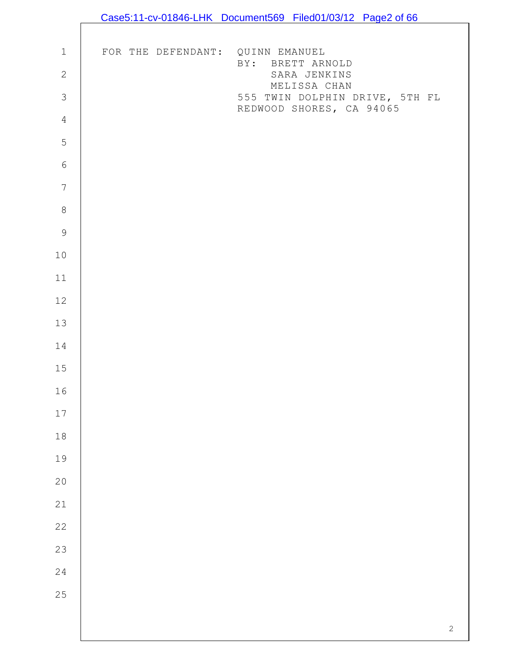|                            |                                  | Case5:11-cv-01846-LHK Document569 Filed01/03/12 Page2 of 66 |            |
|----------------------------|----------------------------------|-------------------------------------------------------------|------------|
|                            |                                  |                                                             |            |
| $\ensuremath{\mathbbm{1}}$ | FOR THE DEFENDANT: QUINN EMANUEL |                                                             |            |
| $\mathbf{2}$               |                                  | BY: BRETT ARNOLD<br>SARA JENKINS                            |            |
| $\mathfrak{Z}$             |                                  | MELISSA CHAN<br>555 TWIN DOLPHIN DRIVE, 5TH FL              |            |
| $\overline{4}$             |                                  | REDWOOD SHORES, CA 94065                                    |            |
| 5                          |                                  |                                                             |            |
| $\sqrt{6}$                 |                                  |                                                             |            |
| $\boldsymbol{7}$           |                                  |                                                             |            |
| $\,8\,$                    |                                  |                                                             |            |
| $\mathsf 9$                |                                  |                                                             |            |
| $10$                       |                                  |                                                             |            |
| $11$                       |                                  |                                                             |            |
| $12$                       |                                  |                                                             |            |
| 13                         |                                  |                                                             |            |
| 14                         |                                  |                                                             |            |
| $15\,$                     |                                  |                                                             |            |
| 16                         |                                  |                                                             |            |
| $17\,$                     |                                  |                                                             |            |
| $18\,$                     |                                  |                                                             |            |
| 19                         |                                  |                                                             |            |
| $20$                       |                                  |                                                             |            |
| 21                         |                                  |                                                             |            |
| 22                         |                                  |                                                             |            |
| 23                         |                                  |                                                             |            |
| 24                         |                                  |                                                             |            |
| 25                         |                                  |                                                             |            |
|                            |                                  |                                                             |            |
|                            |                                  |                                                             | $\sqrt{2}$ |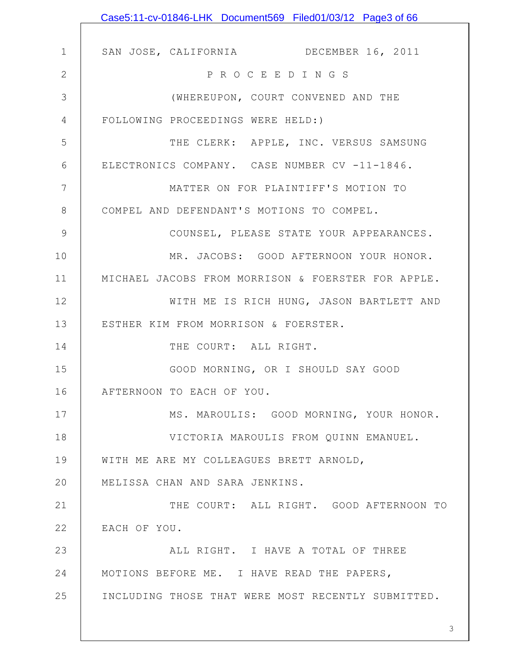|              | Case5:11-cv-01846-LHK Document569 Filed01/03/12 Page3 of 66 |
|--------------|-------------------------------------------------------------|
|              |                                                             |
| 1            | SAN JOSE, CALIFORNIA DECEMBER 16, 2011                      |
| $\mathbf{2}$ | P R O C E E D I N G S                                       |
| 3            | (WHEREUPON, COURT CONVENED AND THE                          |
| 4            | FOLLOWING PROCEEDINGS WERE HELD:)                           |
| 5            | THE CLERK: APPLE, INC. VERSUS SAMSUNG                       |
| 6            | ELECTRONICS COMPANY. CASE NUMBER CV -11-1846.               |
| 7            | MATTER ON FOR PLAINTIFF'S MOTION TO                         |
| 8            | COMPEL AND DEFENDANT'S MOTIONS TO COMPEL.                   |
| 9            | COUNSEL, PLEASE STATE YOUR APPEARANCES.                     |
| 10           | MR. JACOBS: GOOD AFTERNOON YOUR HONOR.                      |
| 11           | MICHAEL JACOBS FROM MORRISON & FOERSTER FOR APPLE.          |
| 12           | WITH ME IS RICH HUNG, JASON BARTLETT AND                    |
| 13           | ESTHER KIM FROM MORRISON & FOERSTER.                        |
| 14           | THE COURT: ALL RIGHT.                                       |
| 15           | GOOD MORNING, OR I SHOULD SAY GOOD                          |
| 16           | AFTERNOON TO EACH OF YOU.                                   |
| 17           | MS. MAROULIS: GOOD MORNING, YOUR HONOR.                     |
| 18           | VICTORIA MAROULIS FROM QUINN EMANUEL.                       |
| 19           | WITH ME ARE MY COLLEAGUES BRETT ARNOLD,                     |
| 20           | MELISSA CHAN AND SARA JENKINS.                              |
| 21           | THE COURT: ALL RIGHT. GOOD AFTERNOON TO                     |
| 22           | EACH OF YOU.                                                |
| 23           | ALL RIGHT. I HAVE A TOTAL OF THREE                          |
| 24           | MOTIONS BEFORE ME. I HAVE READ THE PAPERS,                  |
| 25           | INCLUDING THOSE THAT WERE MOST RECENTLY SUBMITTED.          |
|              |                                                             |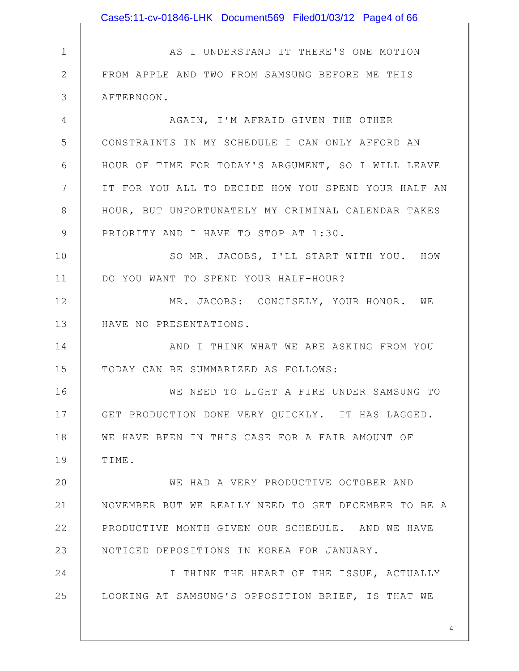|              | Case5:11-cv-01846-LHK Document569 Filed01/03/12 Page4 of 66 |
|--------------|-------------------------------------------------------------|
|              |                                                             |
| $\mathbf 1$  | AS I UNDERSTAND IT THERE'S ONE MOTION                       |
| $\mathbf{2}$ | FROM APPLE AND TWO FROM SAMSUNG BEFORE ME THIS              |
| 3            | AFTERNOON.                                                  |
| 4            | AGAIN, I'M AFRAID GIVEN THE OTHER                           |
| 5            | CONSTRAINTS IN MY SCHEDULE I CAN ONLY AFFORD AN             |
| 6            | HOUR OF TIME FOR TODAY'S ARGUMENT, SO I WILL LEAVE          |
| 7            | IT FOR YOU ALL TO DECIDE HOW YOU SPEND YOUR HALF AN         |
| 8            | HOUR, BUT UNFORTUNATELY MY CRIMINAL CALENDAR TAKES          |
| 9            | PRIORITY AND I HAVE TO STOP AT 1:30.                        |
| 10           | SO MR. JACOBS, I'LL START WITH YOU. HOW                     |
| 11           | DO YOU WANT TO SPEND YOUR HALF-HOUR?                        |
| 12           | MR. JACOBS: CONCISELY, YOUR HONOR. WE                       |
| 13           | HAVE NO PRESENTATIONS.                                      |
| 14           | AND I THINK WHAT WE ARE ASKING FROM YOU                     |
| 15           | TODAY CAN BE SUMMARIZED AS FOLLOWS:                         |
| 16           | WE NEED TO LIGHT A FIRE UNDER SAMSUNG TO                    |
| 17           | GET PRODUCTION DONE VERY QUICKLY. IT HAS LAGGED.            |
| 18           | WE HAVE BEEN IN THIS CASE FOR A FAIR AMOUNT OF              |
| 19           | TIME.                                                       |
| 20           | WE HAD A VERY PRODUCTIVE OCTOBER AND                        |
| 21           | NOVEMBER BUT WE REALLY NEED TO GET DECEMBER TO BE A         |
| 22           | PRODUCTIVE MONTH GIVEN OUR SCHEDULE. AND WE HAVE            |
| 23           | NOTICED DEPOSITIONS IN KOREA FOR JANUARY.                   |
| 24           | I THINK THE HEART OF THE ISSUE, ACTUALLY                    |
| 25           | LOOKING AT SAMSUNG'S OPPOSITION BRIEF, IS THAT WE           |
|              |                                                             |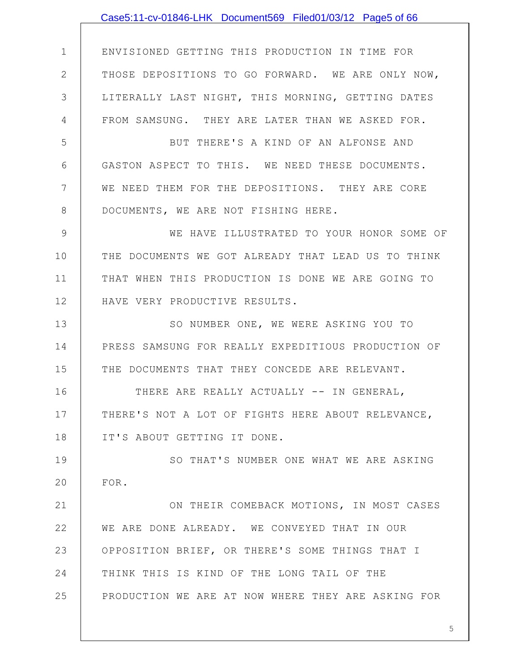|              | Case5:11-cv-01846-LHK Document569 Filed01/03/12 Page5 of 66 |
|--------------|-------------------------------------------------------------|
|              |                                                             |
| $\mathbf 1$  | ENVISIONED GETTING THIS PRODUCTION IN TIME FOR              |
| $\mathbf{2}$ | THOSE DEPOSITIONS TO GO FORWARD. WE ARE ONLY NOW,           |
| 3            | LITERALLY LAST NIGHT, THIS MORNING, GETTING DATES           |
| 4            | FROM SAMSUNG. THEY ARE LATER THAN WE ASKED FOR.             |
| 5            | BUT THERE'S A KIND OF AN ALFONSE AND                        |
| 6            | GASTON ASPECT TO THIS. WE NEED THESE DOCUMENTS.             |
| 7            | WE NEED THEM FOR THE DEPOSITIONS. THEY ARE CORE             |
| $8\,$        | DOCUMENTS, WE ARE NOT FISHING HERE.                         |
| 9            | WE HAVE ILLUSTRATED TO YOUR HONOR SOME OF                   |
| 10           | THE DOCUMENTS WE GOT ALREADY THAT LEAD US TO THINK          |
| 11           | THAT WHEN THIS PRODUCTION IS DONE WE ARE GOING TO           |
| 12           | HAVE VERY PRODUCTIVE RESULTS.                               |
| 13           | SO NUMBER ONE, WE WERE ASKING YOU TO                        |
| 14           | PRESS SAMSUNG FOR REALLY EXPEDITIOUS PRODUCTION OF          |
| 15           | THE DOCUMENTS THAT THEY CONCEDE ARE RELEVANT.               |
| 16           | THERE ARE REALLY ACTUALLY -- IN GENERAL,                    |
| 17           | THERE'S NOT A LOT OF FIGHTS HERE ABOUT RELEVANCE,           |
| 18           | IT'S ABOUT GETTING IT DONE.                                 |
| 19           | SO THAT'S NUMBER ONE WHAT WE ARE ASKING                     |
| 20           | FOR.                                                        |
| 21           | ON THEIR COMEBACK MOTIONS, IN MOST CASES                    |
| 22           | WE ARE DONE ALREADY. WE CONVEYED THAT IN OUR                |
| 23           | OPPOSITION BRIEF, OR THERE'S SOME THINGS THAT I             |
| 24           | THINK THIS IS KIND OF THE LONG TAIL OF THE                  |
| 25           | PRODUCTION WE ARE AT NOW WHERE THEY ARE ASKING FOR          |
|              |                                                             |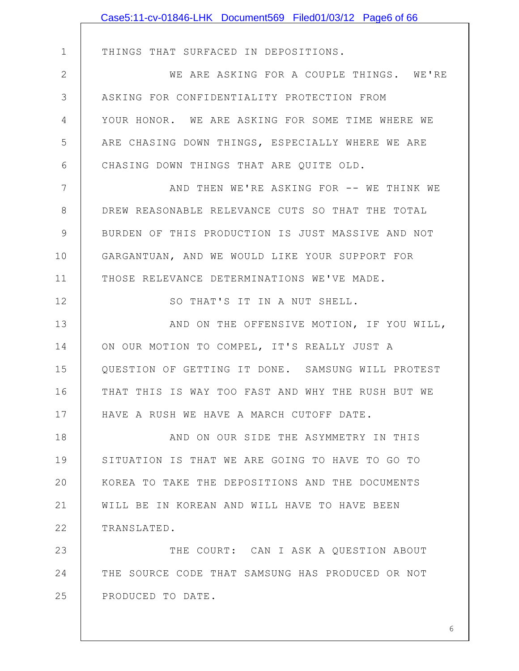|              | Case5:11-cv-01846-LHK Document569 Filed01/03/12 Page6 of 66 |
|--------------|-------------------------------------------------------------|
|              |                                                             |
| $\mathbf 1$  | THINGS THAT SURFACED IN DEPOSITIONS.                        |
| $\mathbf{2}$ | WE ARE ASKING FOR A COUPLE THINGS. WE'RE                    |
| 3            | ASKING FOR CONFIDENTIALITY PROTECTION FROM                  |
| 4            | YOUR HONOR. WE ARE ASKING FOR SOME TIME WHERE WE            |
| 5            | ARE CHASING DOWN THINGS, ESPECIALLY WHERE WE ARE            |
| 6            | CHASING DOWN THINGS THAT ARE QUITE OLD.                     |
| 7            | AND THEN WE'RE ASKING FOR -- WE THINK WE                    |
| 8            | DREW REASONABLE RELEVANCE CUTS SO THAT THE TOTAL            |
| $\mathsf 9$  | BURDEN OF THIS PRODUCTION IS JUST MASSIVE AND NOT           |
| 10           | GARGANTUAN, AND WE WOULD LIKE YOUR SUPPORT FOR              |
| 11           | THOSE RELEVANCE DETERMINATIONS WE'VE MADE.                  |
| 12           | SO THAT'S IT IN A NUT SHELL.                                |
| 13           | AND ON THE OFFENSIVE MOTION, IF YOU WILL,                   |
| 14           | ON OUR MOTION TO COMPEL, IT'S REALLY JUST A                 |
| 15           | QUESTION OF GETTING IT DONE. SAMSUNG WILL PROTEST           |
| 16           | THAT THIS IS WAY TOO FAST AND WHY THE RUSH BUT WE           |
| 17           | HAVE A RUSH WE HAVE A MARCH CUTOFF DATE.                    |
| 18           | AND ON OUR SIDE THE ASYMMETRY IN THIS                       |
| 19           | SITUATION IS THAT WE ARE GOING TO HAVE TO GO TO             |
| 20           | KOREA TO TAKE THE DEPOSITIONS AND THE DOCUMENTS             |
| 21           | WILL BE IN KOREAN AND WILL HAVE TO HAVE BEEN                |
| 22           | TRANSLATED.                                                 |
| 23           | THE COURT: CAN I ASK A QUESTION ABOUT                       |
| 24           | THE SOURCE CODE THAT SAMSUNG HAS PRODUCED OR NOT            |
| 25           | PRODUCED TO DATE.                                           |
|              |                                                             |
|              | 6                                                           |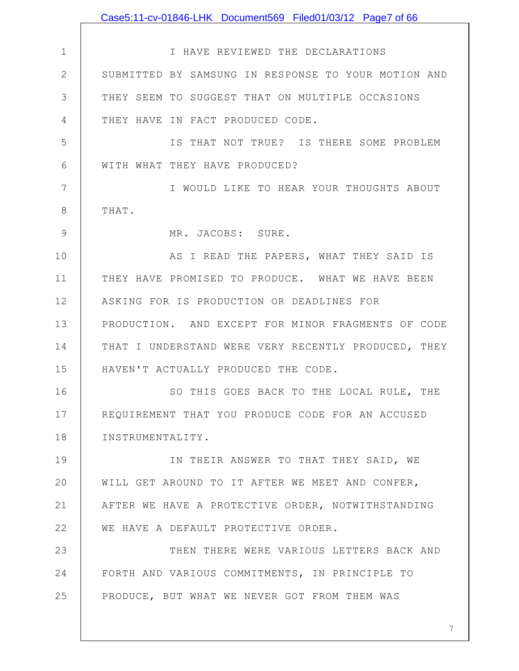1 2 3 4 5 6 7 8 9 10 11 12 13 14 15 16 17 18 19 20 21 22 23 24 25 I HAVE REVIEWED THE DECLARATIONS SUBMITTED BY SAMSUNG IN RESPONSE TO YOUR MOTION AND THEY SEEM TO SUGGEST THAT ON MULTIPLE OCCASIONS THEY HAVE IN FACT PRODUCED CODE. IS THAT NOT TRUE? IS THERE SOME PROBLEM WITH WHAT THEY HAVE PRODUCED? I WOULD LIKE TO HEAR YOUR THOUGHTS ABOUT THAT. MR. JACOBS: SURE. AS I READ THE PAPERS, WHAT THEY SAID IS THEY HAVE PROMISED TO PRODUCE. WHAT WE HAVE BEEN ASKING FOR IS PRODUCTION OR DEADLINES FOR PRODUCTION. AND EXCEPT FOR MINOR FRAGMENTS OF CODE THAT I UNDERSTAND WERE VERY RECENTLY PRODUCED, THEY HAVEN'T ACTUALLY PRODUCED THE CODE. SO THIS GOES BACK TO THE LOCAL RULE, THE REQUIREMENT THAT YOU PRODUCE CODE FOR AN ACCUSED INSTRUMENTALITY. IN THEIR ANSWER TO THAT THEY SAID, WE WILL GET AROUND TO IT AFTER WE MEET AND CONFER, AFTER WE HAVE A PROTECTIVE ORDER, NOTWITHSTANDING WE HAVE A DEFAULT PROTECTIVE ORDER. THEN THERE WERE VARIOUS LETTERS BACK AND FORTH AND VARIOUS COMMITMENTS, IN PRINCIPLE TO PRODUCE, BUT WHAT WE NEVER GOT FROM THEM WAS Case5:11-cv-01846-LHK Document569 Filed01/03/12 Page7 of 66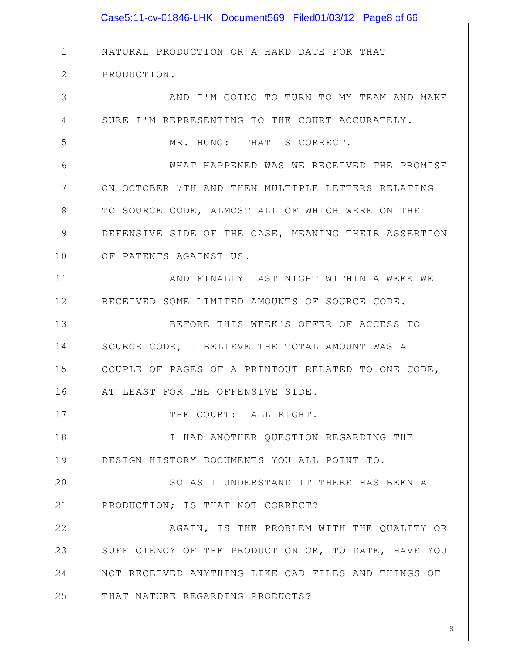|              | Case5:11-cv-01846-LHK Document569 Filed01/03/12 Page8 of 66 |
|--------------|-------------------------------------------------------------|
|              |                                                             |
| $\mathbf 1$  | NATURAL PRODUCTION OR A HARD DATE FOR THAT                  |
| $\mathbf{2}$ | PRODUCTION.                                                 |
| 3            | AND I'M GOING TO TURN TO MY TEAM AND MAKE                   |
| 4            | SURE I'M REPRESENTING TO THE COURT ACCURATELY.              |
| 5            | MR. HUNG: THAT IS CORRECT.                                  |
| 6            | WHAT HAPPENED WAS WE RECEIVED THE PROMISE                   |
| 7            | ON OCTOBER 7TH AND THEN MULTIPLE LETTERS RELATING           |
| 8            | TO SOURCE CODE, ALMOST ALL OF WHICH WERE ON THE             |
| 9            | DEFENSIVE SIDE OF THE CASE, MEANING THEIR ASSERTION         |
| 10           | OF PATENTS AGAINST US.                                      |
| 11           | AND FINALLY LAST NIGHT WITHIN A WEEK WE                     |
| 12           | RECEIVED SOME LIMITED AMOUNTS OF SOURCE CODE.               |
| 13           | BEFORE THIS WEEK'S OFFER OF ACCESS TO                       |
| 14           | SOURCE CODE, I BELIEVE THE TOTAL AMOUNT WAS A               |
| 15           | COUPLE OF PAGES OF A PRINTOUT RELATED TO ONE CODE,          |
| 16           | AT LEAST FOR THE OFFENSIVE SIDE.                            |
| 17           | THE COURT: ALL RIGHT.                                       |
| 18           | I HAD ANOTHER QUESTION REGARDING THE                        |
| 19           | DESIGN HISTORY DOCUMENTS YOU ALL POINT TO.                  |
| 20           | SO AS I UNDERSTAND IT THERE HAS BEEN A                      |
| 21           | PRODUCTION; IS THAT NOT CORRECT?                            |
| 22           | AGAIN, IS THE PROBLEM WITH THE QUALITY OR                   |
| 23           | SUFFICIENCY OF THE PRODUCTION OR, TO DATE, HAVE YOU         |
| 24           | NOT RECEIVED ANYTHING LIKE CAD FILES AND THINGS OF          |
| 25           | THAT NATURE REGARDING PRODUCTS?                             |
|              |                                                             |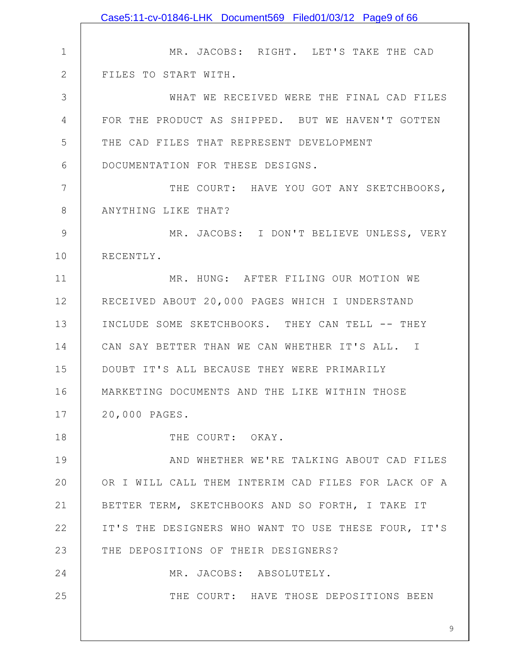|              | Case5:11-cv-01846-LHK Document569 Filed01/03/12 Page9 of 66 |
|--------------|-------------------------------------------------------------|
|              |                                                             |
| $\mathbf 1$  | MR. JACOBS: RIGHT. LET'S TAKE THE CAD                       |
| $\mathbf{2}$ | FILES TO START WITH.                                        |
| 3            | WHAT WE RECEIVED WERE THE FINAL CAD FILES                   |
| 4            | FOR THE PRODUCT AS SHIPPED. BUT WE HAVEN'T GOTTEN           |
| 5            | THE CAD FILES THAT REPRESENT DEVELOPMENT                    |
| 6            | DOCUMENTATION FOR THESE DESIGNS.                            |
| 7            | THE COURT: HAVE YOU GOT ANY SKETCHBOOKS,                    |
| $8\,$        | ANYTHING LIKE THAT?                                         |
| $\mathsf 9$  | MR. JACOBS: I DON'T BELIEVE UNLESS, VERY                    |
| 10           | RECENTLY.                                                   |
| 11           | MR. HUNG: AFTER FILING OUR MOTION WE                        |
| 12           | RECEIVED ABOUT 20,000 PAGES WHICH I UNDERSTAND              |
| 13           | INCLUDE SOME SKETCHBOOKS. THEY CAN TELL -- THEY             |
| 14           | CAN SAY BETTER THAN WE CAN WHETHER IT'S ALL. I              |
| 15           | DOUBT IT'S ALL BECAUSE THEY WERE PRIMARILY                  |
| 16           | MARKETING DOCUMENTS AND THE LIKE WITHIN THOSE               |
| 17           | 20,000 PAGES.                                               |
| 18           | THE COURT: OKAY.                                            |
| 19           | AND WHETHER WE'RE TALKING ABOUT CAD FILES                   |
| 20           | OR I WILL CALL THEM INTERIM CAD FILES FOR LACK OF A         |
| 21           | BETTER TERM, SKETCHBOOKS AND SO FORTH, I TAKE IT            |
| 22           | IT'S THE DESIGNERS WHO WANT TO USE THESE FOUR, IT'S         |
| 23           | THE DEPOSITIONS OF THEIR DESIGNERS?                         |
| 24           | MR. JACOBS: ABSOLUTELY.                                     |
| 25           | THE COURT: HAVE THOSE DEPOSITIONS BEEN                      |
|              |                                                             |
|              | 9                                                           |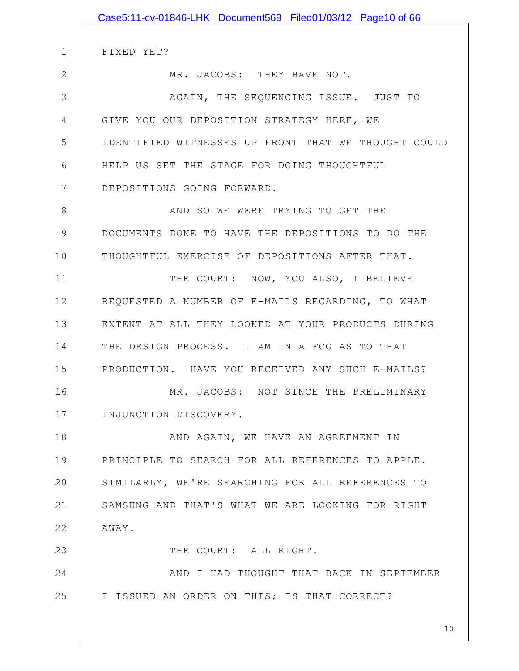|               | Case5:11-cv-01846-LHK Document569 Filed01/03/12 Page10 of 66 |
|---------------|--------------------------------------------------------------|
|               |                                                              |
| $\mathbf 1$   | FIXED YET?                                                   |
| $\mathbf{2}$  | MR. JACOBS: THEY HAVE NOT.                                   |
| 3             | AGAIN, THE SEQUENCING ISSUE. JUST TO                         |
| 4             | GIVE YOU OUR DEPOSITION STRATEGY HERE, WE                    |
| 5             | IDENTIFIED WITNESSES UP FRONT THAT WE THOUGHT COULD          |
| 6             | HELP US SET THE STAGE FOR DOING THOUGHTFUL                   |
| 7             | DEPOSITIONS GOING FORWARD.                                   |
| $8\,$         | AND SO WE WERE TRYING TO GET THE                             |
| $\mathcal{G}$ | DOCUMENTS DONE TO HAVE THE DEPOSITIONS TO DO THE             |
| 10            | THOUGHTFUL EXERCISE OF DEPOSITIONS AFTER THAT.               |
| 11            | THE COURT: NOW, YOU ALSO, I BELIEVE                          |
| 12            | REQUESTED A NUMBER OF E-MAILS REGARDING, TO WHAT             |
| 13            | EXTENT AT ALL THEY LOOKED AT YOUR PRODUCTS DURING            |
| 14            | THE DESIGN PROCESS. I AM IN A FOG AS TO THAT                 |
| 15            | PRODUCTION. HAVE YOU RECEIVED ANY SUCH E-MAILS?              |
| 16            | MR. JACOBS: NOT SINCE THE PRELIMINARY                        |
| 17            | INJUNCTION DISCOVERY.                                        |
| 18            | AND AGAIN, WE HAVE AN AGREEMENT IN                           |
| 19            | PRINCIPLE TO SEARCH FOR ALL REFERENCES TO APPLE.             |
| 20            | SIMILARLY, WE'RE SEARCHING FOR ALL REFERENCES TO             |
| 21            | SAMSUNG AND THAT'S WHAT WE ARE LOOKING FOR RIGHT             |
| 22            | AWAY.                                                        |
| 23            | THE COURT: ALL RIGHT.                                        |
| 24            | AND I HAD THOUGHT THAT BACK IN SEPTEMBER                     |
| 25            | I ISSUED AN ORDER ON THIS; IS THAT CORRECT?                  |
|               |                                                              |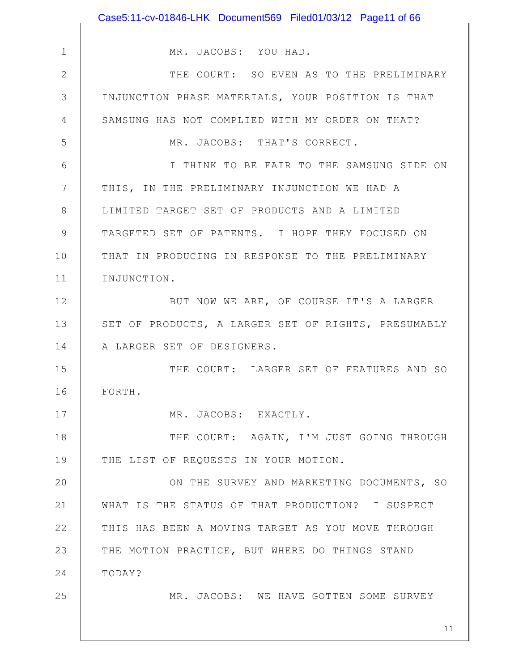|               | Case5:11-cv-01846-LHK Document569 Filed01/03/12 Page11 of 66 |
|---------------|--------------------------------------------------------------|
|               |                                                              |
| $\mathbf 1$   | MR. JACOBS: YOU HAD.                                         |
| $\mathbf{2}$  | THE COURT: SO EVEN AS TO THE PRELIMINARY                     |
| 3             | INJUNCTION PHASE MATERIALS, YOUR POSITION IS THAT            |
| 4             | SAMSUNG HAS NOT COMPLIED WITH MY ORDER ON THAT?              |
| 5             | MR. JACOBS: THAT'S CORRECT.                                  |
| 6             | I THINK TO BE FAIR TO THE SAMSUNG SIDE ON                    |
| 7             | THIS, IN THE PRELIMINARY INJUNCTION WE HAD A                 |
| 8             | LIMITED TARGET SET OF PRODUCTS AND A LIMITED                 |
| $\mathcal{G}$ | TARGETED SET OF PATENTS. I HOPE THEY FOCUSED ON              |
| 10            | THAT IN PRODUCING IN RESPONSE TO THE PRELIMINARY             |
| 11            | INJUNCTION.                                                  |
| 12            | BUT NOW WE ARE, OF COURSE IT'S A LARGER                      |
| 13            | SET OF PRODUCTS, A LARGER SET OF RIGHTS, PRESUMABLY          |
| 14            | A LARGER SET OF DESIGNERS.                                   |
| 15            | THE COURT: LARGER SET OF FEATURES AND SO                     |
| 16            | FORTH                                                        |
| 17            | MR. JACOBS: EXACTLY.                                         |
| 18            | THE COURT: AGAIN, I'M JUST GOING THROUGH                     |
| 19            | THE LIST OF REQUESTS IN YOUR MOTION.                         |
| 20            | ON THE SURVEY AND MARKETING DOCUMENTS, SO                    |
| 21            | WHAT IS THE STATUS OF THAT PRODUCTION? I SUSPECT             |
| 22            | THIS HAS BEEN A MOVING TARGET AS YOU MOVE THROUGH            |
| 23            | THE MOTION PRACTICE, BUT WHERE DO THINGS STAND               |
| 24            | TODAY?                                                       |
| 25            | MR. JACOBS: WE HAVE GOTTEN SOME SURVEY                       |
|               |                                                              |
|               | 11                                                           |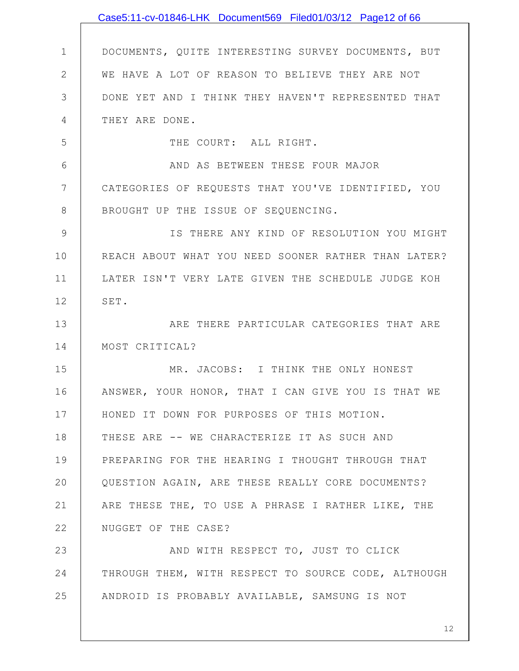|                | Case5:11-cv-01846-LHK Document569 Filed01/03/12 Page12 of 66 |
|----------------|--------------------------------------------------------------|
|                |                                                              |
| $\mathbf 1$    | DOCUMENTS, QUITE INTERESTING SURVEY DOCUMENTS, BUT           |
| $\overline{2}$ | WE HAVE A LOT OF REASON TO BELIEVE THEY ARE NOT              |
| 3              | DONE YET AND I THINK THEY HAVEN'T REPRESENTED THAT           |
| 4              | THEY ARE DONE.                                               |
| 5              | THE COURT: ALL RIGHT.                                        |
| 6              | AND AS BETWEEN THESE FOUR MAJOR                              |
| 7              | CATEGORIES OF REQUESTS THAT YOU'VE IDENTIFIED, YOU           |
| 8              | BROUGHT UP THE ISSUE OF SEQUENCING.                          |
| $\mathcal{G}$  | IS THERE ANY KIND OF RESOLUTION YOU MIGHT                    |
| 10             | REACH ABOUT WHAT YOU NEED SOONER RATHER THAN LATER?          |
| 11             | LATER ISN'T VERY LATE GIVEN THE SCHEDULE JUDGE KOH           |
| 12             | SET.                                                         |
| 13             | ARE THERE PARTICULAR CATEGORIES THAT ARE                     |
| 14             | MOST CRITICAL?                                               |
| 15             | MR. JACOBS: I THINK THE ONLY HONEST                          |
| 16             | ANSWER, YOUR HONOR, THAT I CAN GIVE YOU IS THAT WE           |
| 17             | HONED IT DOWN FOR PURPOSES OF THIS MOTION.                   |
| 18             | THESE ARE -- WE CHARACTERIZE IT AS SUCH AND                  |
| 19             | PREPARING FOR THE HEARING I THOUGHT THROUGH THAT             |
| 20             | QUESTION AGAIN, ARE THESE REALLY CORE DOCUMENTS?             |
| 21             | ARE THESE THE, TO USE A PHRASE I RATHER LIKE, THE            |
| 22             | NUGGET OF THE CASE?                                          |
| 23             | AND WITH RESPECT TO, JUST TO CLICK                           |
| 24             | THROUGH THEM, WITH RESPECT TO SOURCE CODE, ALTHOUGH          |
| 25             | ANDROID IS PROBABLY AVAILABLE, SAMSUNG IS NOT                |
|                |                                                              |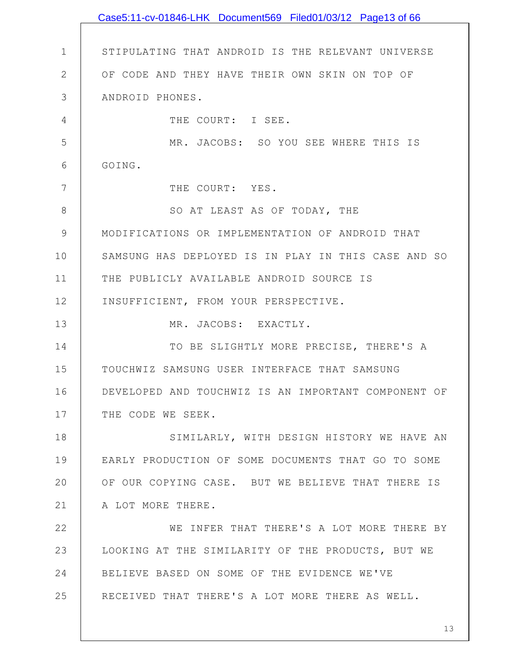1 2 3 4 5 6 7 8 9 10 11 12 13 14 15 16 17 18 19 20 21 22 23 24 25 STIPULATING THAT ANDROID IS THE RELEVANT UNIVERSE OF CODE AND THEY HAVE THEIR OWN SKIN ON TOP OF ANDROID PHONES. THE COURT: I SEE. MR. JACOBS: SO YOU SEE WHERE THIS IS GOING. THE COURT: YES. SO AT LEAST AS OF TODAY, THE MODIFICATIONS OR IMPLEMENTATION OF ANDROID THAT SAMSUNG HAS DEPLOYED IS IN PLAY IN THIS CASE AND SO THE PUBLICLY AVAILABLE ANDROID SOURCE IS INSUFFICIENT, FROM YOUR PERSPECTIVE. MR. JACOBS: EXACTLY. TO BE SLIGHTLY MORE PRECISE, THERE'S A TOUCHWIZ SAMSUNG USER INTERFACE THAT SAMSUNG DEVELOPED AND TOUCHWIZ IS AN IMPORTANT COMPONENT OF THE CODE WE SEEK. SIMILARLY, WITH DESIGN HISTORY WE HAVE AN EARLY PRODUCTION OF SOME DOCUMENTS THAT GO TO SOME OF OUR COPYING CASE. BUT WE BELIEVE THAT THERE IS A LOT MORE THERE. WE INFER THAT THERE'S A LOT MORE THERE BY LOOKING AT THE SIMILARITY OF THE PRODUCTS, BUT WE BELIEVE BASED ON SOME OF THE EVIDENCE WE'VE RECEIVED THAT THERE'S A LOT MORE THERE AS WELL. Case5:11-cv-01846-LHK Document569 Filed01/03/12 Page13 of 66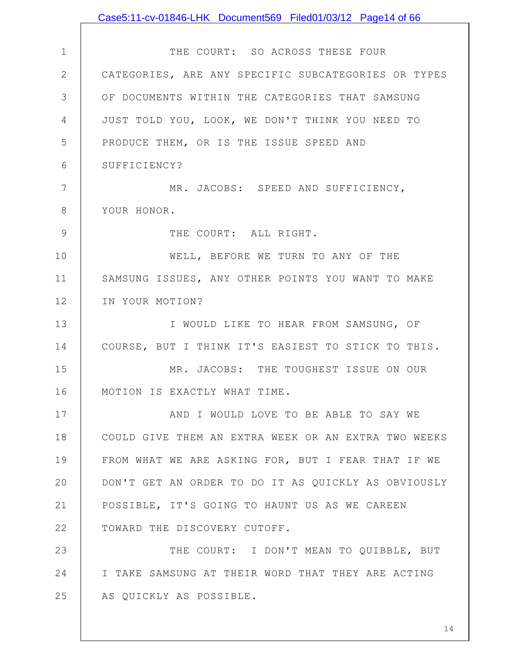|                | Case5:11-cv-01846-LHK Document569 Filed01/03/12 Page14 of 66 |
|----------------|--------------------------------------------------------------|
|                |                                                              |
| $\mathbf 1$    | THE COURT: SO ACROSS THESE FOUR                              |
| $\overline{2}$ | CATEGORIES, ARE ANY SPECIFIC SUBCATEGORIES OR TYPES          |
| 3              | OF DOCUMENTS WITHIN THE CATEGORIES THAT SAMSUNG              |
| 4              | JUST TOLD YOU, LOOK, WE DON'T THINK YOU NEED TO              |
| 5              | PRODUCE THEM, OR IS THE ISSUE SPEED AND                      |
| 6              | SUFFICIENCY?                                                 |
| 7              | MR. JACOBS: SPEED AND SUFFICIENCY,                           |
| $8\,$          | YOUR HONOR.                                                  |
| 9              | THE COURT: ALL RIGHT.                                        |
| 10             | WELL, BEFORE WE TURN TO ANY OF THE                           |
| 11             | SAMSUNG ISSUES, ANY OTHER POINTS YOU WANT TO MAKE            |
| 12             | IN YOUR MOTION?                                              |
| 13             | I WOULD LIKE TO HEAR FROM SAMSUNG, OF                        |
| 14             | COURSE, BUT I THINK IT'S EASIEST TO STICK TO THIS.           |
| 15             | MR. JACOBS: THE TOUGHEST ISSUE ON OUR                        |
| 16             | MOTION IS EXACTLY WHAT TIME.                                 |
| 17             | AND I WOULD LOVE TO BE ABLE TO SAY WE                        |
| 18             | COULD GIVE THEM AN EXTRA WEEK OR AN EXTRA TWO WEEKS          |
| 19             | FROM WHAT WE ARE ASKING FOR, BUT I FEAR THAT IF WE           |
| 20             | DON'T GET AN ORDER TO DO IT AS QUICKLY AS OBVIOUSLY          |
| 21             | POSSIBLE, IT'S GOING TO HAUNT US AS WE CAREEN                |
| 22             | TOWARD THE DISCOVERY CUTOFF.                                 |
| 23             | THE COURT: I DON'T MEAN TO QUIBBLE, BUT                      |
| 24             | I TAKE SAMSUNG AT THEIR WORD THAT THEY ARE ACTING            |
| 25             | AS QUICKLY AS POSSIBLE.                                      |
|                |                                                              |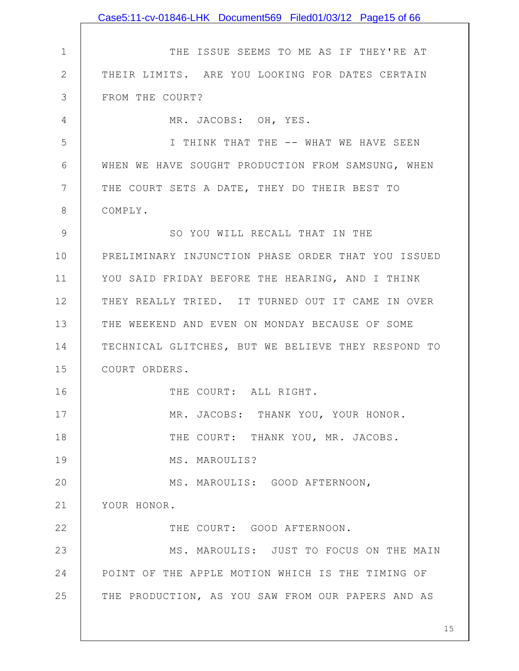|               | Case5:11-cv-01846-LHK Document569 Filed01/03/12 Page15 of 66 |
|---------------|--------------------------------------------------------------|
|               |                                                              |
| $\mathbf 1$   | THE ISSUE SEEMS TO ME AS IF THEY'RE AT                       |
| $\mathbf{2}$  | THEIR LIMITS. ARE YOU LOOKING FOR DATES CERTAIN              |
| 3             | FROM THE COURT?                                              |
| 4             | MR. JACOBS: OH, YES.                                         |
| 5             | I THINK THAT THE -- WHAT WE HAVE SEEN                        |
| 6             | WHEN WE HAVE SOUGHT PRODUCTION FROM SAMSUNG, WHEN            |
| 7             | THE COURT SETS A DATE, THEY DO THEIR BEST TO                 |
| 8             | COMPLY.                                                      |
| $\mathcal{G}$ | SO YOU WILL RECALL THAT IN THE                               |
| 10            | PRELIMINARY INJUNCTION PHASE ORDER THAT YOU ISSUED           |
| 11            | YOU SAID FRIDAY BEFORE THE HEARING, AND I THINK              |
| 12            | THEY REALLY TRIED. IT TURNED OUT IT CAME IN OVER             |
| 13            | THE WEEKEND AND EVEN ON MONDAY BECAUSE OF SOME               |
| 14            | TECHNICAL GLITCHES, BUT WE BELIEVE THEY RESPOND TO           |
| 15            | COURT ORDERS.                                                |
| 16            | THE COURT: ALL RIGHT.                                        |
| 17            | MR. JACOBS: THANK YOU, YOUR HONOR.                           |
| 18            | THE COURT: THANK YOU, MR. JACOBS.                            |
| 19            | MS. MAROULIS?                                                |
| 20            | MS. MAROULIS: GOOD AFTERNOON,                                |
| 21            | YOUR HONOR.                                                  |
| 22            | THE COURT: GOOD AFTERNOON.                                   |
| 23            | MS. MAROULIS: JUST TO FOCUS ON THE MAIN                      |
| 24            | POINT OF THE APPLE MOTION WHICH IS THE TIMING OF             |
| 25            | THE PRODUCTION, AS YOU SAW FROM OUR PAPERS AND AS            |
|               |                                                              |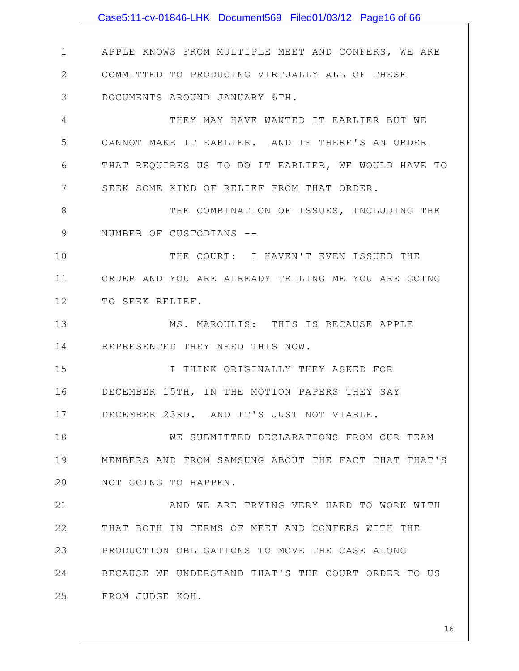|              | Case5:11-cv-01846-LHK Document569 Filed01/03/12 Page16 of 66 |
|--------------|--------------------------------------------------------------|
|              |                                                              |
| $\mathbf 1$  | APPLE KNOWS FROM MULTIPLE MEET AND CONFERS, WE ARE           |
| $\mathbf{2}$ | COMMITTED TO PRODUCING VIRTUALLY ALL OF THESE                |
| 3            | DOCUMENTS AROUND JANUARY 6TH.                                |
| 4            | THEY MAY HAVE WANTED IT EARLIER BUT WE                       |
| 5            | CANNOT MAKE IT EARLIER. AND IF THERE'S AN ORDER              |
| 6            | THAT REQUIRES US TO DO IT EARLIER, WE WOULD HAVE TO          |
| 7            | SEEK SOME KIND OF RELIEF FROM THAT ORDER.                    |
| 8            | THE COMBINATION OF ISSUES, INCLUDING THE                     |
| 9            | NUMBER OF CUSTODIANS --                                      |
| 10           | THE COURT: I HAVEN'T EVEN ISSUED THE                         |
| 11           | ORDER AND YOU ARE ALREADY TELLING ME YOU ARE GOING           |
| 12           | TO SEEK RELIEF.                                              |
| 13           | MS. MAROULIS: THIS IS BECAUSE APPLE                          |
| 14           | REPRESENTED THEY NEED THIS NOW.                              |
| 15           | I THINK ORIGINALLY THEY ASKED FOR                            |
| 16           | DECEMBER 15TH, IN THE MOTION PAPERS THEY SAY                 |
| 17           | DECEMBER 23RD. AND IT'S JUST NOT VIABLE.                     |
| 18           | WE SUBMITTED DECLARATIONS FROM OUR TEAM                      |
| 19           | MEMBERS AND FROM SAMSUNG ABOUT THE FACT THAT THAT'S          |
| 20           | NOT GOING TO HAPPEN.                                         |
| 21           | AND WE ARE TRYING VERY HARD TO WORK WITH                     |
| 22           | THAT BOTH IN TERMS OF MEET AND CONFERS WITH THE              |
| 23           | PRODUCTION OBLIGATIONS TO MOVE THE CASE ALONG                |
| 24           | BECAUSE WE UNDERSTAND THAT'S THE COURT ORDER TO US           |
| 25           | FROM JUDGE KOH.                                              |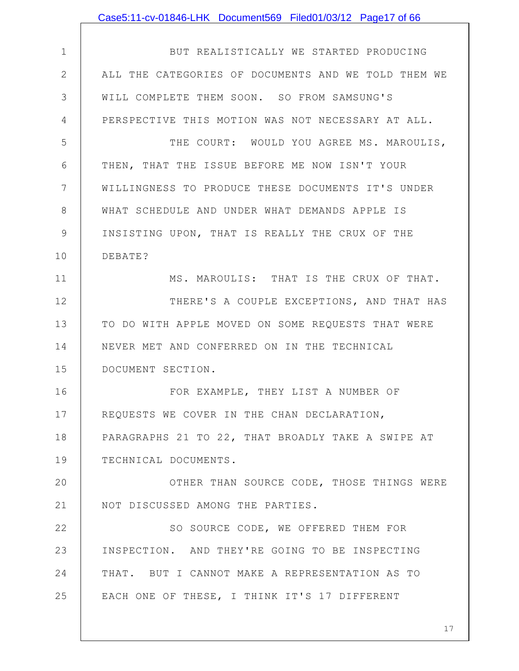|                | Case5:11-cv-01846-LHK Document569 Filed01/03/12 Page17 of 66 |
|----------------|--------------------------------------------------------------|
|                |                                                              |
| $\mathbf 1$    | BUT REALISTICALLY WE STARTED PRODUCING                       |
| $\mathbf{2}$   | ALL THE CATEGORIES OF DOCUMENTS AND WE TOLD THEM WE          |
| 3              | WILL COMPLETE THEM SOON. SO FROM SAMSUNG'S                   |
| $\overline{4}$ | PERSPECTIVE THIS MOTION WAS NOT NECESSARY AT ALL.            |
| 5              | THE COURT: WOULD YOU AGREE MS. MAROULIS,                     |
| 6              | THEN, THAT THE ISSUE BEFORE ME NOW ISN'T YOUR                |
| 7              | WILLINGNESS TO PRODUCE THESE DOCUMENTS IT'S UNDER            |
| 8              | WHAT SCHEDULE AND UNDER WHAT DEMANDS APPLE IS                |
| $\mathcal{G}$  | INSISTING UPON, THAT IS REALLY THE CRUX OF THE               |
| 10             | DEBATE?                                                      |
| 11             | MS. MAROULIS: THAT IS THE CRUX OF THAT.                      |
| 12             | THERE'S A COUPLE EXCEPTIONS, AND THAT HAS                    |
| 13             | TO DO WITH APPLE MOVED ON SOME REQUESTS THAT WERE            |
| 14             | NEVER MET AND CONFERRED ON IN THE TECHNICAL                  |
| 15             | DOCUMENT SECTION.                                            |
| 16             | FOR EXAMPLE, THEY LIST A NUMBER OF                           |
| 17             | REQUESTS WE COVER IN THE CHAN DECLARATION,                   |
| 18             | PARAGRAPHS 21 TO 22, THAT BROADLY TAKE A SWIPE AT            |
| 19             | TECHNICAL DOCUMENTS.                                         |
| 20             | OTHER THAN SOURCE CODE, THOSE THINGS WERE                    |
| 21             | NOT DISCUSSED AMONG THE PARTIES.                             |
| 22             | SO SOURCE CODE, WE OFFERED THEM FOR                          |
| 23             | INSPECTION. AND THEY'RE GOING TO BE INSPECTING               |
| 24             | THAT. BUT I CANNOT MAKE A REPRESENTATION AS TO               |
| 25             | EACH ONE OF THESE, I THINK IT'S 17 DIFFERENT                 |
|                |                                                              |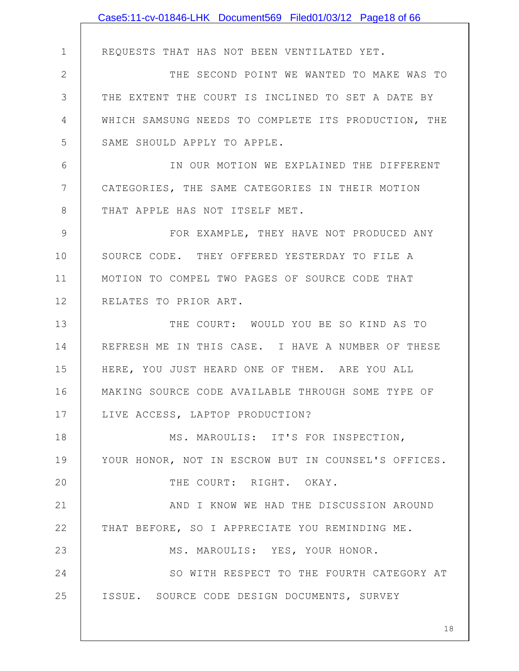|              | Case5:11-cv-01846-LHK Document569 Filed01/03/12 Page18 of 66 |
|--------------|--------------------------------------------------------------|
|              |                                                              |
| $\mathbf 1$  | REQUESTS THAT HAS NOT BEEN VENTILATED YET.                   |
| $\mathbf{2}$ | THE SECOND POINT WE WANTED TO MAKE WAS TO                    |
| 3            | THE EXTENT THE COURT IS INCLINED TO SET A DATE BY            |
| 4            | WHICH SAMSUNG NEEDS TO COMPLETE ITS PRODUCTION, THE          |
| 5            | SAME SHOULD APPLY TO APPLE.                                  |
| 6            | IN OUR MOTION WE EXPLAINED THE DIFFERENT                     |
| 7            | CATEGORIES, THE SAME CATEGORIES IN THEIR MOTION              |
| 8            | THAT APPLE HAS NOT ITSELF MET.                               |
| 9            | FOR EXAMPLE, THEY HAVE NOT PRODUCED ANY                      |
| 10           | SOURCE CODE. THEY OFFERED YESTERDAY TO FILE A                |
| 11           | MOTION TO COMPEL TWO PAGES OF SOURCE CODE THAT               |
| 12           | RELATES TO PRIOR ART.                                        |
| 13           | THE COURT: WOULD YOU BE SO KIND AS TO                        |
| 14           | REFRESH ME IN THIS CASE. I HAVE A NUMBER OF THESE            |
| 15           | HERE, YOU JUST HEARD ONE OF THEM. ARE YOU ALL                |
| 16           | MAKING SOURCE CODE AVAILABLE THROUGH SOME TYPE OF            |
| 17           | LIVE ACCESS, LAPTOP PRODUCTION?                              |
| 18           | MS. MAROULIS: IT'S FOR INSPECTION,                           |
| 19           | YOUR HONOR, NOT IN ESCROW BUT IN COUNSEL'S OFFICES.          |
| 20           | THE COURT: RIGHT. OKAY.                                      |
| 21           | AND I KNOW WE HAD THE DISCUSSION AROUND                      |
| 22           | THAT BEFORE, SO I APPRECIATE YOU REMINDING ME.               |
| 23           | MS. MAROULIS: YES, YOUR HONOR.                               |
| 24           | SO WITH RESPECT TO THE FOURTH CATEGORY AT                    |
| 25           | ISSUE. SOURCE CODE DESIGN DOCUMENTS, SURVEY                  |
|              |                                                              |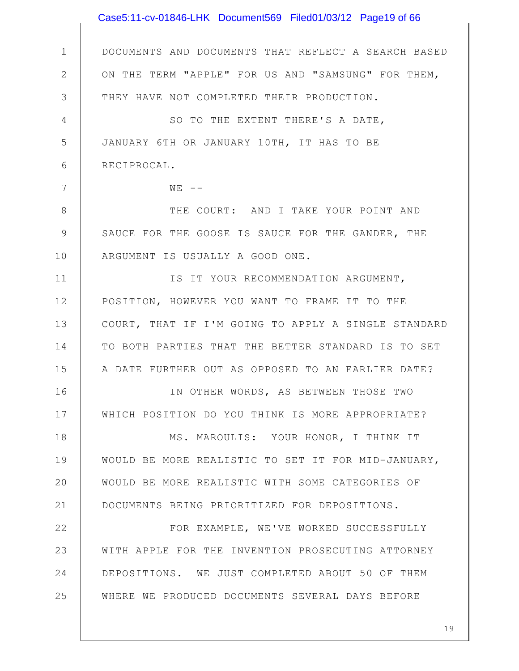|                | Case5:11-cv-01846-LHK Document569 Filed01/03/12 Page19 of 66 |
|----------------|--------------------------------------------------------------|
|                |                                                              |
| $\mathbf 1$    | DOCUMENTS AND DOCUMENTS THAT REFLECT A SEARCH BASED          |
| $\overline{2}$ | ON THE TERM "APPLE" FOR US AND "SAMSUNG" FOR THEM,           |
| 3              | THEY HAVE NOT COMPLETED THEIR PRODUCTION.                    |
| 4              | SO TO THE EXTENT THERE'S A DATE,                             |
| 5              | JANUARY 6TH OR JANUARY 10TH, IT HAS TO BE                    |
| 6              | RECIPROCAL.                                                  |
| 7              | $W E$ $-$                                                    |
| 8              | THE COURT: AND I TAKE YOUR POINT AND                         |
| $\mathcal{G}$  | SAUCE FOR THE GOOSE IS SAUCE FOR THE GANDER, THE             |
| 10             | ARGUMENT IS USUALLY A GOOD ONE.                              |
| 11             | IS IT YOUR RECOMMENDATION ARGUMENT,                          |
| 12             | POSITION, HOWEVER YOU WANT TO FRAME IT TO THE                |
| 13             | COURT, THAT IF I'M GOING TO APPLY A SINGLE STANDARD          |
| 14             | TO BOTH PARTIES THAT THE BETTER STANDARD IS TO SET           |
| 15             | A DATE FURTHER OUT AS OPPOSED TO AN EARLIER DATE?            |
| 16             | IN OTHER WORDS, AS BETWEEN THOSE TWO                         |
| 17             | WHICH POSITION DO YOU THINK IS MORE APPROPRIATE?             |
| 18             | MS. MAROULIS: YOUR HONOR, I THINK IT                         |
| 19             | WOULD BE MORE REALISTIC TO SET IT FOR MID-JANUARY,           |
| 20             | WOULD BE MORE REALISTIC WITH SOME CATEGORIES OF              |
| 21             | DOCUMENTS BEING PRIORITIZED FOR DEPOSITIONS.                 |
| 22             | FOR EXAMPLE, WE'VE WORKED SUCCESSFULLY                       |
| 23             | WITH APPLE FOR THE INVENTION PROSECUTING ATTORNEY            |
| 24             | DEPOSITIONS. WE JUST COMPLETED ABOUT 50 OF THEM              |
| 25             | WHERE WE PRODUCED DOCUMENTS SEVERAL DAYS BEFORE              |
|                |                                                              |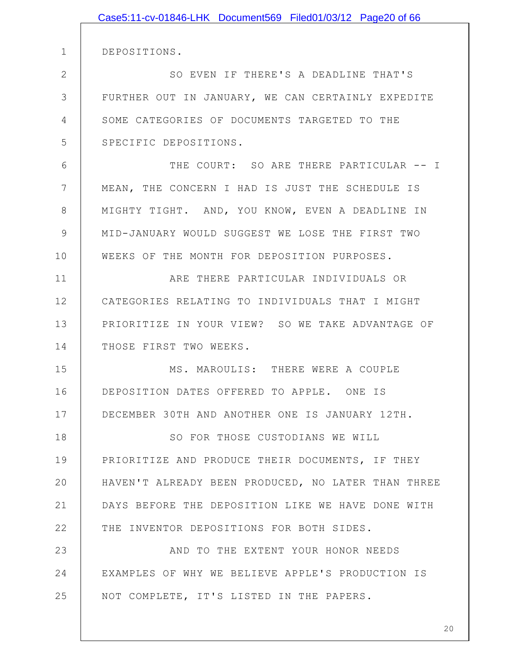|              | Case5:11-cv-01846-LHK Document569 Filed01/03/12 Page20 of 66 |
|--------------|--------------------------------------------------------------|
|              |                                                              |
| 1            | DEPOSITIONS.                                                 |
| $\mathbf{2}$ | SO EVEN IF THERE'S A DEADLINE THAT'S                         |
| 3            | FURTHER OUT IN JANUARY, WE CAN CERTAINLY EXPEDITE            |
| 4            | SOME CATEGORIES OF DOCUMENTS TARGETED TO THE                 |
| 5            | SPECIFIC DEPOSITIONS.                                        |
| 6            | THE COURT: SO ARE THERE PARTICULAR -- I                      |
| 7            | MEAN, THE CONCERN I HAD IS JUST THE SCHEDULE IS              |
| 8            | MIGHTY TIGHT. AND, YOU KNOW, EVEN A DEADLINE IN              |
| $\mathsf{S}$ | MID-JANUARY WOULD SUGGEST WE LOSE THE FIRST TWO              |
| 10           | WEEKS OF THE MONTH FOR DEPOSITION PURPOSES.                  |
| 11           | ARE THERE PARTICULAR INDIVIDUALS OR                          |
| 12           | CATEGORIES RELATING TO INDIVIDUALS THAT I MIGHT              |
| 13           | PRIORITIZE IN YOUR VIEW? SO WE TAKE ADVANTAGE OF             |
| 14           | THOSE FIRST TWO WEEKS.                                       |
| 15           | MS. MAROULIS: THERE WERE A COUPLE                            |
| 16           | DEPOSITION DATES OFFERED TO APPLE. ONE IS                    |
| 17           | DECEMBER 30TH AND ANOTHER ONE IS JANUARY 12TH.               |
| 18           | SO FOR THOSE CUSTODIANS WE WILL                              |
| 19           | PRIORITIZE AND PRODUCE THEIR DOCUMENTS, IF THEY              |
| 20           | HAVEN'T ALREADY BEEN PRODUCED, NO LATER THAN THREE           |
| 21           | DAYS BEFORE THE DEPOSITION LIKE WE HAVE DONE WITH            |
| 22           | THE INVENTOR DEPOSITIONS FOR BOTH SIDES.                     |
| 23           | AND TO THE EXTENT YOUR HONOR NEEDS                           |
| 24           | EXAMPLES OF WHY WE BELIEVE APPLE'S PRODUCTION IS             |
| 25           | NOT COMPLETE, IT'S LISTED IN THE PAPERS.                     |
|              |                                                              |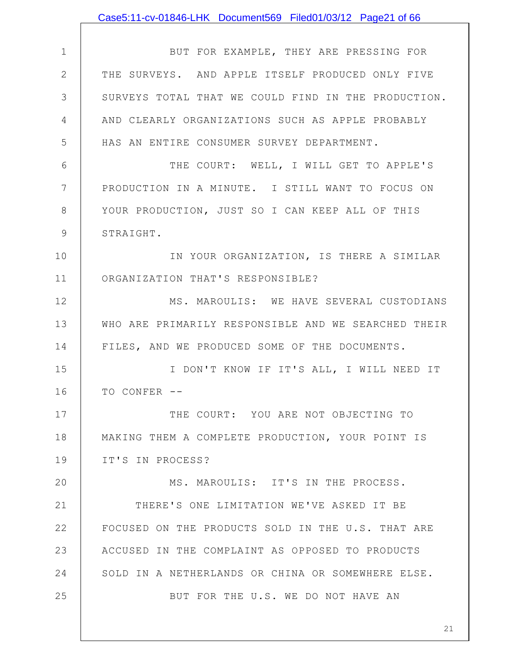|               | Case5:11-cv-01846-LHK Document569 Filed01/03/12 Page21 of 66 |
|---------------|--------------------------------------------------------------|
|               |                                                              |
| $\mathbf 1$   | BUT FOR EXAMPLE, THEY ARE PRESSING FOR                       |
| $\mathbf{2}$  | THE SURVEYS. AND APPLE ITSELF PRODUCED ONLY FIVE             |
| 3             | SURVEYS TOTAL THAT WE COULD FIND IN THE PRODUCTION.          |
| 4             | AND CLEARLY ORGANIZATIONS SUCH AS APPLE PROBABLY             |
| 5             | HAS AN ENTIRE CONSUMER SURVEY DEPARTMENT.                    |
| 6             | THE COURT: WELL, I WILL GET TO APPLE'S                       |
| 7             | PRODUCTION IN A MINUTE. I STILL WANT TO FOCUS ON             |
| 8             | YOUR PRODUCTION, JUST SO I CAN KEEP ALL OF THIS              |
| $\mathcal{G}$ | STRAIGHT.                                                    |
| 10            | IN YOUR ORGANIZATION, IS THERE A SIMILAR                     |
| 11            | ORGANIZATION THAT'S RESPONSIBLE?                             |
| 12            | MS. MAROULIS: WE HAVE SEVERAL CUSTODIANS                     |
| 13            | WHO ARE PRIMARILY RESPONSIBLE AND WE SEARCHED THEIR          |
| 14            | FILES, AND WE PRODUCED SOME OF THE DOCUMENTS.                |
| 15            | I DON'T KNOW IF IT'S ALL, I WILL NEED IT                     |
| 16            | TO CONFER --                                                 |
| 17            | THE COURT: YOU ARE NOT OBJECTING TO                          |
| 18            | MAKING THEM A COMPLETE PRODUCTION, YOUR POINT IS             |
| 19            | IT'S IN PROCESS?                                             |
| 20            | MS. MAROULIS: IT'S IN THE PROCESS.                           |
| 21            | THERE'S ONE LIMITATION WE'VE ASKED IT BE                     |
| 22            | FOCUSED ON THE PRODUCTS SOLD IN THE U.S. THAT ARE            |
| 23            | ACCUSED IN THE COMPLAINT AS OPPOSED TO PRODUCTS              |
| 24            | SOLD IN A NETHERLANDS OR CHINA OR SOMEWHERE ELSE.            |
| 25            | BUT FOR THE U.S. WE DO NOT HAVE AN                           |
|               |                                                              |
|               | 21                                                           |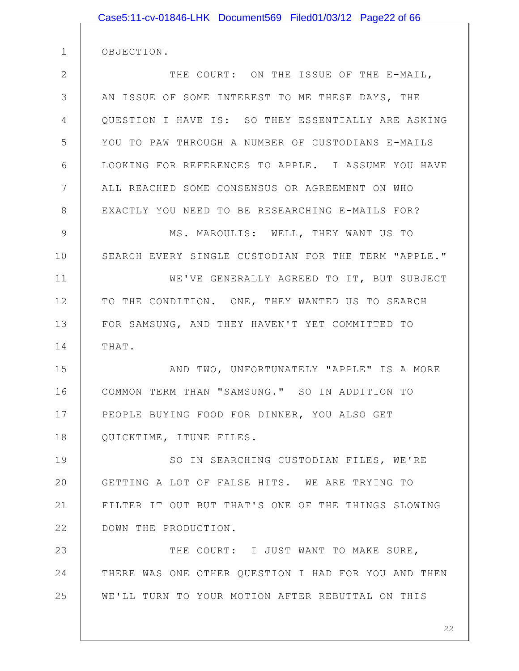| Case5:11-cv-01846-LHK Document569 Filed01/03/12 Page22 of 66 |
|--------------------------------------------------------------|
| OBJECTION.                                                   |
| THE COURT: ON THE ISSUE OF THE E-MAIL,                       |
|                                                              |
| AN ISSUE OF SOME INTEREST TO ME THESE DAYS, THE              |
| QUESTION I HAVE IS: SO THEY ESSENTIALLY ARE ASKING           |
| YOU TO PAW THROUGH A NUMBER OF CUSTODIANS E-MAILS            |
| LOOKING FOR REFERENCES TO APPLE. I ASSUME YOU HAVE           |
| ALL REACHED SOME CONSENSUS OR AGREEMENT ON WHO               |
| EXACTLY YOU NEED TO BE RESEARCHING E-MAILS FOR?              |
| MS. MAROULIS: WELL, THEY WANT US TO                          |
| SEARCH EVERY SINGLE CUSTODIAN FOR THE TERM "APPLE."          |
| WE'VE GENERALLY AGREED TO IT, BUT SUBJECT                    |
| TO THE CONDITION. ONE, THEY WANTED US TO SEARCH              |
| FOR SAMSUNG, AND THEY HAVEN'T YET COMMITTED TO               |
| THAT.                                                        |
| AND TWO, UNFORTUNATELY "APPLE" IS A MORE                     |
| COMMON TERM THAN "SAMSUNG." SO IN ADDITION TO                |
|                                                              |
| PEOPLE BUYING FOOD FOR DINNER, YOU ALSO GET                  |
| QUICKTIME, ITUNE FILES.                                      |
| SO IN SEARCHING CUSTODIAN FILES, WE'RE                       |
| GETTING A LOT OF FALSE HITS. WE ARE TRYING TO                |
| FILTER IT OUT BUT THAT'S ONE OF THE THINGS SLOWING           |
| DOWN THE PRODUCTION.                                         |
| THE COURT: I JUST WANT TO MAKE SURE,                         |
| THERE WAS ONE OTHER QUESTION I HAD FOR YOU AND THEN          |
| WE'LL TURN TO YOUR MOTION AFTER REBUTTAL ON THIS             |
|                                                              |

2

3

4

5

6

7

8

9

10

11

12

13

14

15

16

17

18

19

20

21

22

23

24

25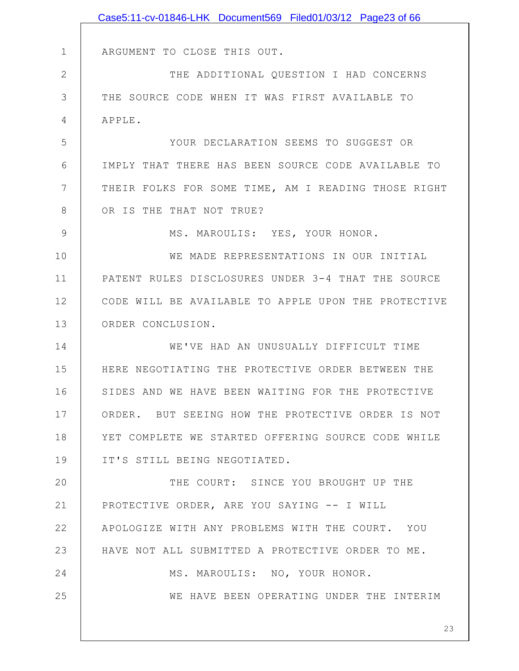|               | Case5:11-cv-01846-LHK Document569 Filed01/03/12 Page23 of 66 |
|---------------|--------------------------------------------------------------|
|               |                                                              |
| $\mathbf 1$   | ARGUMENT TO CLOSE THIS OUT.                                  |
| $\mathbf{2}$  | THE ADDITIONAL QUESTION I HAD CONCERNS                       |
| 3             | THE SOURCE CODE WHEN IT WAS FIRST AVAILABLE TO               |
| 4             | APPLE.                                                       |
| 5             | YOUR DECLARATION SEEMS TO SUGGEST OR                         |
| 6             | IMPLY THAT THERE HAS BEEN SOURCE CODE AVAILABLE TO           |
| 7             | THEIR FOLKS FOR SOME TIME, AM I READING THOSE RIGHT          |
| 8             | OR IS THE THAT NOT TRUE?                                     |
| $\mathcal{G}$ | MS. MAROULIS: YES, YOUR HONOR.                               |
| 10            | WE MADE REPRESENTATIONS IN OUR INITIAL                       |
| 11            | PATENT RULES DISCLOSURES UNDER 3-4 THAT THE SOURCE           |
| 12            | CODE WILL BE AVAILABLE TO APPLE UPON THE PROTECTIVE          |
| 13            | ORDER CONCLUSION.                                            |
| 14            | WE'VE HAD AN UNUSUALLY DIFFICULT TIME                        |
| 15            | HERE NEGOTIATING THE PROTECTIVE ORDER BETWEEN THE            |
| 16            | SIDES AND WE HAVE BEEN WAITING FOR THE PROTECTIVE            |
| 17            | ORDER. BUT SEEING HOW THE PROTECTIVE ORDER IS NOT            |
| 18            | YET COMPLETE WE STARTED OFFERING SOURCE CODE WHILE           |
| 19            | IT'S STILL BEING NEGOTIATED.                                 |
| 20            | THE COURT: SINCE YOU BROUGHT UP THE                          |
| 21            | PROTECTIVE ORDER, ARE YOU SAYING -- I WILL                   |
| 22            | APOLOGIZE WITH ANY PROBLEMS WITH THE COURT. YOU              |
| 23            | HAVE NOT ALL SUBMITTED A PROTECTIVE ORDER TO ME.             |
| 24            | MS. MAROULIS: NO, YOUR HONOR.                                |
| 25            | WE HAVE BEEN OPERATING UNDER THE INTERIM                     |
|               |                                                              |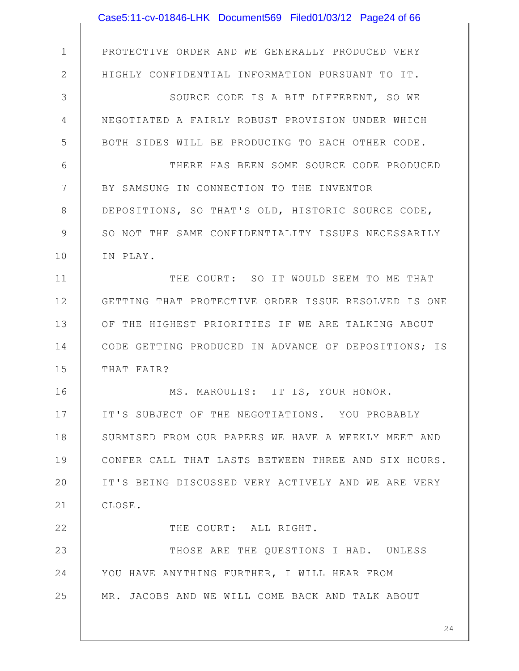|                | Case5:11-cv-01846-LHK Document569 Filed01/03/12 Page24 of 66 |
|----------------|--------------------------------------------------------------|
|                |                                                              |
| $\mathbf 1$    | PROTECTIVE ORDER AND WE GENERALLY PRODUCED VERY              |
| $\mathbf{2}$   | HIGHLY CONFIDENTIAL INFORMATION PURSUANT TO IT.              |
| 3              | SOURCE CODE IS A BIT DIFFERENT, SO WE                        |
| $\overline{4}$ | NEGOTIATED A FAIRLY ROBUST PROVISION UNDER WHICH             |
| 5              | BOTH SIDES WILL BE PRODUCING TO EACH OTHER CODE.             |
| 6              | THERE HAS BEEN SOME SOURCE CODE PRODUCED                     |
| 7              | BY SAMSUNG IN CONNECTION TO THE INVENTOR                     |
| $8\,$          | DEPOSITIONS, SO THAT'S OLD, HISTORIC SOURCE CODE,            |
| $\mathcal{G}$  | SO NOT THE SAME CONFIDENTIALITY ISSUES NECESSARILY           |
| 10             | IN PLAY.                                                     |
| 11             | THE COURT: SO IT WOULD SEEM TO ME THAT                       |
| 12             | GETTING THAT PROTECTIVE ORDER ISSUE RESOLVED IS ONE          |
| 13             | OF THE HIGHEST PRIORITIES IF WE ARE TALKING ABOUT            |
| 14             | CODE GETTING PRODUCED IN ADVANCE OF DEPOSITIONS; IS          |
| 15             | THAT FAIR?                                                   |
| 16             | MS. MAROULIS: IT IS, YOUR HONOR.                             |
| 17             | IT'S SUBJECT OF THE NEGOTIATIONS. YOU PROBABLY               |
| 18             | SURMISED FROM OUR PAPERS WE HAVE A WEEKLY MEET AND           |
| 19             | CONFER CALL THAT LASTS BETWEEN THREE AND SIX HOURS.          |
| 20             | IT'S BEING DISCUSSED VERY ACTIVELY AND WE ARE VERY           |
| 21             | CLOSE.                                                       |
| 22             | THE COURT: ALL RIGHT.                                        |
| 23             | THOSE ARE THE QUESTIONS I HAD. UNLESS                        |
| 24             | YOU HAVE ANYTHING FURTHER, I WILL HEAR FROM                  |
| 25             | MR. JACOBS AND WE WILL COME BACK AND TALK ABOUT              |
|                |                                                              |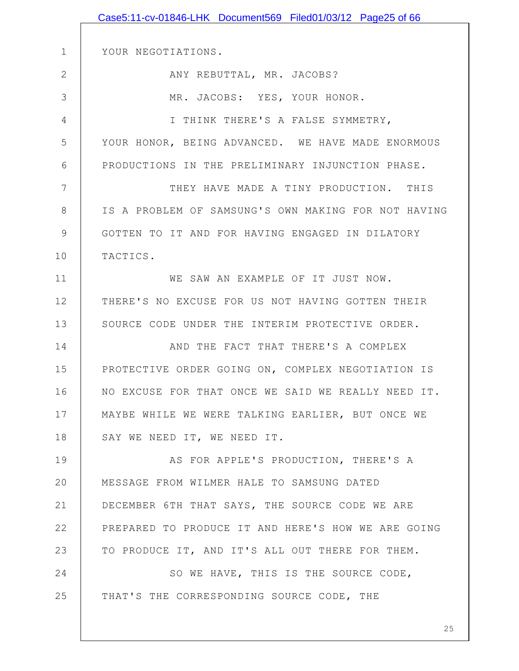|                | Case5:11-cv-01846-LHK Document569 Filed01/03/12 Page25 of 66 |
|----------------|--------------------------------------------------------------|
|                |                                                              |
| $\mathbf 1$    | YOUR NEGOTIATIONS.                                           |
| $\mathbf{2}$   | ANY REBUTTAL, MR. JACOBS?                                    |
| 3              | MR. JACOBS: YES, YOUR HONOR.                                 |
| $\overline{4}$ | I THINK THERE'S A FALSE SYMMETRY,                            |
| 5              | YOUR HONOR, BEING ADVANCED. WE HAVE MADE ENORMOUS            |
| $6\,$          | PRODUCTIONS IN THE PRELIMINARY INJUNCTION PHASE.             |
| 7              | THEY HAVE MADE A TINY PRODUCTION. THIS                       |
| $8\,$          | IS A PROBLEM OF SAMSUNG'S OWN MAKING FOR NOT HAVING          |
| $\mathcal{G}$  | GOTTEN TO IT AND FOR HAVING ENGAGED IN DILATORY              |
| 10             | TACTICS.                                                     |
| 11             | WE SAW AN EXAMPLE OF IT JUST NOW.                            |
| 12             | THERE'S NO EXCUSE FOR US NOT HAVING GOTTEN THEIR             |
| 13             | SOURCE CODE UNDER THE INTERIM PROTECTIVE ORDER.              |
| 14             | AND THE FACT THAT THERE'S A COMPLEX                          |
| 15             | PROTECTIVE ORDER GOING ON, COMPLEX NEGOTIATION IS            |
| 16             | NO EXCUSE FOR THAT ONCE WE SAID WE REALLY NEED IT.           |
| 17             | MAYBE WHILE WE WERE TALKING EARLIER, BUT ONCE WE             |
| 18             | SAY WE NEED IT, WE NEED IT.                                  |
| 19             | AS FOR APPLE'S PRODUCTION, THERE'S A                         |
| 20             | MESSAGE FROM WILMER HALE TO SAMSUNG DATED                    |
| 21             | DECEMBER 6TH THAT SAYS, THE SOURCE CODE WE ARE               |
| 22             | PREPARED TO PRODUCE IT AND HERE'S HOW WE ARE GOING           |
| 23             | TO PRODUCE IT, AND IT'S ALL OUT THERE FOR THEM.              |
| 24             | SO WE HAVE, THIS IS THE SOURCE CODE,                         |
| 25             | THAT'S THE CORRESPONDING SOURCE CODE, THE                    |
|                |                                                              |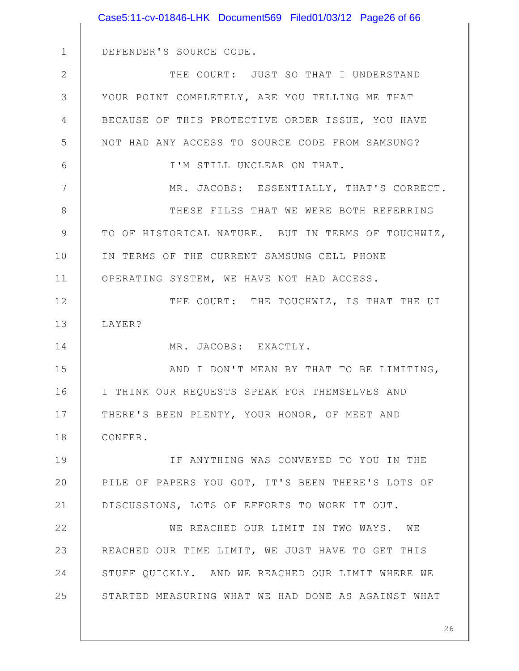|                | Case5:11-cv-01846-LHK Document569 Filed01/03/12 Page26 of 66 |
|----------------|--------------------------------------------------------------|
|                |                                                              |
| $\mathbf 1$    | DEFENDER'S SOURCE CODE.                                      |
| $\mathbf{2}$   | THE COURT: JUST SO THAT I UNDERSTAND                         |
| 3              | YOUR POINT COMPLETELY, ARE YOU TELLING ME THAT               |
| $\overline{4}$ | BECAUSE OF THIS PROTECTIVE ORDER ISSUE, YOU HAVE             |
| 5              | NOT HAD ANY ACCESS TO SOURCE CODE FROM SAMSUNG?              |
| 6              | I'M STILL UNCLEAR ON THAT.                                   |
| 7              | MR. JACOBS: ESSENTIALLY, THAT'S CORRECT.                     |
| 8              | THESE FILES THAT WE WERE BOTH REFERRING                      |
| $\mathcal{G}$  | TO OF HISTORICAL NATURE. BUT IN TERMS OF TOUCHWIZ,           |
| 10             | IN TERMS OF THE CURRENT SAMSUNG CELL PHONE                   |
| 11             | OPERATING SYSTEM, WE HAVE NOT HAD ACCESS.                    |
| 12             | THE COURT: THE TOUCHWIZ, IS THAT THE UI                      |
| 13             | LAYER?                                                       |
| 14             | MR. JACOBS: EXACTLY.                                         |
| 15             | AND I DON'T MEAN BY THAT TO BE LIMITING,                     |
| 16             | I THINK OUR REQUESTS SPEAK FOR THEMSELVES AND                |
| 17             | THERE'S BEEN PLENTY, YOUR HONOR, OF MEET AND                 |
| 18             | CONFER.                                                      |
| 19             | IF ANYTHING WAS CONVEYED TO YOU IN THE                       |
| 20             | PILE OF PAPERS YOU GOT, IT'S BEEN THERE'S LOTS OF            |
| 21             | DISCUSSIONS, LOTS OF EFFORTS TO WORK IT OUT.                 |
| 22             | WE REACHED OUR LIMIT IN TWO WAYS. WE                         |
| 23             | REACHED OUR TIME LIMIT, WE JUST HAVE TO GET THIS             |
| 24             | STUFF QUICKLY. AND WE REACHED OUR LIMIT WHERE WE             |
| 25             | STARTED MEASURING WHAT WE HAD DONE AS AGAINST WHAT           |
|                |                                                              |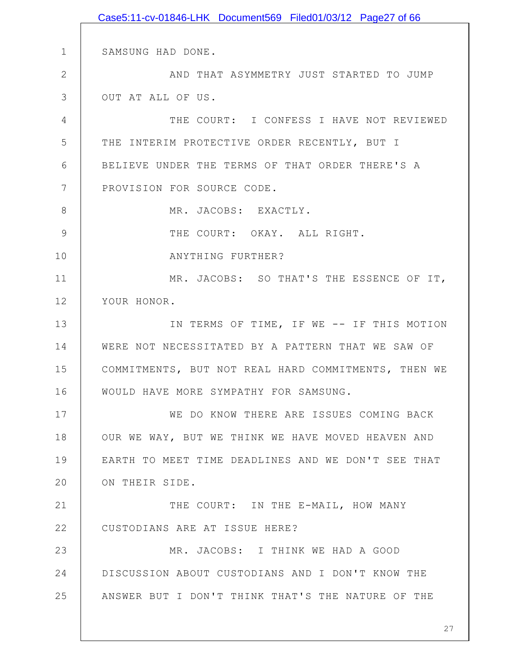1 2 3 4 5 6 7 8 9 10 11 12 13 14 15 16 17 18 19 20 21 22 23 24 25 SAMSUNG HAD DONE. AND THAT ASYMMETRY JUST STARTED TO JUMP OUT AT ALL OF US. THE COURT: I CONFESS I HAVE NOT REVIEWED THE INTERIM PROTECTIVE ORDER RECENTLY, BUT I BELIEVE UNDER THE TERMS OF THAT ORDER THERE'S A PROVISION FOR SOURCE CODE. MR. JACOBS: EXACTLY. THE COURT: OKAY. ALL RIGHT. ANYTHING FURTHER? MR. JACOBS: SO THAT'S THE ESSENCE OF IT, YOUR HONOR. IN TERMS OF TIME, IF WE -- IF THIS MOTION WERE NOT NECESSITATED BY A PATTERN THAT WE SAW OF COMMITMENTS, BUT NOT REAL HARD COMMITMENTS, THEN WE WOULD HAVE MORE SYMPATHY FOR SAMSUNG. WE DO KNOW THERE ARE ISSUES COMING BACK OUR WE WAY, BUT WE THINK WE HAVE MOVED HEAVEN AND EARTH TO MEET TIME DEADLINES AND WE DON'T SEE THAT ON THEIR SIDE. THE COURT: IN THE E-MAIL, HOW MANY CUSTODIANS ARE AT ISSUE HERE? MR. JACOBS: I THINK WE HAD A GOOD DISCUSSION ABOUT CUSTODIANS AND I DON'T KNOW THE ANSWER BUT I DON'T THINK THAT'S THE NATURE OF THE Case5:11-cv-01846-LHK Document569 Filed01/03/12 Page27 of 66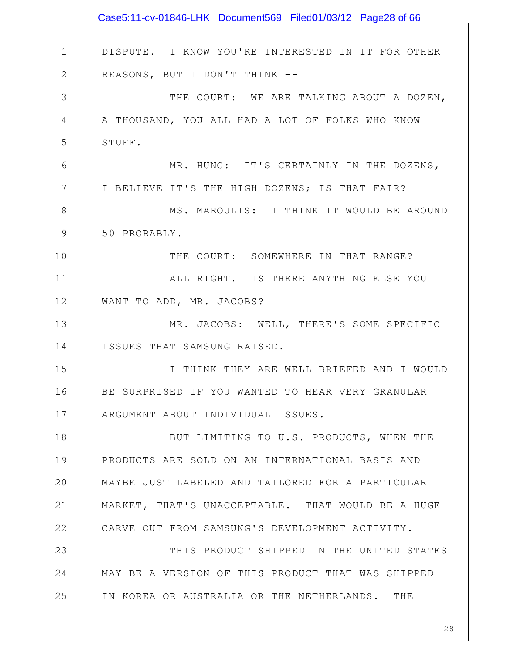|               | Case5:11-cv-01846-LHK Document569 Filed01/03/12 Page28 of 66 |
|---------------|--------------------------------------------------------------|
|               |                                                              |
| $\mathbf 1$   | DISPUTE. I KNOW YOU'RE INTERESTED IN IT FOR OTHER            |
| $\mathbf{2}$  | REASONS, BUT I DON'T THINK --                                |
| 3             | THE COURT: WE ARE TALKING ABOUT A DOZEN,                     |
| 4             | A THOUSAND, YOU ALL HAD A LOT OF FOLKS WHO KNOW              |
| 5             | STUFF.                                                       |
| 6             | MR. HUNG: IT'S CERTAINLY IN THE DOZENS,                      |
| 7             | I BELIEVE IT'S THE HIGH DOZENS; IS THAT FAIR?                |
| 8             | MS. MAROULIS: I THINK IT WOULD BE AROUND                     |
| $\mathcal{G}$ | 50 PROBABLY.                                                 |
| 10            | THE COURT: SOMEWHERE IN THAT RANGE?                          |
| 11            | ALL RIGHT. IS THERE ANYTHING ELSE YOU                        |
| 12            | WANT TO ADD, MR. JACOBS?                                     |
| 13            | MR. JACOBS: WELL, THERE'S SOME SPECIFIC                      |
| 14            | ISSUES THAT SAMSUNG RAISED.                                  |
| 15            | I THINK THEY ARE WELL BRIEFED AND I WOULD                    |
| 16            | BE SURPRISED IF YOU WANTED TO HEAR VERY GRANULAR             |
| 17            | ARGUMENT ABOUT INDIVIDUAL ISSUES.                            |
| 18            | BUT LIMITING TO U.S. PRODUCTS, WHEN THE                      |
| 19            | PRODUCTS ARE SOLD ON AN INTERNATIONAL BASIS AND              |
| 20            | MAYBE JUST LABELED AND TAILORED FOR A PARTICULAR             |
| 21            | MARKET, THAT'S UNACCEPTABLE. THAT WOULD BE A HUGE            |
| 22            | CARVE OUT FROM SAMSUNG'S DEVELOPMENT ACTIVITY.               |
| 23            | THIS PRODUCT SHIPPED IN THE UNITED STATES                    |
| 24            | MAY BE A VERSION OF THIS PRODUCT THAT WAS SHIPPED            |
| 25            | IN KOREA OR AUSTRALIA OR THE NETHERLANDS. THE                |
|               |                                                              |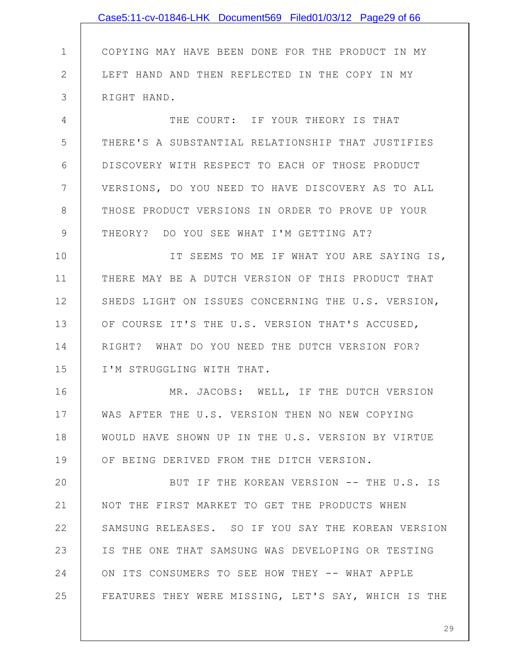|                | Case5:11-cv-01846-LHK Document569 Filed01/03/12 Page29 of 66 |
|----------------|--------------------------------------------------------------|
|                |                                                              |
| $\mathbf 1$    | COPYING MAY HAVE BEEN DONE FOR THE PRODUCT IN MY             |
| $\mathbf{2}$   | LEFT HAND AND THEN REFLECTED IN THE COPY IN MY               |
| $\mathfrak{Z}$ | RIGHT HAND.                                                  |
| 4              | THE COURT: IF YOUR THEORY IS THAT                            |
| 5              | THERE'S A SUBSTANTIAL RELATIONSHIP THAT JUSTIFIES            |
| 6              | DISCOVERY WITH RESPECT TO EACH OF THOSE PRODUCT              |
| 7              | VERSIONS, DO YOU NEED TO HAVE DISCOVERY AS TO ALL            |
| 8              | THOSE PRODUCT VERSIONS IN ORDER TO PROVE UP YOUR             |
| $\mathcal{G}$  | THEORY? DO YOU SEE WHAT I'M GETTING AT?                      |
| 10             | IT SEEMS TO ME IF WHAT YOU ARE SAYING IS,                    |
| 11             | THERE MAY BE A DUTCH VERSION OF THIS PRODUCT THAT            |
| 12             | SHEDS LIGHT ON ISSUES CONCERNING THE U.S. VERSION,           |
| 13             | OF COURSE IT'S THE U.S. VERSION THAT'S ACCUSED,              |
| 14             | RIGHT? WHAT DO YOU NEED THE DUTCH VERSION FOR?               |
| 15             | I'M STRUGGLING WITH THAT.                                    |
| 16             | MR. JACOBS: WELL, IF THE DUTCH VERSION                       |
| 17             | WAS AFTER THE U.S. VERSION THEN NO NEW COPYING               |
| 18             | WOULD HAVE SHOWN UP IN THE U.S. VERSION BY VIRTUE            |
| 19             | OF BEING DERIVED FROM THE DITCH VERSION.                     |
| 20             | BUT IF THE KOREAN VERSION -- THE U.S. IS                     |
| 21             | NOT THE FIRST MARKET TO GET THE PRODUCTS WHEN                |
| 22             | SAMSUNG RELEASES. SO IF YOU SAY THE KOREAN VERSION           |
| 23             | IS THE ONE THAT SAMSUNG WAS DEVELOPING OR TESTING            |
| 24             | ON ITS CONSUMERS TO SEE HOW THEY -- WHAT APPLE               |
| 25             | FEATURES THEY WERE MISSING, LET'S SAY, WHICH IS THE          |
|                |                                                              |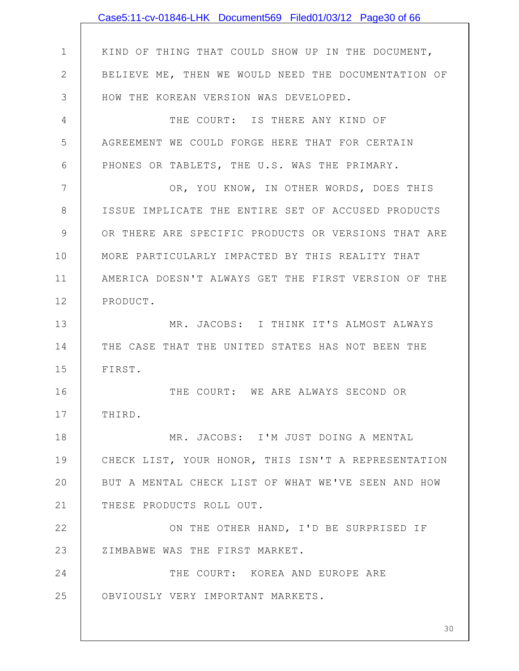|                | Case5:11-cv-01846-LHK Document569 Filed01/03/12 Page30 of 66 |
|----------------|--------------------------------------------------------------|
|                |                                                              |
| $\mathbf 1$    | KIND OF THING THAT COULD SHOW UP IN THE DOCUMENT,            |
| $\mathbf{2}$   | BELIEVE ME, THEN WE WOULD NEED THE DOCUMENTATION OF          |
| 3              | HOW THE KOREAN VERSION WAS DEVELOPED.                        |
| $\overline{4}$ | THE COURT: IS THERE ANY KIND OF                              |
| 5              | AGREEMENT WE COULD FORGE HERE THAT FOR CERTAIN               |
| 6              | PHONES OR TABLETS, THE U.S. WAS THE PRIMARY.                 |
| 7              | OR, YOU KNOW, IN OTHER WORDS, DOES THIS                      |
| 8              | ISSUE IMPLICATE THE ENTIRE SET OF ACCUSED PRODUCTS           |
| 9              | OR THERE ARE SPECIFIC PRODUCTS OR VERSIONS THAT ARE          |
| 10             | MORE PARTICULARLY IMPACTED BY THIS REALITY THAT              |
| 11             | AMERICA DOESN'T ALWAYS GET THE FIRST VERSION OF THE          |
| 12             | PRODUCT.                                                     |
| 13             | MR. JACOBS: I THINK IT'S ALMOST ALWAYS                       |
| 14             | THE CASE THAT THE UNITED STATES HAS NOT BEEN THE             |
| 15             | FIRST.                                                       |
| 16             | THE COURT: WE ARE ALWAYS SECOND OR                           |
| 17             | THIRD.                                                       |
| 18             | MR. JACOBS: I'M JUST DOING A MENTAL                          |
| 19             | CHECK LIST, YOUR HONOR, THIS ISN'T A REPRESENTATION          |
| 20             | BUT A MENTAL CHECK LIST OF WHAT WE'VE SEEN AND HOW           |
| 21             | THESE PRODUCTS ROLL OUT.                                     |
| 22             | ON THE OTHER HAND, I'D BE SURPRISED IF                       |
| 23             | ZIMBABWE WAS THE FIRST MARKET.                               |
| 24             | THE COURT: KOREA AND EUROPE ARE                              |
| 25             | OBVIOUSLY VERY IMPORTANT MARKETS.                            |
|                |                                                              |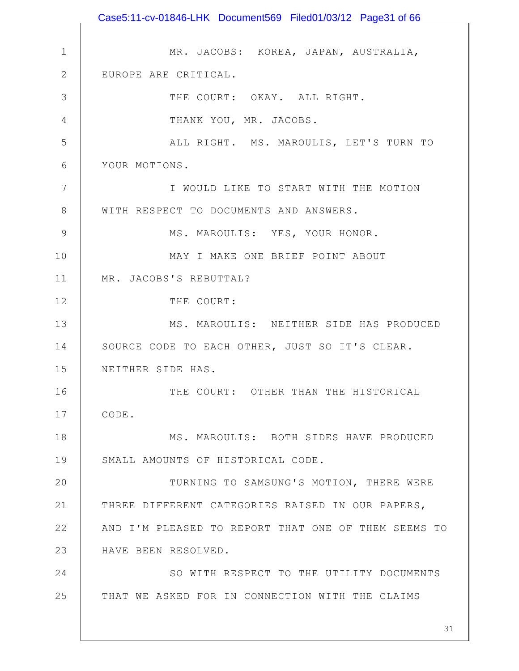1 2 3 4 5 6 7 8 9 10 11 12 13 14 15 16 17 18 19 20 21 22 23 24 25 MR. JACOBS: KOREA, JAPAN, AUSTRALIA, EUROPE ARE CRITICAL. THE COURT: OKAY. ALL RIGHT. THANK YOU, MR. JACOBS. ALL RIGHT. MS. MAROULIS, LET'S TURN TO YOUR MOTIONS. I WOULD LIKE TO START WITH THE MOTION WITH RESPECT TO DOCUMENTS AND ANSWERS. MS. MAROULIS: YES, YOUR HONOR. MAY I MAKE ONE BRIEF POINT ABOUT MR. JACOBS'S REBUTTAL? THE COURT: MS. MAROULIS: NEITHER SIDE HAS PRODUCED SOURCE CODE TO EACH OTHER, JUST SO IT'S CLEAR. NEITHER SIDE HAS. THE COURT: OTHER THAN THE HISTORICAL CODE. MS. MAROULIS: BOTH SIDES HAVE PRODUCED SMALL AMOUNTS OF HISTORICAL CODE. TURNING TO SAMSUNG'S MOTION, THERE WERE THREE DIFFERENT CATEGORIES RAISED IN OUR PAPERS, AND I'M PLEASED TO REPORT THAT ONE OF THEM SEEMS TO HAVE BEEN RESOLVED. SO WITH RESPECT TO THE UTILITY DOCUMENTS THAT WE ASKED FOR IN CONNECTION WITH THE CLAIMS Case5:11-cv-01846-LHK Document569 Filed01/03/12 Page31 of 66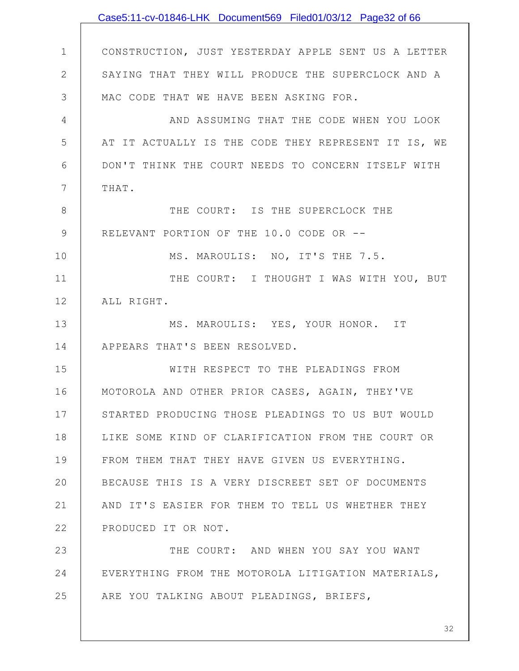1 2 3 4 5 6 7 8 9 10 11 12 13 14 15 16 17 18 19 20 21 22 23 24 25 CONSTRUCTION, JUST YESTERDAY APPLE SENT US A LETTER SAYING THAT THEY WILL PRODUCE THE SUPERCLOCK AND A MAC CODE THAT WE HAVE BEEN ASKING FOR. AND ASSUMING THAT THE CODE WHEN YOU LOOK AT IT ACTUALLY IS THE CODE THEY REPRESENT IT IS, WE DON'T THINK THE COURT NEEDS TO CONCERN ITSELF WITH THAT. THE COURT: IS THE SUPERCLOCK THE RELEVANT PORTION OF THE 10.0 CODE OR -- MS. MAROULIS: NO, IT'S THE 7.5. THE COURT: I THOUGHT I WAS WITH YOU, BUT ALL RIGHT. MS. MAROULIS: YES, YOUR HONOR. IT APPEARS THAT'S BEEN RESOLVED. WITH RESPECT TO THE PLEADINGS FROM MOTOROLA AND OTHER PRIOR CASES, AGAIN, THEY'VE STARTED PRODUCING THOSE PLEADINGS TO US BUT WOULD LIKE SOME KIND OF CLARIFICATION FROM THE COURT OR FROM THEM THAT THEY HAVE GIVEN US EVERYTHING. BECAUSE THIS IS A VERY DISCREET SET OF DOCUMENTS AND IT'S EASIER FOR THEM TO TELL US WHETHER THEY PRODUCED IT OR NOT. THE COURT: AND WHEN YOU SAY YOU WANT EVERYTHING FROM THE MOTOROLA LITIGATION MATERIALS, ARE YOU TALKING ABOUT PLEADINGS, BRIEFS, Case5:11-cv-01846-LHK Document569 Filed01/03/12 Page32 of 66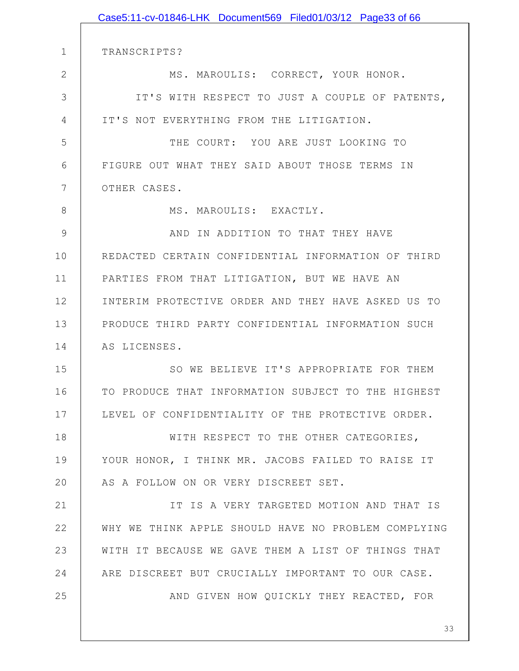|               | Case5:11-cv-01846-LHK Document569 Filed01/03/12 Page33 of 66 |
|---------------|--------------------------------------------------------------|
|               |                                                              |
| $\mathbf{1}$  | TRANSCRIPTS?                                                 |
| $\mathbf{2}$  | MS. MAROULIS: CORRECT, YOUR HONOR.                           |
| 3             | IT'S WITH RESPECT TO JUST A COUPLE OF PATENTS,               |
| 4             | IT'S NOT EVERYTHING FROM THE LITIGATION.                     |
| 5             | THE COURT: YOU ARE JUST LOOKING TO                           |
| 6             | FIGURE OUT WHAT THEY SAID ABOUT THOSE TERMS IN               |
| 7             | OTHER CASES.                                                 |
| 8             | MS. MAROULIS: EXACTLY.                                       |
| $\mathcal{G}$ | AND IN ADDITION TO THAT THEY HAVE                            |
| 10            | REDACTED CERTAIN CONFIDENTIAL INFORMATION OF THIRD           |
| 11            | PARTIES FROM THAT LITIGATION, BUT WE HAVE AN                 |
| 12            | INTERIM PROTECTIVE ORDER AND THEY HAVE ASKED US TO           |
| 13            | PRODUCE THIRD PARTY CONFIDENTIAL INFORMATION SUCH            |
| 14            | AS LICENSES.                                                 |
| 15            | SO WE BELIEVE IT'S APPROPRIATE FOR THEM                      |
| 16            | TO PRODUCE THAT INFORMATION SUBJECT TO THE HIGHEST           |
| 17            | LEVEL OF CONFIDENTIALITY OF THE PROTECTIVE ORDER.            |
| 18            | WITH RESPECT TO THE OTHER CATEGORIES,                        |
| 19            | YOUR HONOR, I THINK MR. JACOBS FAILED TO RAISE IT            |
| 20            | AS A FOLLOW ON OR VERY DISCREET SET.                         |
| 21            | IT IS A VERY TARGETED MOTION AND THAT IS                     |
| 22            | WHY WE THINK APPLE SHOULD HAVE NO PROBLEM COMPLYING          |
| 23            | WITH IT BECAUSE WE GAVE THEM A LIST OF THINGS THAT           |
| 24            | ARE DISCREET BUT CRUCIALLY IMPORTANT TO OUR CASE.            |
| 25            | AND GIVEN HOW QUICKLY THEY REACTED, FOR                      |
|               |                                                              |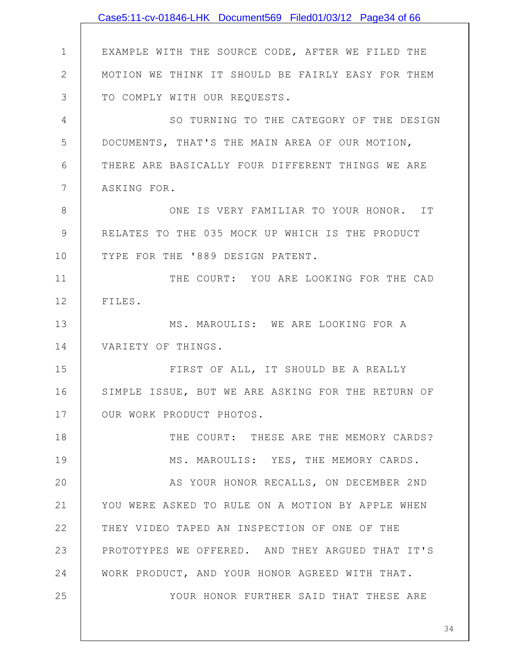|                | Case5:11-cv-01846-LHK Document569 Filed01/03/12 Page34 of 66 |
|----------------|--------------------------------------------------------------|
|                |                                                              |
| $\mathbf 1$    | EXAMPLE WITH THE SOURCE CODE, AFTER WE FILED THE             |
| $\overline{2}$ | MOTION WE THINK IT SHOULD BE FAIRLY EASY FOR THEM            |
| 3              | TO COMPLY WITH OUR REQUESTS.                                 |
| 4              | SO TURNING TO THE CATEGORY OF THE DESIGN                     |
| 5              | DOCUMENTS, THAT'S THE MAIN AREA OF OUR MOTION,               |
| 6              | THERE ARE BASICALLY FOUR DIFFERENT THINGS WE ARE             |
| 7              | ASKING FOR.                                                  |
| 8              | ONE IS VERY FAMILIAR TO YOUR HONOR. IT                       |
| $\mathcal{G}$  | RELATES TO THE 035 MOCK UP WHICH IS THE PRODUCT              |
| 10             | TYPE FOR THE '889 DESIGN PATENT.                             |
| 11             | THE COURT: YOU ARE LOOKING FOR THE CAD                       |
| 12             | FILES.                                                       |
| 13             | MS. MAROULIS: WE ARE LOOKING FOR A                           |
| 14             | VARIETY OF THINGS.                                           |
| 15             | FIRST OF ALL, IT SHOULD BE A REALLY                          |
| 16             | SIMPLE ISSUE, BUT WE ARE ASKING FOR THE RETURN OF            |
| 17             | OUR WORK PRODUCT PHOTOS.                                     |
| 18             | THE COURT: THESE ARE THE MEMORY CARDS?                       |
| 19             | MS. MAROULIS: YES, THE MEMORY CARDS.                         |
| 20             | AS YOUR HONOR RECALLS, ON DECEMBER 2ND                       |
| 21             | YOU WERE ASKED TO RULE ON A MOTION BY APPLE WHEN             |
| 22             | THEY VIDEO TAPED AN INSPECTION OF ONE OF THE                 |
| 23             | PROTOTYPES WE OFFERED. AND THEY ARGUED THAT IT'S             |
| 24             | WORK PRODUCT, AND YOUR HONOR AGREED WITH THAT.               |
| 25             | YOUR HONOR FURTHER SAID THAT THESE ARE                       |
|                |                                                              |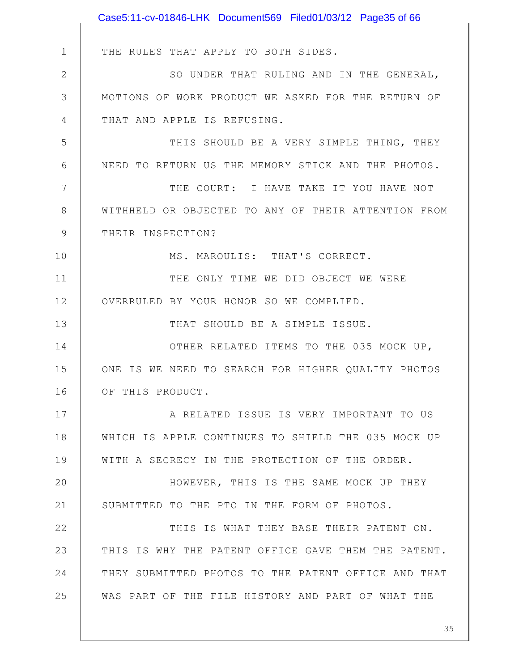|               | Case5:11-cv-01846-LHK Document569 Filed01/03/12 Page35 of 66 |
|---------------|--------------------------------------------------------------|
|               |                                                              |
| $\mathbf 1$   | THE RULES THAT APPLY TO BOTH SIDES.                          |
| $\mathbf{2}$  | SO UNDER THAT RULING AND IN THE GENERAL,                     |
| 3             | MOTIONS OF WORK PRODUCT WE ASKED FOR THE RETURN OF           |
| 4             | THAT AND APPLE IS REFUSING.                                  |
| 5             | THIS SHOULD BE A VERY SIMPLE THING, THEY                     |
| 6             | NEED TO RETURN US THE MEMORY STICK AND THE PHOTOS.           |
| 7             | THE COURT: I HAVE TAKE IT YOU HAVE NOT                       |
| 8             | WITHHELD OR OBJECTED TO ANY OF THEIR ATTENTION FROM          |
| $\mathcal{G}$ | THEIR INSPECTION?                                            |
| 10            | MS. MAROULIS: THAT'S CORRECT.                                |
| 11            | THE ONLY TIME WE DID OBJECT WE WERE                          |
| 12            | OVERRULED BY YOUR HONOR SO WE COMPLIED.                      |
| 13            | THAT SHOULD BE A SIMPLE ISSUE.                               |
| 14            | OTHER RELATED ITEMS TO THE 035 MOCK UP,                      |
| 15            | ONE IS WE NEED TO SEARCH FOR HIGHER QUALITY PHOTOS           |
| 16            | OF THIS PRODUCT.                                             |
| 17            | A RELATED ISSUE IS VERY IMPORTANT TO US                      |
| 18            | WHICH IS APPLE CONTINUES TO SHIELD THE 035 MOCK UP           |
| 19            | WITH A SECRECY IN THE PROTECTION OF THE ORDER.               |
| 20            | HOWEVER, THIS IS THE SAME MOCK UP THEY                       |
| 21            | SUBMITTED TO THE PTO IN THE FORM OF PHOTOS.                  |
| 22            | THIS IS WHAT THEY BASE THEIR PATENT ON.                      |
| 23            | THIS IS WHY THE PATENT OFFICE GAVE THEM THE PATENT.          |
| 24            | THEY SUBMITTED PHOTOS TO THE PATENT OFFICE AND THAT          |
| 25            | WAS PART OF THE FILE HISTORY AND PART OF WHAT THE            |
|               |                                                              |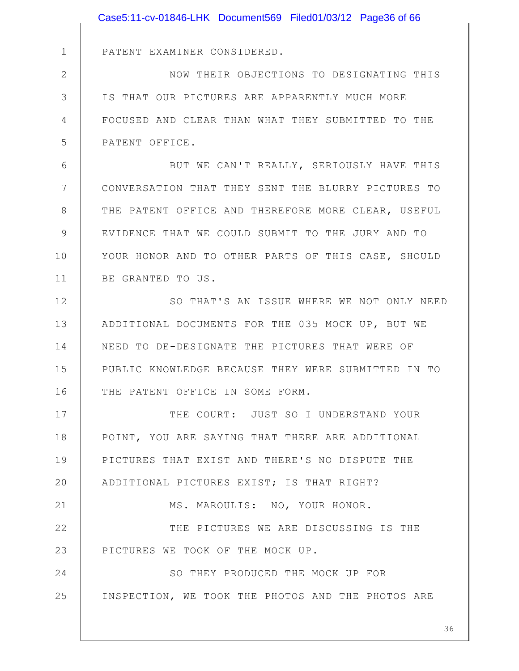|              | Case5:11-cv-01846-LHK Document569 Filed01/03/12 Page36 of 66 |
|--------------|--------------------------------------------------------------|
|              |                                                              |
| $\mathbf 1$  | PATENT EXAMINER CONSIDERED.                                  |
| $\mathbf{2}$ | NOW THEIR OBJECTIONS TO DESIGNATING THIS                     |
| 3            | IS THAT OUR PICTURES ARE APPARENTLY MUCH MORE                |
| 4            | FOCUSED AND CLEAR THAN WHAT THEY SUBMITTED TO THE            |
| 5            | PATENT OFFICE.                                               |
| 6            | BUT WE CAN'T REALLY, SERIOUSLY HAVE THIS                     |
| 7            | CONVERSATION THAT THEY SENT THE BLURRY PICTURES TO           |
| 8            | THE PATENT OFFICE AND THEREFORE MORE CLEAR, USEFUL           |
| 9            | EVIDENCE THAT WE COULD SUBMIT TO THE JURY AND TO             |
| 10           | YOUR HONOR AND TO OTHER PARTS OF THIS CASE, SHOULD           |
| 11           | BE GRANTED TO US.                                            |
| 12           | SO THAT'S AN ISSUE WHERE WE NOT ONLY NEED                    |
| 13           | ADDITIONAL DOCUMENTS FOR THE 035 MOCK UP, BUT WE             |
| 14           | NEED TO DE-DESIGNATE THE PICTURES THAT WERE OF               |
| 15           | PUBLIC KNOWLEDGE BECAUSE THEY WERE SUBMITTED IN TO           |
| 16           | THE PATENT OFFICE IN SOME FORM.                              |
| 17           | THE COURT: JUST SO I UNDERSTAND YOUR                         |
| 18           | POINT, YOU ARE SAYING THAT THERE ARE ADDITIONAL              |
| 19           | PICTURES THAT EXIST AND THERE'S NO DISPUTE THE               |
| 20           | ADDITIONAL PICTURES EXIST; IS THAT RIGHT?                    |
| 21           | MS. MAROULIS: NO, YOUR HONOR.                                |
| 22           | THE PICTURES WE ARE DISCUSSING IS THE                        |
| 23           | PICTURES WE TOOK OF THE MOCK UP.                             |
| 24           | SO THEY PRODUCED THE MOCK UP FOR                             |
| 25           | INSPECTION, WE TOOK THE PHOTOS AND THE PHOTOS ARE            |
|              |                                                              |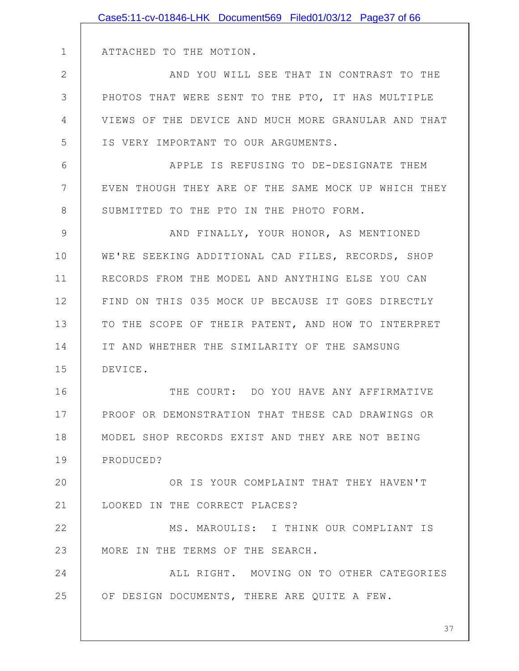|              | Case5:11-cv-01846-LHK Document569 Filed01/03/12 Page37 of 66 |
|--------------|--------------------------------------------------------------|
|              |                                                              |
| $\mathbf 1$  | ATTACHED TO THE MOTION.                                      |
| $\mathbf{2}$ | AND YOU WILL SEE THAT IN CONTRAST TO THE                     |
| 3            | PHOTOS THAT WERE SENT TO THE PTO, IT HAS MULTIPLE            |
| 4            | VIEWS OF THE DEVICE AND MUCH MORE GRANULAR AND THAT          |
| 5            | IS VERY IMPORTANT TO OUR ARGUMENTS.                          |
| 6            | APPLE IS REFUSING TO DE-DESIGNATE THEM                       |
| 7            | EVEN THOUGH THEY ARE OF THE SAME MOCK UP WHICH THEY          |
| 8            | SUBMITTED TO THE PTO IN THE PHOTO FORM.                      |
| 9            | AND FINALLY, YOUR HONOR, AS MENTIONED                        |
| 10           | WE'RE SEEKING ADDITIONAL CAD FILES, RECORDS, SHOP            |
| 11           | RECORDS FROM THE MODEL AND ANYTHING ELSE YOU CAN             |
| 12           | FIND ON THIS 035 MOCK UP BECAUSE IT GOES DIRECTLY            |
| 13           | TO THE SCOPE OF THEIR PATENT, AND HOW TO INTERPRET           |
| 14           | IT AND WHETHER THE SIMILARITY OF THE SAMSUNG                 |
| 15           | DEVICE.                                                      |
| 16           | THE COURT: DO YOU HAVE ANY AFFIRMATIVE                       |
| 17           | PROOF OR DEMONSTRATION THAT THESE CAD DRAWINGS OR            |
| 18           | MODEL SHOP RECORDS EXIST AND THEY ARE NOT BEING              |
| 19           | PRODUCED?                                                    |
| 20           | OR IS YOUR COMPLAINT THAT THEY HAVEN'T                       |
| 21           | LOOKED IN THE CORRECT PLACES?                                |
| 22           | MS. MAROULIS: I THINK OUR COMPLIANT IS                       |
| 23           | MORE IN THE TERMS OF THE SEARCH.                             |
| 24           | ALL RIGHT. MOVING ON TO OTHER CATEGORIES                     |
| 25           | OF DESIGN DOCUMENTS, THERE ARE QUITE A FEW.                  |
|              |                                                              |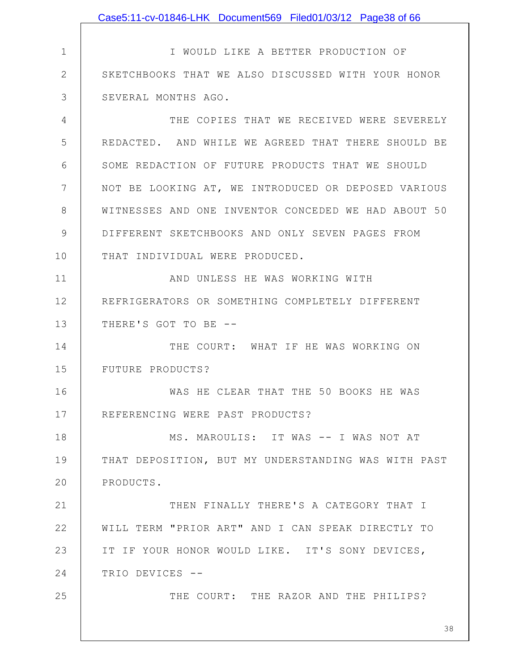|              | Case5:11-cv-01846-LHK Document569 Filed01/03/12 Page38 of 66 |
|--------------|--------------------------------------------------------------|
|              |                                                              |
| $\mathbf 1$  | I WOULD LIKE A BETTER PRODUCTION OF                          |
| $\mathbf{2}$ | SKETCHBOOKS THAT WE ALSO DISCUSSED WITH YOUR HONOR           |
| 3            | SEVERAL MONTHS AGO.                                          |
| 4            | THE COPIES THAT WE RECEIVED WERE SEVERELY                    |
| 5            | REDACTED. AND WHILE WE AGREED THAT THERE SHOULD BE           |
| 6            | SOME REDACTION OF FUTURE PRODUCTS THAT WE SHOULD             |
| 7            | NOT BE LOOKING AT, WE INTRODUCED OR DEPOSED VARIOUS          |
| 8            | WITNESSES AND ONE INVENTOR CONCEDED WE HAD ABOUT 50          |
| 9            | DIFFERENT SKETCHBOOKS AND ONLY SEVEN PAGES FROM              |
| 10           | THAT INDIVIDUAL WERE PRODUCED.                               |
| 11           | AND UNLESS HE WAS WORKING WITH                               |
| 12           | REFRIGERATORS OR SOMETHING COMPLETELY DIFFERENT              |
| 13           | THERE'S GOT TO BE --                                         |
| 14           | THE COURT: WHAT IF HE WAS WORKING ON                         |
| 15           | FUTURE PRODUCTS?                                             |
| 16           | WAS HE CLEAR THAT THE 50 BOOKS HE WAS                        |
| 17           | REFERENCING WERE PAST PRODUCTS?                              |
| 18           | MS. MAROULIS: IT WAS -- I WAS NOT AT                         |
| 19           | THAT DEPOSITION, BUT MY UNDERSTANDING WAS WITH PAST          |
| 20           | PRODUCTS.                                                    |
| 21           | THEN FINALLY THERE'S A CATEGORY THAT I                       |
| 22           | WILL TERM "PRIOR ART" AND I CAN SPEAK DIRECTLY TO            |
| 23           | IT IF YOUR HONOR WOULD LIKE. IT'S SONY DEVICES,              |
| 24           | TRIO DEVICES --                                              |
| 25           | THE COURT: THE RAZOR AND THE PHILIPS?                        |
|              | 38                                                           |
|              |                                                              |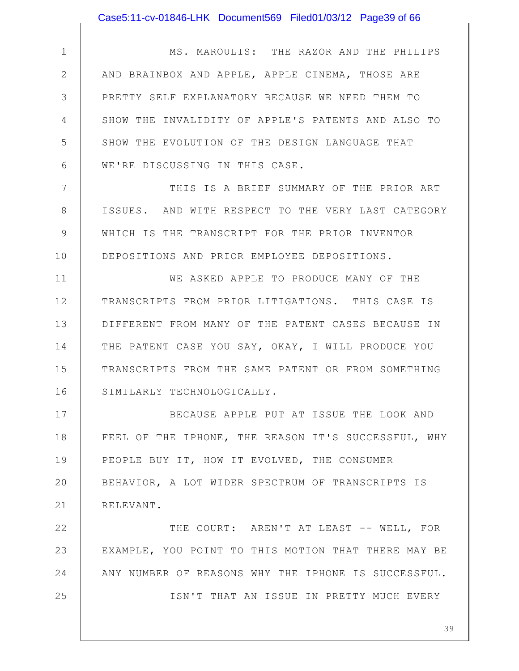|              | Case5:11-cv-01846-LHK Document569 Filed01/03/12 Page39 of 66 |
|--------------|--------------------------------------------------------------|
|              |                                                              |
| $\mathbf 1$  | MS. MAROULIS: THE RAZOR AND THE PHILIPS                      |
| $\mathbf{2}$ | AND BRAINBOX AND APPLE, APPLE CINEMA, THOSE ARE              |
| 3            | PRETTY SELF EXPLANATORY BECAUSE WE NEED THEM TO              |
| 4            | SHOW THE INVALIDITY OF APPLE'S PATENTS AND ALSO TO           |
| 5            | SHOW THE EVOLUTION OF THE DESIGN LANGUAGE THAT               |
| 6            | WE'RE DISCUSSING IN THIS CASE.                               |
| 7            | THIS IS A BRIEF SUMMARY OF THE PRIOR ART                     |
| $8\,$        | ISSUES. AND WITH RESPECT TO THE VERY LAST CATEGORY           |
| $\mathsf 9$  | WHICH IS THE TRANSCRIPT FOR THE PRIOR INVENTOR               |
| 10           | DEPOSITIONS AND PRIOR EMPLOYEE DEPOSITIONS.                  |
| 11           | WE ASKED APPLE TO PRODUCE MANY OF THE                        |
| 12           | TRANSCRIPTS FROM PRIOR LITIGATIONS. THIS CASE IS             |
| 13           | DIFFERENT FROM MANY OF THE PATENT CASES BECAUSE IN           |
| 14           | THE PATENT CASE YOU SAY, OKAY, I WILL PRODUCE YOU            |
| 15           | TRANSCRIPTS FROM THE SAME PATENT OR FROM SOMETHING           |
| 16           | SIMILARLY TECHNOLOGICALLY.                                   |
| 17           | BECAUSE APPLE PUT AT ISSUE THE LOOK AND                      |
| 18           | FEEL OF THE IPHONE, THE REASON IT'S SUCCESSFUL, WHY          |
| 19           | PEOPLE BUY IT, HOW IT EVOLVED, THE CONSUMER                  |
| 20           | BEHAVIOR, A LOT WIDER SPECTRUM OF TRANSCRIPTS IS             |
| 21           | RELEVANT.                                                    |
| 22           | THE COURT: AREN'T AT LEAST -- WELL, FOR                      |
| 23           | EXAMPLE, YOU POINT TO THIS MOTION THAT THERE MAY BE          |
| 24           | ANY NUMBER OF REASONS WHY THE IPHONE IS SUCCESSFUL.          |
| 25           | ISN'T THAT AN ISSUE IN PRETTY MUCH EVERY                     |
|              |                                                              |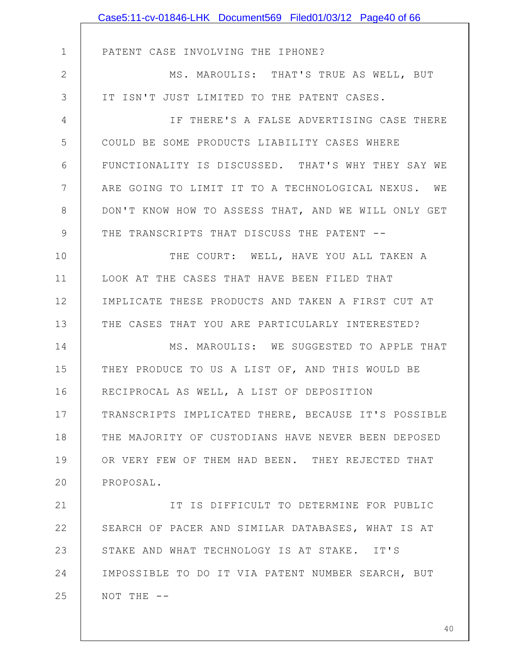|               | Case5:11-cv-01846-LHK Document569 Filed01/03/12 Page40 of 66 |
|---------------|--------------------------------------------------------------|
|               |                                                              |
| $\mathbf 1$   | PATENT CASE INVOLVING THE IPHONE?                            |
| $\mathbf{2}$  | MS. MAROULIS: THAT'S TRUE AS WELL, BUT                       |
| 3             | IT ISN'T JUST LIMITED TO THE PATENT CASES.                   |
| 4             | IF THERE'S A FALSE ADVERTISING CASE THERE                    |
| 5             | COULD BE SOME PRODUCTS LIABILITY CASES WHERE                 |
| 6             | FUNCTIONALITY IS DISCUSSED. THAT'S WHY THEY SAY WE           |
| 7             | ARE GOING TO LIMIT IT TO A TECHNOLOGICAL NEXUS. WE           |
| 8             | DON'T KNOW HOW TO ASSESS THAT, AND WE WILL ONLY GET          |
| $\mathcal{G}$ | THE TRANSCRIPTS THAT DISCUSS THE PATENT --                   |
| 10            | THE COURT: WELL, HAVE YOU ALL TAKEN A                        |
| 11            | LOOK AT THE CASES THAT HAVE BEEN FILED THAT                  |
| 12            | IMPLICATE THESE PRODUCTS AND TAKEN A FIRST CUT AT            |
| 13            | THE CASES THAT YOU ARE PARTICULARLY INTERESTED?              |
| 14            | MS. MAROULIS: WE SUGGESTED TO APPLE THAT                     |
| 15            | THEY PRODUCE TO US A LIST OF, AND THIS WOULD BE              |
| 16            | RECIPROCAL AS WELL, A LIST OF DEPOSITION                     |
| 17            | TRANSCRIPTS IMPLICATED THERE, BECAUSE IT'S POSSIBLE          |
| 18            | THE MAJORITY OF CUSTODIANS HAVE NEVER BEEN DEPOSED           |
| 19            | OR VERY FEW OF THEM HAD BEEN. THEY REJECTED THAT             |
| 20            | PROPOSAL.                                                    |
| 21            | IT IS DIFFICULT TO DETERMINE FOR PUBLIC                      |
| 22            | SEARCH OF PACER AND SIMILAR DATABASES, WHAT IS AT            |
| 23            | STAKE AND WHAT TECHNOLOGY IS AT STAKE. IT'S                  |
| 24            | IMPOSSIBLE TO DO IT VIA PATENT NUMBER SEARCH, BUT            |
| 25            | NOT THE --                                                   |
|               |                                                              |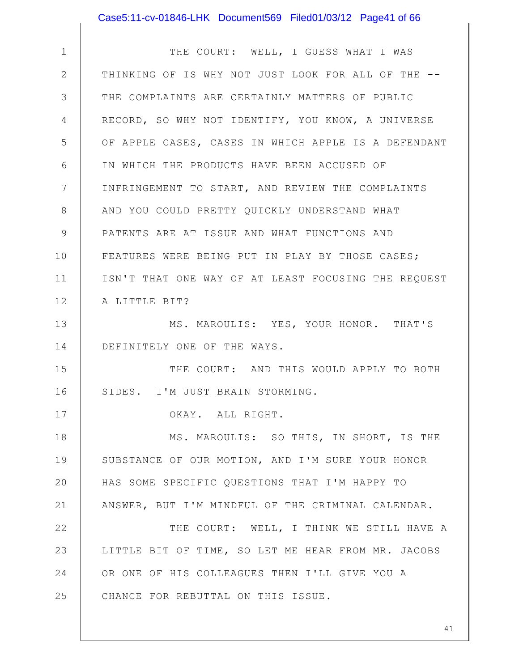|              | Case5:11-cv-01846-LHK Document569 Filed01/03/12 Page41 of 66 |
|--------------|--------------------------------------------------------------|
|              |                                                              |
| $\mathbf 1$  | THE COURT: WELL, I GUESS WHAT I WAS                          |
| $\mathbf{2}$ | THINKING OF IS WHY NOT JUST LOOK FOR ALL OF THE --           |
| 3            | THE COMPLAINTS ARE CERTAINLY MATTERS OF PUBLIC               |
| 4            | RECORD, SO WHY NOT IDENTIFY, YOU KNOW, A UNIVERSE            |
| 5            | OF APPLE CASES, CASES IN WHICH APPLE IS A DEFENDANT          |
| 6            | IN WHICH THE PRODUCTS HAVE BEEN ACCUSED OF                   |
| 7            | INFRINGEMENT TO START, AND REVIEW THE COMPLAINTS             |
| $8\,$        | AND YOU COULD PRETTY QUICKLY UNDERSTAND WHAT                 |
| $\mathsf 9$  | PATENTS ARE AT ISSUE AND WHAT FUNCTIONS AND                  |
| 10           | FEATURES WERE BEING PUT IN PLAY BY THOSE CASES;              |
| 11           | ISN'T THAT ONE WAY OF AT LEAST FOCUSING THE REQUEST          |
| 12           | A LITTLE BIT?                                                |
| 13           | MS. MAROULIS: YES, YOUR HONOR. THAT'S                        |
| 14           | DEFINITELY ONE OF THE WAYS.                                  |
| 15           | THE COURT: AND THIS WOULD APPLY TO BOTH                      |
| 16           | SIDES. I'M JUST BRAIN STORMING.                              |
| 17           | OKAY. ALL RIGHT.                                             |
| 18           | MS. MAROULIS: SO THIS, IN SHORT, IS THE                      |
| 19           | SUBSTANCE OF OUR MOTION, AND I'M SURE YOUR HONOR             |
| 20           | HAS SOME SPECIFIC QUESTIONS THAT I'M HAPPY TO                |
| 21           | ANSWER, BUT I'M MINDFUL OF THE CRIMINAL CALENDAR.            |
| 22           | THE COURT: WELL, I THINK WE STILL HAVE A                     |
| 23           | LITTLE BIT OF TIME, SO LET ME HEAR FROM MR. JACOBS           |
| 24           | OR ONE OF HIS COLLEAGUES THEN I'LL GIVE YOU A                |
| 25           | CHANCE FOR REBUTTAL ON THIS ISSUE.                           |
|              |                                                              |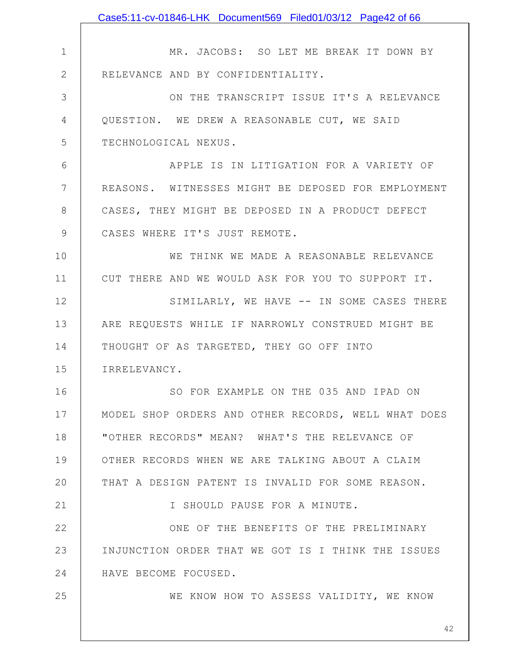|               | Case5:11-cv-01846-LHK Document569 Filed01/03/12 Page42 of 66 |
|---------------|--------------------------------------------------------------|
|               |                                                              |
| $\mathbf 1$   | MR. JACOBS: SO LET ME BREAK IT DOWN BY                       |
| $\mathbf{2}$  | RELEVANCE AND BY CONFIDENTIALITY.                            |
| 3             | ON THE TRANSCRIPT ISSUE IT'S A RELEVANCE                     |
| 4             | QUESTION. WE DREW A REASONABLE CUT, WE SAID                  |
| 5             | TECHNOLOGICAL NEXUS.                                         |
| 6             | APPLE IS IN LITIGATION FOR A VARIETY OF                      |
| 7             | REASONS. WITNESSES MIGHT BE DEPOSED FOR EMPLOYMENT           |
| 8             | CASES, THEY MIGHT BE DEPOSED IN A PRODUCT DEFECT             |
| $\mathcal{G}$ | CASES WHERE IT'S JUST REMOTE.                                |
| 10            | WE THINK WE MADE A REASONABLE RELEVANCE                      |
| 11            | CUT THERE AND WE WOULD ASK FOR YOU TO SUPPORT IT.            |
| 12            | SIMILARLY, WE HAVE -- IN SOME CASES THERE                    |
| 13            | ARE REQUESTS WHILE IF NARROWLY CONSTRUED MIGHT BE            |
| 14            | THOUGHT OF AS TARGETED, THEY GO OFF INTO                     |
| 15            | IRRELEVANCY.                                                 |
| 16            | SO FOR EXAMPLE ON THE 035 AND IPAD ON                        |
| 17            | MODEL SHOP ORDERS AND OTHER RECORDS, WELL WHAT DOES          |
| 18            | "OTHER RECORDS" MEAN? WHAT'S THE RELEVANCE OF                |
| 19            | OTHER RECORDS WHEN WE ARE TALKING ABOUT A CLAIM              |
| 20            | THAT A DESIGN PATENT IS INVALID FOR SOME REASON.             |
| 21            | I SHOULD PAUSE FOR A MINUTE.                                 |
| 22            | ONE OF THE BENEFITS OF THE PRELIMINARY                       |
| 23            | INJUNCTION ORDER THAT WE GOT IS I THINK THE ISSUES           |
| 24            | HAVE BECOME FOCUSED.                                         |
| 25            | WE KNOW HOW TO ASSESS VALIDITY, WE KNOW                      |
|               |                                                              |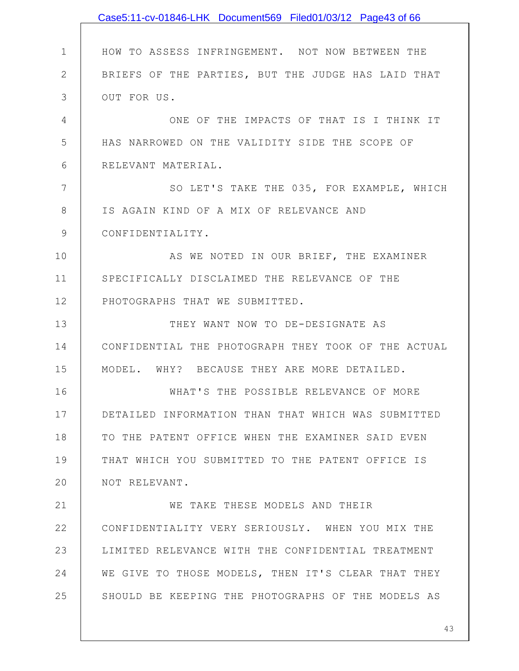|              | Case5:11-cv-01846-LHK Document569 Filed01/03/12 Page43 of 66 |
|--------------|--------------------------------------------------------------|
|              |                                                              |
| 1            | HOW TO ASSESS INFRINGEMENT. NOT NOW BETWEEN THE              |
| $\mathbf{2}$ | BRIEFS OF THE PARTIES, BUT THE JUDGE HAS LAID THAT           |
| 3            | OUT FOR US.                                                  |
| 4            | ONE OF THE IMPACTS OF THAT IS I THINK IT                     |
| 5            | HAS NARROWED ON THE VALIDITY SIDE THE SCOPE OF               |
| 6            | RELEVANT MATERIAL.                                           |
| 7            | SO LET'S TAKE THE 035, FOR EXAMPLE, WHICH                    |
| 8            | IS AGAIN KIND OF A MIX OF RELEVANCE AND                      |
| 9            | CONFIDENTIALITY.                                             |
| 10           | AS WE NOTED IN OUR BRIEF, THE EXAMINER                       |
| 11           | SPECIFICALLY DISCLAIMED THE RELEVANCE OF THE                 |
| 12           | PHOTOGRAPHS THAT WE SUBMITTED.                               |
| 13           | THEY WANT NOW TO DE-DESIGNATE AS                             |
| 14           | CONFIDENTIAL THE PHOTOGRAPH THEY TOOK OF THE ACTUAL          |
| 15           | MODEL. WHY? BECAUSE THEY ARE MORE DETAILED.                  |
| 16           | WHAT'S THE POSSIBLE RELEVANCE OF MORE                        |
| 17           | DETAILED INFORMATION THAN THAT WHICH WAS SUBMITTED           |
| 18           | TO THE PATENT OFFICE WHEN THE EXAMINER SAID EVEN             |
| 19           | THAT WHICH YOU SUBMITTED TO THE PATENT OFFICE IS             |
| 20           | NOT RELEVANT.                                                |
| 21           | WE TAKE THESE MODELS AND THEIR                               |
| 22           | CONFIDENTIALITY VERY SERIOUSLY. WHEN YOU MIX THE             |
| 23           | LIMITED RELEVANCE WITH THE CONFIDENTIAL TREATMENT            |
| 24           | WE GIVE TO THOSE MODELS, THEN IT'S CLEAR THAT THEY           |
| 25           | SHOULD BE KEEPING THE PHOTOGRAPHS OF THE MODELS AS           |
|              |                                                              |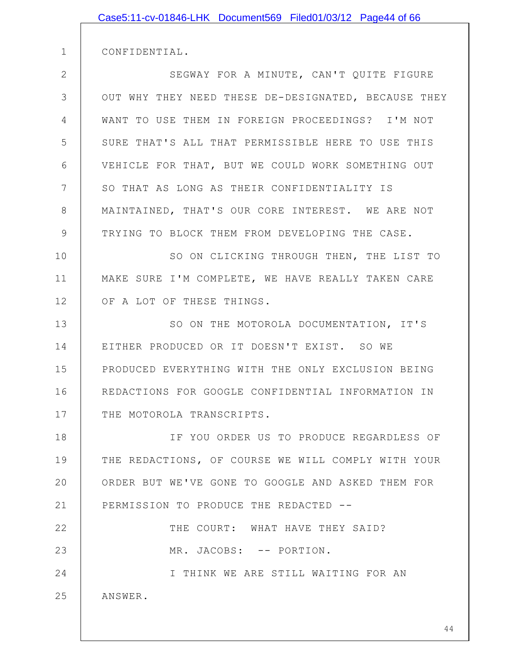| Case5:11-cv-01846-LHK Document569 Filed01/03/12 Page44 of 66 |
|--------------------------------------------------------------|
| CONFIDENTIAL.                                                |
| SEGWAY FOR A MINUTE, CAN'T QUITE FIGURE                      |
| OUT WHY THEY NEED THESE DE-DESIGNATED, BECAUSE THEY          |
| WANT TO USE THEM IN FOREIGN PROCEEDINGS? I'M NOT             |
| SURE THAT'S ALL THAT PERMISSIBLE HERE TO USE THIS            |
| VEHICLE FOR THAT, BUT WE COULD WORK SOMETHING OUT            |
|                                                              |
| SO THAT AS LONG AS THEIR CONFIDENTIALITY IS                  |
| MAINTAINED, THAT'S OUR CORE INTEREST. WE ARE NOT             |
| TRYING TO BLOCK THEM FROM DEVELOPING THE CASE.               |
| SO ON CLICKING THROUGH THEN, THE LIST TO                     |
| MAKE SURE I'M COMPLETE, WE HAVE REALLY TAKEN CARE            |
| OF A LOT OF THESE THINGS.                                    |
| SO ON THE MOTOROLA DOCUMENTATION, IT'S                       |
| EITHER PRODUCED OR IT DOESN'T EXIST. SO WE                   |
| PRODUCED EVERYTHING WITH THE ONLY EXCLUSION BEING            |
| REDACTIONS FOR GOOGLE CONFIDENTIAL INFORMATION IN            |
| THE MOTOROLA TRANSCRIPTS.                                    |
| IF YOU ORDER US TO PRODUCE REGARDLESS OF                     |
| THE REDACTIONS, OF COURSE WE WILL COMPLY WITH YOUR           |
| ORDER BUT WE'VE GONE TO GOOGLE AND ASKED THEM FOR            |
| PERMISSION TO PRODUCE THE REDACTED --                        |
| THE COURT: WHAT HAVE THEY SAID?                              |
| MR. JACOBS: -- PORTION.                                      |
| I THINK WE ARE STILL WAITING FOR AN                          |
| ANSWER.                                                      |
|                                                              |
|                                                              |

2

3

4

5

6

7

8

9

10

11

12

13

14

15

16

17

18

19

20

21

22

23

24

25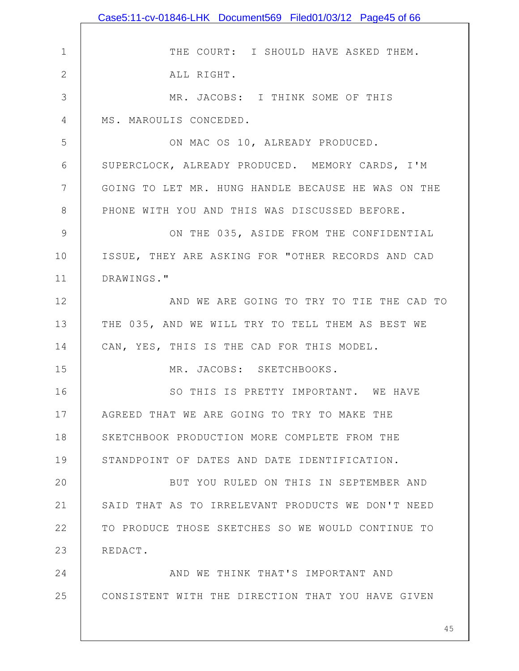1 2 3 4 5 6 7 8 9 10 11 12 13 14 15 16 17 18 19 20 21 22 23 24 25 THE COURT: I SHOULD HAVE ASKED THEM. ALL RIGHT. MR. JACOBS: I THINK SOME OF THIS MS. MAROULIS CONCEDED. ON MAC OS 10, ALREADY PRODUCED. SUPERCLOCK, ALREADY PRODUCED. MEMORY CARDS, I'M GOING TO LET MR. HUNG HANDLE BECAUSE HE WAS ON THE PHONE WITH YOU AND THIS WAS DISCUSSED BEFORE. ON THE 035, ASIDE FROM THE CONFIDENTIAL ISSUE, THEY ARE ASKING FOR "OTHER RECORDS AND CAD DRAWINGS." AND WE ARE GOING TO TRY TO TIE THE CAD TO THE 035, AND WE WILL TRY TO TELL THEM AS BEST WE CAN, YES, THIS IS THE CAD FOR THIS MODEL. MR. JACOBS: SKETCHBOOKS. SO THIS IS PRETTY IMPORTANT. WE HAVE AGREED THAT WE ARE GOING TO TRY TO MAKE THE SKETCHBOOK PRODUCTION MORE COMPLETE FROM THE STANDPOINT OF DATES AND DATE IDENTIFICATION. BUT YOU RULED ON THIS IN SEPTEMBER AND SAID THAT AS TO IRRELEVANT PRODUCTS WE DON'T NEED TO PRODUCE THOSE SKETCHES SO WE WOULD CONTINUE TO REDACT. AND WE THINK THAT'S IMPORTANT AND CONSISTENT WITH THE DIRECTION THAT YOU HAVE GIVEN Case5:11-cv-01846-LHK Document569 Filed01/03/12 Page45 of 66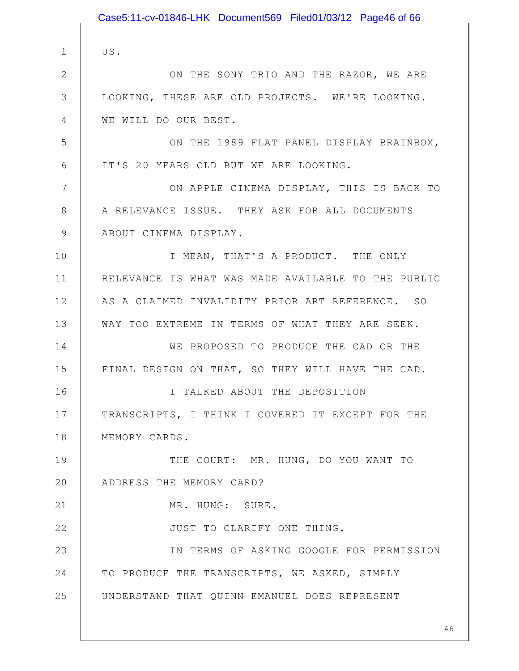|               | Case5:11-cv-01846-LHK Document569 Filed01/03/12 Page46 of 66 |
|---------------|--------------------------------------------------------------|
|               |                                                              |
| $\mathbf 1$   | US.                                                          |
| $\mathbf{2}$  | ON THE SONY TRIO AND THE RAZOR, WE ARE                       |
| 3             | LOOKING, THESE ARE OLD PROJECTS. WE'RE LOOKING.              |
| 4             | WE WILL DO OUR BEST.                                         |
| 5             | ON THE 1989 FLAT PANEL DISPLAY BRAINBOX,                     |
| 6             | IT'S 20 YEARS OLD BUT WE ARE LOOKING.                        |
| 7             | ON APPLE CINEMA DISPLAY, THIS IS BACK TO                     |
| 8             | A RELEVANCE ISSUE. THEY ASK FOR ALL DOCUMENTS                |
| $\mathcal{G}$ | ABOUT CINEMA DISPLAY.                                        |
| 10            | I MEAN, THAT'S A PRODUCT. THE ONLY                           |
| 11            | RELEVANCE IS WHAT WAS MADE AVAILABLE TO THE PUBLIC           |
| 12            | AS A CLAIMED INVALIDITY PRIOR ART REFERENCE. SO              |
| 13            | WAY TOO EXTREME IN TERMS OF WHAT THEY ARE SEEK.              |
| 14            | WE PROPOSED TO PRODUCE THE CAD OR THE                        |
| 15            | FINAL DESIGN ON THAT, SO THEY WILL HAVE THE CAD.             |
| 16            | I TALKED ABOUT THE DEPOSITION                                |
| 17            | TRANSCRIPTS, I THINK I COVERED IT EXCEPT FOR THE             |
| 18            | MEMORY CARDS.                                                |
| 19            | THE COURT: MR. HUNG, DO YOU WANT TO                          |
| 20            | ADDRESS THE MEMORY CARD?                                     |
| 21            | MR. HUNG: SURE.                                              |
| 22            | JUST TO CLARIFY ONE THING.                                   |
| 23            | IN TERMS OF ASKING GOOGLE FOR PERMISSION                     |
| 24            | TO PRODUCE THE TRANSCRIPTS, WE ASKED, SIMPLY                 |
| 25            | UNDERSTAND THAT QUINN EMANUEL DOES REPRESENT                 |
|               |                                                              |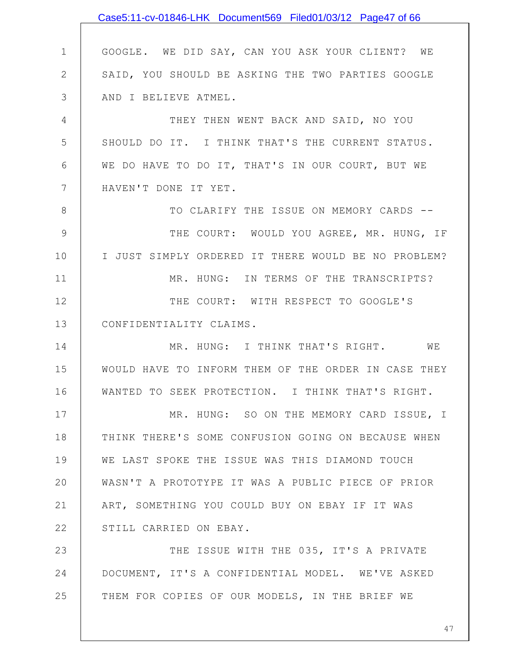1 2 3 4 5 6 7 8 9 10 11 12 13 14 15 16 17 18 19 20 21 22 23 24 25 GOOGLE. WE DID SAY, CAN YOU ASK YOUR CLIENT? WE SAID, YOU SHOULD BE ASKING THE TWO PARTIES GOOGLE AND I BELIEVE ATMEL. THEY THEN WENT BACK AND SAID, NO YOU SHOULD DO IT. I THINK THAT'S THE CURRENT STATUS. WE DO HAVE TO DO IT, THAT'S IN OUR COURT, BUT WE HAVEN'T DONE IT YET. TO CLARIFY THE ISSUE ON MEMORY CARDS -- THE COURT: WOULD YOU AGREE, MR. HUNG, IF I JUST SIMPLY ORDERED IT THERE WOULD BE NO PROBLEM? MR. HUNG: IN TERMS OF THE TRANSCRIPTS? THE COURT: WITH RESPECT TO GOOGLE'S CONFIDENTIALITY CLAIMS. MR. HUNG: I THINK THAT'S RIGHT. WE WOULD HAVE TO INFORM THEM OF THE ORDER IN CASE THEY WANTED TO SEEK PROTECTION. I THINK THAT'S RIGHT. MR. HUNG: SO ON THE MEMORY CARD ISSUE, I THINK THERE'S SOME CONFUSION GOING ON BECAUSE WHEN WE LAST SPOKE THE ISSUE WAS THIS DIAMOND TOUCH WASN'T A PROTOTYPE IT WAS A PUBLIC PIECE OF PRIOR ART, SOMETHING YOU COULD BUY ON EBAY IF IT WAS STILL CARRIED ON EBAY. THE ISSUE WITH THE 035, IT'S A PRIVATE DOCUMENT, IT'S A CONFIDENTIAL MODEL. WE'VE ASKED THEM FOR COPIES OF OUR MODELS, IN THE BRIEF WE Case5:11-cv-01846-LHK Document569 Filed01/03/12 Page47 of 66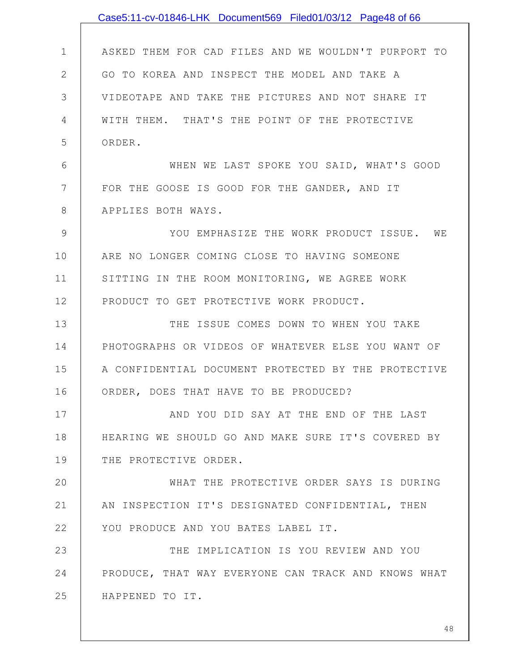|              | Case5:11-cv-01846-LHK Document569 Filed01/03/12 Page48 of 66 |
|--------------|--------------------------------------------------------------|
|              |                                                              |
| $\mathbf 1$  | ASKED THEM FOR CAD FILES AND WE WOULDN'T PURPORT TO          |
| $\mathbf{2}$ | GO TO KOREA AND INSPECT THE MODEL AND TAKE A                 |
| 3            | VIDEOTAPE AND TAKE THE PICTURES AND NOT SHARE IT             |
| 4            | WITH THEM. THAT'S THE POINT OF THE PROTECTIVE                |
| 5            | ORDER.                                                       |
| 6            | WHEN WE LAST SPOKE YOU SAID, WHAT'S GOOD                     |
| 7            | FOR THE GOOSE IS GOOD FOR THE GANDER, AND IT                 |
| 8            | APPLIES BOTH WAYS.                                           |
| 9            | YOU EMPHASIZE THE WORK PRODUCT ISSUE. WE                     |
| 10           | ARE NO LONGER COMING CLOSE TO HAVING SOMEONE                 |
| 11           | SITTING IN THE ROOM MONITORING, WE AGREE WORK                |
| 12           | PRODUCT TO GET PROTECTIVE WORK PRODUCT.                      |
| 13           | THE ISSUE COMES DOWN TO WHEN YOU TAKE                        |
| 14           | PHOTOGRAPHS OR VIDEOS OF WHATEVER ELSE YOU WANT OF           |
| 15           | A CONFIDENTIAL DOCUMENT PROTECTED BY THE PROTECTIVE          |
| 16           | ORDER, DOES THAT HAVE TO BE PRODUCED?                        |
| 17           | AND YOU DID SAY AT THE END OF THE LAST                       |
| 18           | HEARING WE SHOULD GO AND MAKE SURE IT'S COVERED BY           |
| 19           | THE PROTECTIVE ORDER.                                        |
| 20           | WHAT THE PROTECTIVE ORDER SAYS IS DURING                     |
| 21           | AN INSPECTION IT'S DESIGNATED CONFIDENTIAL, THEN             |
| 22           | YOU PRODUCE AND YOU BATES LABEL IT.                          |
| 23           | THE IMPLICATION IS YOU REVIEW AND YOU                        |
| 24           | PRODUCE, THAT WAY EVERYONE CAN TRACK AND KNOWS WHAT          |
| 25           | HAPPENED TO IT.                                              |
|              |                                                              |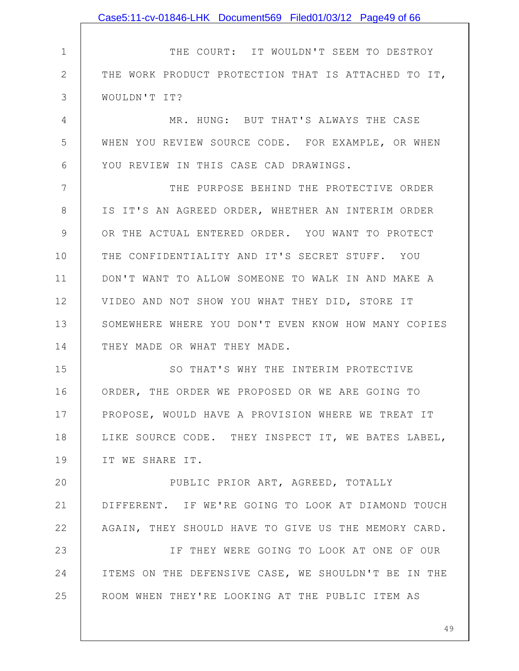|               | Case5:11-cv-01846-LHK Document569 Filed01/03/12 Page49 of 66 |
|---------------|--------------------------------------------------------------|
|               |                                                              |
| $\mathbf 1$   | THE COURT: IT WOULDN'T SEEM TO DESTROY                       |
| $\mathbf{2}$  | THE WORK PRODUCT PROTECTION THAT IS ATTACHED TO IT,          |
| 3             | WOULDN'T IT?                                                 |
| 4             | MR. HUNG: BUT THAT'S ALWAYS THE CASE                         |
| 5             | WHEN YOU REVIEW SOURCE CODE. FOR EXAMPLE, OR WHEN            |
| 6             | YOU REVIEW IN THIS CASE CAD DRAWINGS.                        |
| 7             | THE PURPOSE BEHIND THE PROTECTIVE ORDER                      |
| $8\,$         | IS IT'S AN AGREED ORDER, WHETHER AN INTERIM ORDER            |
| $\mathcal{G}$ | OR THE ACTUAL ENTERED ORDER. YOU WANT TO PROTECT             |
| 10            | THE CONFIDENTIALITY AND IT'S SECRET STUFF. YOU               |
| 11            | DON'T WANT TO ALLOW SOMEONE TO WALK IN AND MAKE A            |
| 12            | VIDEO AND NOT SHOW YOU WHAT THEY DID, STORE IT               |
| 13            | SOMEWHERE WHERE YOU DON'T EVEN KNOW HOW MANY COPIES          |
| 14            | THEY MADE OR WHAT THEY MADE.                                 |
| 15            | SO THAT'S WHY THE INTERIM PROTECTIVE                         |
| 16            | ORDER, THE ORDER WE PROPOSED OR WE ARE GOING TO              |
| 17            | PROPOSE, WOULD HAVE A PROVISION WHERE WE TREAT IT            |
| 18            | LIKE SOURCE CODE. THEY INSPECT IT, WE BATES LABEL,           |
| 19            | IT WE SHARE IT.                                              |
| 20            | PUBLIC PRIOR ART, AGREED, TOTALLY                            |
| 21            | DIFFERENT. IF WE'RE GOING TO LOOK AT DIAMOND TOUCH           |
| 22            | AGAIN, THEY SHOULD HAVE TO GIVE US THE MEMORY CARD.          |
| 23            | IF THEY WERE GOING TO LOOK AT ONE OF OUR                     |
| 24            | ITEMS ON THE DEFENSIVE CASE, WE SHOULDN'T BE IN THE          |
| 25            | ROOM WHEN THEY'RE LOOKING AT THE PUBLIC ITEM AS              |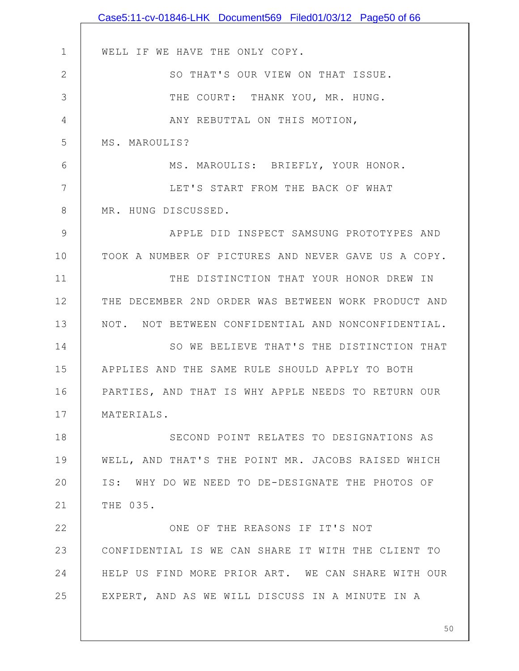|              | Case5:11-cv-01846-LHK Document569 Filed01/03/12 Page50 of 66 |
|--------------|--------------------------------------------------------------|
|              |                                                              |
| $\mathbf 1$  | WELL IF WE HAVE THE ONLY COPY.                               |
| $\mathbf{2}$ | SO THAT'S OUR VIEW ON THAT ISSUE.                            |
| 3            | THE COURT: THANK YOU, MR. HUNG.                              |
| 4            | ANY REBUTTAL ON THIS MOTION,                                 |
| 5            | MS. MAROULIS?                                                |
| 6            | MS. MAROULIS: BRIEFLY, YOUR HONOR.                           |
| 7            | LET'S START FROM THE BACK OF WHAT                            |
| 8            | MR. HUNG DISCUSSED.                                          |
| 9            | APPLE DID INSPECT SAMSUNG PROTOTYPES AND                     |
| 10           | TOOK A NUMBER OF PICTURES AND NEVER GAVE US A COPY.          |
| 11           | THE DISTINCTION THAT YOUR HONOR DREW IN                      |
| 12           | THE DECEMBER 2ND ORDER WAS BETWEEN WORK PRODUCT AND          |
| 13           | NOT. NOT BETWEEN CONFIDENTIAL AND NONCONFIDENTIAL.           |
| 14           | SO WE BELIEVE THAT'S THE DISTINCTION THAT                    |
| 15           | APPLIES AND THE SAME RULE SHOULD APPLY TO BOTH               |
| 16           | PARTIES, AND THAT IS WHY APPLE NEEDS TO RETURN OUR           |
| 17           | MATERIALS.                                                   |
| 18           | SECOND POINT RELATES TO DESIGNATIONS AS                      |
| 19           | WELL, AND THAT'S THE POINT MR. JACOBS RAISED WHICH           |
| 20           | IS: WHY DO WE NEED TO DE-DESIGNATE THE PHOTOS OF             |
| 21           | THE 035.                                                     |
| 22           | ONE OF THE REASONS IF IT'S NOT                               |
| 23           | CONFIDENTIAL IS WE CAN SHARE IT WITH THE CLIENT TO           |
| 24           | HELP US FIND MORE PRIOR ART. WE CAN SHARE WITH OUR           |
| 25           | EXPERT, AND AS WE WILL DISCUSS IN A MINUTE IN A              |
|              |                                                              |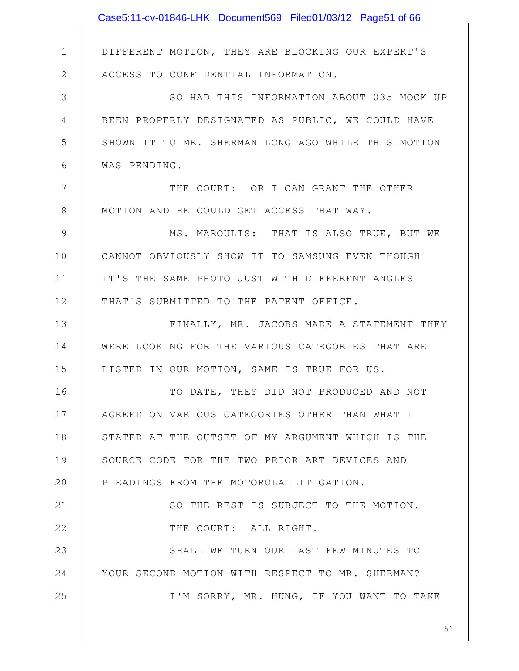|              | Case5:11-cv-01846-LHK Document569 Filed01/03/12 Page51 of 66 |
|--------------|--------------------------------------------------------------|
|              |                                                              |
| $\mathbf 1$  | DIFFERENT MOTION, THEY ARE BLOCKING OUR EXPERT'S             |
| $\mathbf{2}$ | ACCESS TO CONFIDENTIAL INFORMATION.                          |
| 3            | SO HAD THIS INFORMATION ABOUT 035 MOCK UP                    |
| 4            | BEEN PROPERLY DESIGNATED AS PUBLIC, WE COULD HAVE            |
| 5            | SHOWN IT TO MR. SHERMAN LONG AGO WHILE THIS MOTION           |
| 6            | WAS PENDING.                                                 |
| 7            | THE COURT: OR I CAN GRANT THE OTHER                          |
| $8\,$        | MOTION AND HE COULD GET ACCESS THAT WAY.                     |
| $\mathsf{S}$ | MS. MAROULIS: THAT IS ALSO TRUE, BUT WE                      |
| 10           | CANNOT OBVIOUSLY SHOW IT TO SAMSUNG EVEN THOUGH              |
| 11           | IT'S THE SAME PHOTO JUST WITH DIFFERENT ANGLES               |
| 12           | THAT'S SUBMITTED TO THE PATENT OFFICE.                       |
| 13           | FINALLY, MR. JACOBS MADE A STATEMENT THEY                    |
| 14           | WERE LOOKING FOR THE VARIOUS CATEGORIES THAT ARE             |
| 15           | LISTED IN OUR MOTION, SAME IS TRUE FOR US.                   |
| 16           | TO DATE, THEY DID NOT PRODUCED AND NOT                       |
| 17           | AGREED ON VARIOUS CATEGORIES OTHER THAN WHAT I               |
| 18           | STATED AT THE OUTSET OF MY ARGUMENT WHICH IS THE             |
| 19           | SOURCE CODE FOR THE TWO PRIOR ART DEVICES AND                |
| 20           | PLEADINGS FROM THE MOTOROLA LITIGATION.                      |
| 21           | SO THE REST IS SUBJECT TO THE MOTION.                        |
| 22           | THE COURT: ALL RIGHT.                                        |
| 23           | SHALL WE TURN OUR LAST FEW MINUTES TO                        |
| 24           | YOUR SECOND MOTION WITH RESPECT TO MR. SHERMAN?              |
| 25           | I'M SORRY, MR. HUNG, IF YOU WANT TO TAKE                     |
|              |                                                              |
|              | 51                                                           |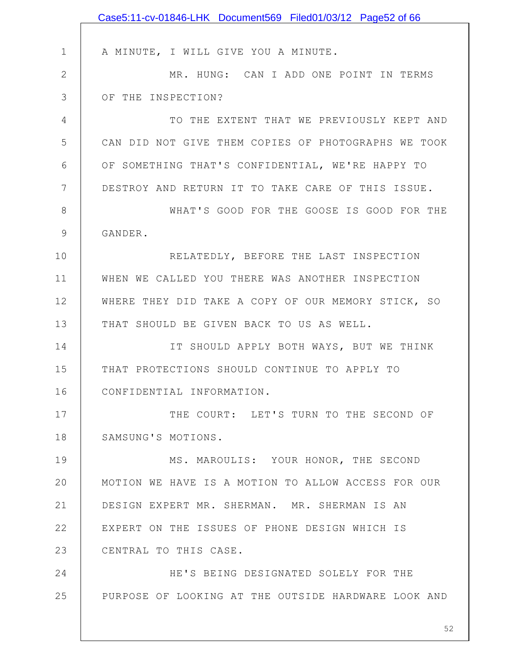|               | Case5:11-cv-01846-LHK Document569 Filed01/03/12 Page52 of 66 |
|---------------|--------------------------------------------------------------|
|               |                                                              |
| $\mathbf 1$   | A MINUTE, I WILL GIVE YOU A MINUTE.                          |
| $\mathbf{2}$  | MR. HUNG: CAN I ADD ONE POINT IN TERMS                       |
| 3             | OF THE INSPECTION?                                           |
| 4             | TO THE EXTENT THAT WE PREVIOUSLY KEPT AND                    |
| 5             | CAN DID NOT GIVE THEM COPIES OF PHOTOGRAPHS WE TOOK          |
| 6             | OF SOMETHING THAT'S CONFIDENTIAL, WE'RE HAPPY TO             |
| 7             | DESTROY AND RETURN IT TO TAKE CARE OF THIS ISSUE.            |
| $8\,$         | WHAT'S GOOD FOR THE GOOSE IS GOOD FOR THE                    |
| $\mathcal{G}$ | GANDER.                                                      |
| 10            | RELATEDLY, BEFORE THE LAST INSPECTION                        |
| 11            | WHEN WE CALLED YOU THERE WAS ANOTHER INSPECTION              |
| 12            | WHERE THEY DID TAKE A COPY OF OUR MEMORY STICK, SO           |
| 13            | THAT SHOULD BE GIVEN BACK TO US AS WELL.                     |
| 14            | IT SHOULD APPLY BOTH WAYS, BUT WE THINK                      |
| 15            | THAT PROTECTIONS SHOULD CONTINUE TO APPLY TO                 |
| 16            | CONFIDENTIAL INFORMATION.                                    |
| 17            | THE COURT: LET'S TURN TO THE SECOND OF                       |
| 18            | SAMSUNG'S MOTIONS.                                           |
| 19            | MS. MAROULIS: YOUR HONOR, THE SECOND                         |
| 20            | MOTION WE HAVE IS A MOTION TO ALLOW ACCESS FOR OUR           |
| 21            | DESIGN EXPERT MR. SHERMAN. MR. SHERMAN IS AN                 |
| 22            | EXPERT ON THE ISSUES OF PHONE DESIGN WHICH IS                |
| 23            | CENTRAL TO THIS CASE.                                        |
| 24            | HE'S BEING DESIGNATED SOLELY FOR THE                         |
| 25            | PURPOSE OF LOOKING AT THE OUTSIDE HARDWARE LOOK AND          |
|               |                                                              |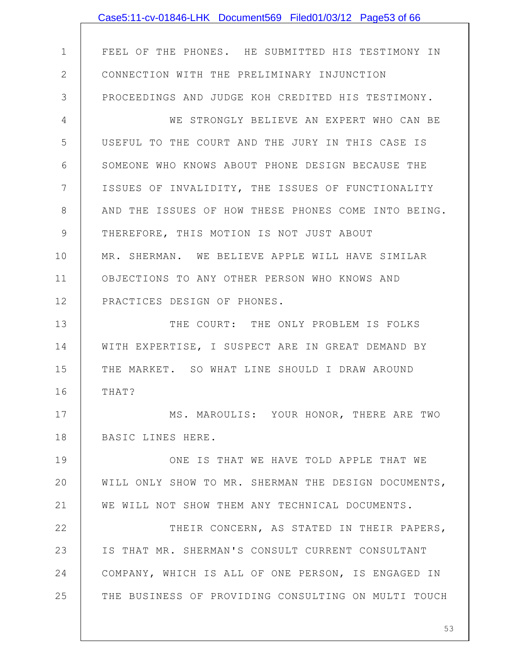1 2 3 4 5 6 7 8 9 10 11 12 13 14 15 16 17 18 19 20 21 22 23 24 25 FEEL OF THE PHONES. HE SUBMITTED HIS TESTIMONY IN CONNECTION WITH THE PRELIMINARY INJUNCTION PROCEEDINGS AND JUDGE KOH CREDITED HIS TESTIMONY. WE STRONGLY BELIEVE AN EXPERT WHO CAN BE USEFUL TO THE COURT AND THE JURY IN THIS CASE IS SOMEONE WHO KNOWS ABOUT PHONE DESIGN BECAUSE THE ISSUES OF INVALIDITY, THE ISSUES OF FUNCTIONALITY AND THE ISSUES OF HOW THESE PHONES COME INTO BEING. THEREFORE, THIS MOTION IS NOT JUST ABOUT MR. SHERMAN. WE BELIEVE APPLE WILL HAVE SIMILAR OBJECTIONS TO ANY OTHER PERSON WHO KNOWS AND PRACTICES DESIGN OF PHONES. THE COURT: THE ONLY PROBLEM IS FOLKS WITH EXPERTISE, I SUSPECT ARE IN GREAT DEMAND BY THE MARKET. SO WHAT LINE SHOULD I DRAW AROUND THAT? MS. MAROULIS: YOUR HONOR, THERE ARE TWO BASIC LINES HERE. ONE IS THAT WE HAVE TOLD APPLE THAT WE WILL ONLY SHOW TO MR. SHERMAN THE DESIGN DOCUMENTS, WE WILL NOT SHOW THEM ANY TECHNICAL DOCUMENTS. THEIR CONCERN, AS STATED IN THEIR PAPERS, IS THAT MR. SHERMAN'S CONSULT CURRENT CONSULTANT COMPANY, WHICH IS ALL OF ONE PERSON, IS ENGAGED IN THE BUSINESS OF PROVIDING CONSULTING ON MULTI TOUCH Case5:11-cv-01846-LHK Document569 Filed01/03/12 Page53 of 66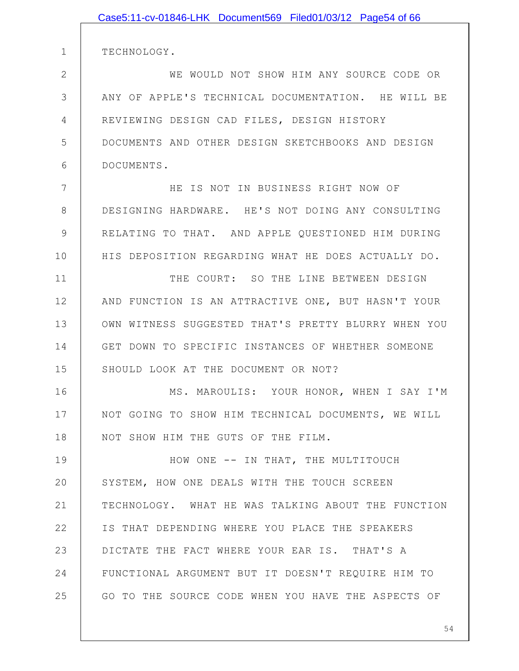|              | Case5:11-cv-01846-LHK Document569 Filed01/03/12 Page54 of 66 |
|--------------|--------------------------------------------------------------|
|              |                                                              |
| $\mathbf{1}$ | TECHNOLOGY.                                                  |
| $\mathbf{2}$ | WE WOULD NOT SHOW HIM ANY SOURCE CODE OR                     |
| 3            | ANY OF APPLE'S TECHNICAL DOCUMENTATION. HE WILL BE           |
| 4            | REVIEWING DESIGN CAD FILES, DESIGN HISTORY                   |
| 5            | DOCUMENTS AND OTHER DESIGN SKETCHBOOKS AND DESIGN            |
| 6            | DOCUMENTS.                                                   |
| 7            | HE IS NOT IN BUSINESS RIGHT NOW OF                           |
| 8            | DESIGNING HARDWARE. HE'S NOT DOING ANY CONSULTING            |
| 9            | RELATING TO THAT. AND APPLE QUESTIONED HIM DURING            |
| 10           | HIS DEPOSITION REGARDING WHAT HE DOES ACTUALLY DO.           |
| 11           | THE COURT: SO THE LINE BETWEEN DESIGN                        |
| 12           | AND FUNCTION IS AN ATTRACTIVE ONE, BUT HASN'T YOUR           |
| 13           | OWN WITNESS SUGGESTED THAT'S PRETTY BLURRY WHEN YOU          |
| 14           | GET DOWN TO SPECIFIC INSTANCES OF WHETHER SOMEONE            |
| 15           | SHOULD LOOK AT THE DOCUMENT OR NOT?                          |
| 16           | MS. MAROULIS: YOUR HONOR, WHEN I SAY I'M                     |
| 17           | NOT GOING TO SHOW HIM TECHNICAL DOCUMENTS, WE WILL           |
| 18           | NOT SHOW HIM THE GUTS OF THE FILM.                           |
| 19           | HOW ONE -- IN THAT, THE MULTITOUCH                           |
| 20           | SYSTEM, HOW ONE DEALS WITH THE TOUCH SCREEN                  |
| 21           | TECHNOLOGY. WHAT HE WAS TALKING ABOUT THE FUNCTION           |
| 22           | IS THAT DEPENDING WHERE YOU PLACE THE SPEAKERS               |
| 23           | DICTATE THE FACT WHERE YOUR EAR IS. THAT'S A                 |
| 24           | FUNCTIONAL ARGUMENT BUT IT DOESN'T REQUIRE HIM TO            |
| 25           | GO TO THE SOURCE CODE WHEN YOU HAVE THE ASPECTS OF           |
|              |                                                              |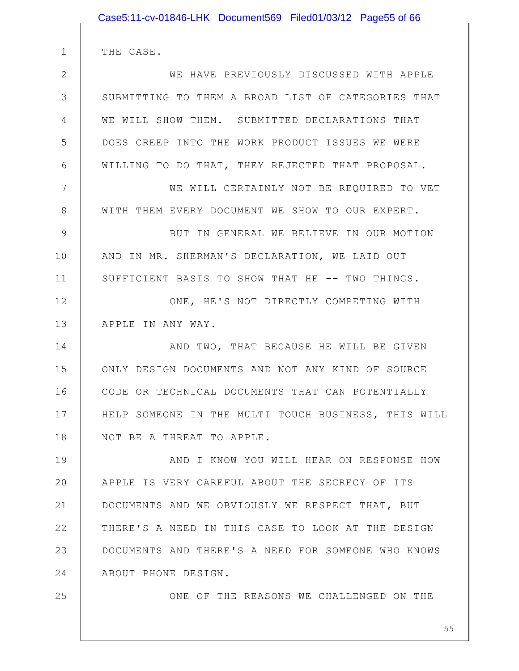|               | Case5:11-cv-01846-LHK Document569 Filed01/03/12 Page55 of 66 |
|---------------|--------------------------------------------------------------|
|               |                                                              |
| $\mathbf 1$   | THE CASE.                                                    |
| $\mathbf{2}$  | WE HAVE PREVIOUSLY DISCUSSED WITH APPLE                      |
| 3             | SUBMITTING TO THEM A BROAD LIST OF CATEGORIES THAT           |
| 4             | WE WILL SHOW THEM. SUBMITTED DECLARATIONS THAT               |
| 5             | DOES CREEP INTO THE WORK PRODUCT ISSUES WE WERE              |
| 6             | WILLING TO DO THAT, THEY REJECTED THAT PROPOSAL.             |
| 7             | WE WILL CERTAINLY NOT BE REQUIRED TO VET                     |
| 8             | WITH THEM EVERY DOCUMENT WE SHOW TO OUR EXPERT.              |
| $\mathcal{G}$ | BUT IN GENERAL WE BELIEVE IN OUR MOTION                      |
| 10            | AND IN MR. SHERMAN'S DECLARATION, WE LAID OUT                |
| 11            | SUFFICIENT BASIS TO SHOW THAT HE -- TWO THINGS.              |
| 12            | ONE, HE'S NOT DIRECTLY COMPETING WITH                        |
| 13            | APPLE IN ANY WAY.                                            |
| 14            | AND TWO, THAT BECAUSE HE WILL BE GIVEN                       |
| 15            | ONLY DESIGN DOCUMENTS AND NOT ANY KIND OF SOURCE             |
| 16            | CODE OR TECHNICAL DOCUMENTS THAT CAN POTENTIALLY             |
| 17            | HELP SOMEONE IN THE MULTI TOUCH BUSINESS, THIS WILL          |
| 18            | NOT BE A THREAT TO APPLE.                                    |
| 19            | AND I KNOW YOU WILL HEAR ON RESPONSE HOW                     |
| 20            | APPLE IS VERY CAREFUL ABOUT THE SECRECY OF ITS               |
| 21            | DOCUMENTS AND WE OBVIOUSLY WE RESPECT THAT, BUT              |
| 22            | THERE'S A NEED IN THIS CASE TO LOOK AT THE DESIGN            |
| 23            | DOCUMENTS AND THERE'S A NEED FOR SOMEONE WHO KNOWS           |
| 24            | ABOUT PHONE DESIGN.                                          |
| 25            | ONE OF THE REASONS WE CHALLENGED ON THE                      |
|               |                                                              |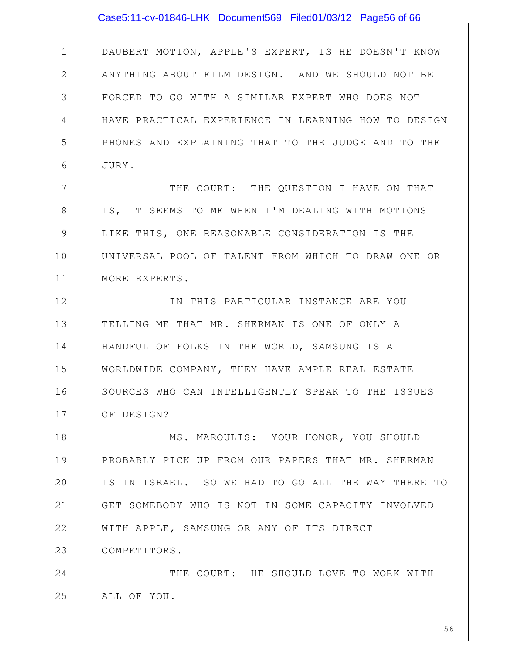1 2 3 4 5 6 7 8 9 10 11 12 13 14 15 16 17 18 19 20 21 22 23 24 25 DAUBERT MOTION, APPLE'S EXPERT, IS HE DOESN'T KNOW ANYTHING ABOUT FILM DESIGN. AND WE SHOULD NOT BE FORCED TO GO WITH A SIMILAR EXPERT WHO DOES NOT HAVE PRACTICAL EXPERIENCE IN LEARNING HOW TO DESIGN PHONES AND EXPLAINING THAT TO THE JUDGE AND TO THE JURY. THE COURT: THE QUESTION I HAVE ON THAT IS, IT SEEMS TO ME WHEN I'M DEALING WITH MOTIONS LIKE THIS, ONE REASONABLE CONSIDERATION IS THE UNIVERSAL POOL OF TALENT FROM WHICH TO DRAW ONE OR MORE EXPERTS. IN THIS PARTICULAR INSTANCE ARE YOU TELLING ME THAT MR. SHERMAN IS ONE OF ONLY A HANDFUL OF FOLKS IN THE WORLD, SAMSUNG IS A WORLDWIDE COMPANY, THEY HAVE AMPLE REAL ESTATE SOURCES WHO CAN INTELLIGENTLY SPEAK TO THE ISSUES OF DESIGN? MS. MAROULIS: YOUR HONOR, YOU SHOULD PROBABLY PICK UP FROM OUR PAPERS THAT MR. SHERMAN IS IN ISRAEL. SO WE HAD TO GO ALL THE WAY THERE TO GET SOMEBODY WHO IS NOT IN SOME CAPACITY INVOLVED WITH APPLE, SAMSUNG OR ANY OF ITS DIRECT COMPETITORS. THE COURT: HE SHOULD LOVE TO WORK WITH ALL OF YOU. Case5:11-cv-01846-LHK Document569 Filed01/03/12 Page56 of 66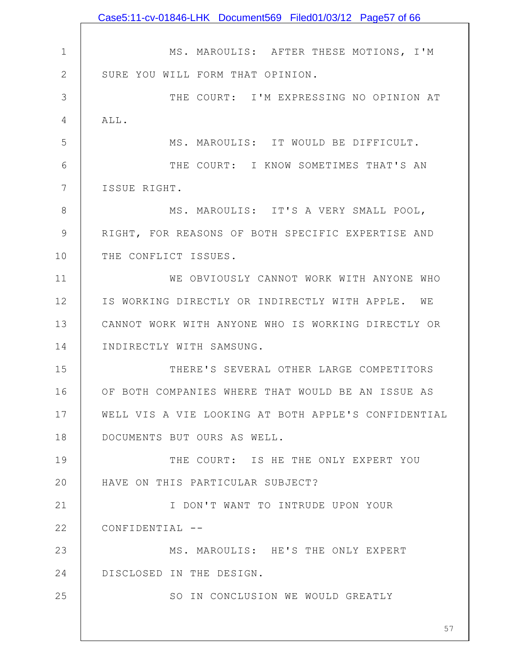1 2 3 4 5 6 7 8 9 10 11 12 13 14 15 16 17 18 19 20 21 22 23 24 25 MS. MAROULIS: AFTER THESE MOTIONS, I'M SURE YOU WILL FORM THAT OPINION. THE COURT: I'M EXPRESSING NO OPINION AT ALL. MS. MAROULIS: IT WOULD BE DIFFICULT. THE COURT: I KNOW SOMETIMES THAT'S AN ISSUE RIGHT. MS. MAROULIS: IT'S A VERY SMALL POOL, RIGHT, FOR REASONS OF BOTH SPECIFIC EXPERTISE AND THE CONFLICT ISSUES. WE OBVIOUSLY CANNOT WORK WITH ANYONE WHO IS WORKING DIRECTLY OR INDIRECTLY WITH APPLE. WE CANNOT WORK WITH ANYONE WHO IS WORKING DIRECTLY OR INDIRECTLY WITH SAMSUNG. THERE'S SEVERAL OTHER LARGE COMPETITORS OF BOTH COMPANIES WHERE THAT WOULD BE AN ISSUE AS WELL VIS A VIE LOOKING AT BOTH APPLE'S CONFIDENTIAL DOCUMENTS BUT OURS AS WELL. THE COURT: IS HE THE ONLY EXPERT YOU HAVE ON THIS PARTICULAR SUBJECT? I DON'T WANT TO INTRUDE UPON YOUR CONFIDENTIAL -- MS. MAROULIS: HE'S THE ONLY EXPERT DISCLOSED IN THE DESIGN. SO IN CONCLUSION WE WOULD GREATLY Case5:11-cv-01846-LHK Document569 Filed01/03/12 Page57 of 66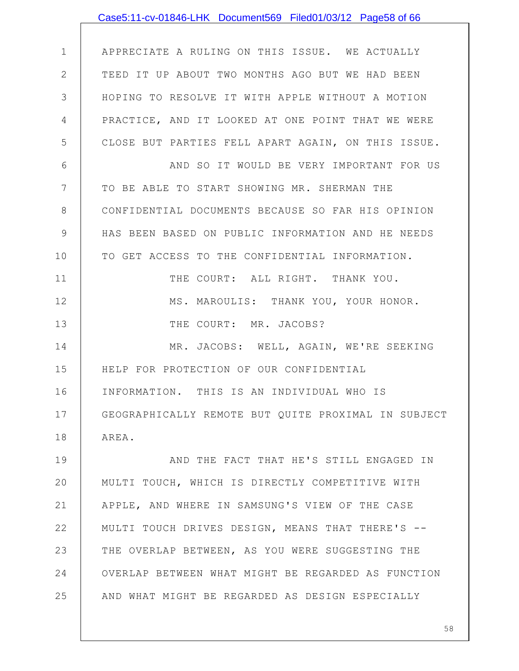|               | Case5:11-cv-01846-LHK Document569 Filed01/03/12 Page58 of 66 |
|---------------|--------------------------------------------------------------|
|               |                                                              |
| $\mathbf 1$   | APPRECIATE A RULING ON THIS ISSUE. WE ACTUALLY               |
| $\mathbf{2}$  | TEED IT UP ABOUT TWO MONTHS AGO BUT WE HAD BEEN              |
| 3             | HOPING TO RESOLVE IT WITH APPLE WITHOUT A MOTION             |
| 4             | PRACTICE, AND IT LOOKED AT ONE POINT THAT WE WERE            |
| 5             | CLOSE BUT PARTIES FELL APART AGAIN, ON THIS ISSUE.           |
| 6             | AND SO IT WOULD BE VERY IMPORTANT FOR US                     |
| 7             | TO BE ABLE TO START SHOWING MR. SHERMAN THE                  |
| 8             | CONFIDENTIAL DOCUMENTS BECAUSE SO FAR HIS OPINION            |
| $\mathcal{G}$ | HAS BEEN BASED ON PUBLIC INFORMATION AND HE NEEDS            |
| 10            | TO GET ACCESS TO THE CONFIDENTIAL INFORMATION.               |
| 11            | THE COURT: ALL RIGHT. THANK YOU.                             |
| 12            | MS. MAROULIS: THANK YOU, YOUR HONOR.                         |
| 13            | THE COURT: MR. JACOBS?                                       |
| 14            | MR. JACOBS: WELL, AGAIN, WE'RE SEEKING                       |
| 15            | HELP FOR PROTECTION OF OUR CONFIDENTIAL                      |
| 16            | INFORMATION. THIS IS AN INDIVIDUAL WHO IS                    |
| 17            | GEOGRAPHICALLY REMOTE BUT QUITE PROXIMAL IN SUBJECT          |
| 18            | AREA.                                                        |
| 19            | AND THE FACT THAT HE'S STILL ENGAGED IN                      |
| 20            | MULTI TOUCH, WHICH IS DIRECTLY COMPETITIVE WITH              |
| 21            | APPLE, AND WHERE IN SAMSUNG'S VIEW OF THE CASE               |
| 22            | MULTI TOUCH DRIVES DESIGN, MEANS THAT THERE'S --             |
| 23            | THE OVERLAP BETWEEN, AS YOU WERE SUGGESTING THE              |
| 24            | OVERLAP BETWEEN WHAT MIGHT BE REGARDED AS FUNCTION           |
| 25            | AND WHAT MIGHT BE REGARDED AS DESIGN ESPECIALLY              |
|               |                                                              |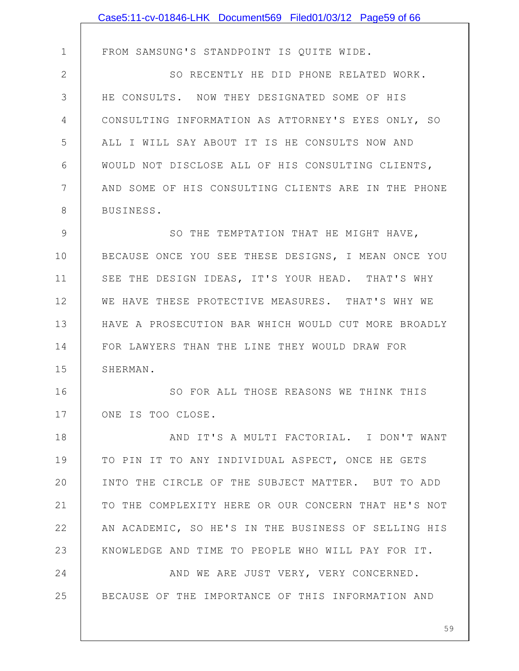|               | Case5:11-cv-01846-LHK Document569 Filed01/03/12 Page59 of 66 |
|---------------|--------------------------------------------------------------|
|               |                                                              |
| $\mathbf 1$   | FROM SAMSUNG'S STANDPOINT IS QUITE WIDE.                     |
| $\mathbf{2}$  | SO RECENTLY HE DID PHONE RELATED WORK.                       |
| 3             | HE CONSULTS. NOW THEY DESIGNATED SOME OF HIS                 |
| 4             | CONSULTING INFORMATION AS ATTORNEY'S EYES ONLY, SO           |
| 5             | ALL I WILL SAY ABOUT IT IS HE CONSULTS NOW AND               |
| 6             | WOULD NOT DISCLOSE ALL OF HIS CONSULTING CLIENTS,            |
| 7             | AND SOME OF HIS CONSULTING CLIENTS ARE IN THE PHONE          |
| 8             | BUSINESS.                                                    |
| $\mathcal{G}$ | SO THE TEMPTATION THAT HE MIGHT HAVE,                        |
| 10            | BECAUSE ONCE YOU SEE THESE DESIGNS, I MEAN ONCE YOU          |
| 11            | SEE THE DESIGN IDEAS, IT'S YOUR HEAD. THAT'S WHY             |
| 12            | WE HAVE THESE PROTECTIVE MEASURES. THAT'S WHY WE             |
| 13            | HAVE A PROSECUTION BAR WHICH WOULD CUT MORE BROADLY          |
| 14            | FOR LAWYERS THAN THE LINE THEY WOULD DRAW FOR                |
| 15            | SHERMAN.                                                     |
| 16            | SO FOR ALL THOSE REASONS WE THINK THIS                       |
| 17            | ONE IS TOO CLOSE.                                            |
| 18            | AND IT'S A MULTI FACTORIAL. I DON'T WANT                     |
| 19            | TO PIN IT TO ANY INDIVIDUAL ASPECT, ONCE HE GETS             |
| 20            | INTO THE CIRCLE OF THE SUBJECT MATTER. BUT TO ADD            |
| 21            | TO THE COMPLEXITY HERE OR OUR CONCERN THAT HE'S NOT          |
| 22            | AN ACADEMIC, SO HE'S IN THE BUSINESS OF SELLING HIS          |
| 23            | KNOWLEDGE AND TIME TO PEOPLE WHO WILL PAY FOR IT.            |
| 24            | AND WE ARE JUST VERY, VERY CONCERNED.                        |
| 25            | BECAUSE OF THE IMPORTANCE OF THIS INFORMATION AND            |
|               |                                                              |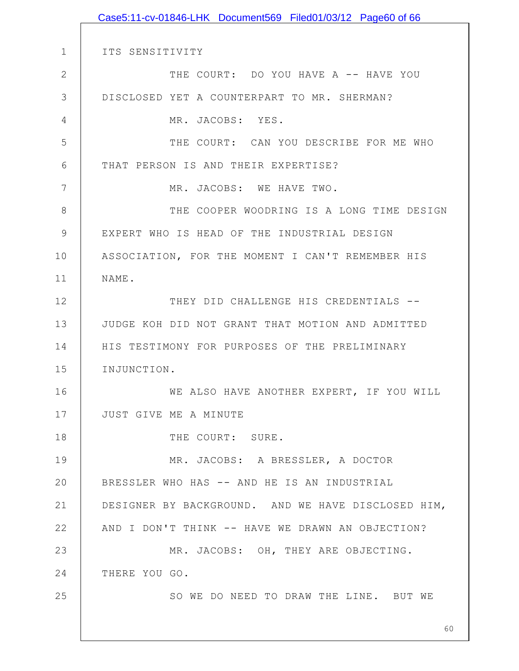1 2 3 4 5 6 7 8 9 10 11 12 13 14 15 16 17 18 19 20 21 22 23 24 25 60 ITS SENSITIVITY THE COURT: DO YOU HAVE A -- HAVE YOU DISCLOSED YET A COUNTERPART TO MR. SHERMAN? MR. JACOBS: YES. THE COURT: CAN YOU DESCRIBE FOR ME WHO THAT PERSON IS AND THEIR EXPERTISE? MR. JACOBS: WE HAVE TWO. THE COOPER WOODRING IS A LONG TIME DESIGN EXPERT WHO IS HEAD OF THE INDUSTRIAL DESIGN ASSOCIATION, FOR THE MOMENT I CAN'T REMEMBER HIS NAME. THEY DID CHALLENGE HIS CREDENTIALS --JUDGE KOH DID NOT GRANT THAT MOTION AND ADMITTED HIS TESTIMONY FOR PURPOSES OF THE PRELIMINARY INJUNCTION. WE ALSO HAVE ANOTHER EXPERT, IF YOU WILL JUST GIVE ME A MINUTE THE COURT: SURE. MR. JACOBS: A BRESSLER, A DOCTOR BRESSLER WHO HAS -- AND HE IS AN INDUSTRIAL DESIGNER BY BACKGROUND. AND WE HAVE DISCLOSED HIM, AND I DON'T THINK -- HAVE WE DRAWN AN OBJECTION? MR. JACOBS: OH, THEY ARE OBJECTING. THERE YOU GO. SO WE DO NEED TO DRAW THE LINE. BUT WE Case5:11-cv-01846-LHK Document569 Filed01/03/12 Page60 of 66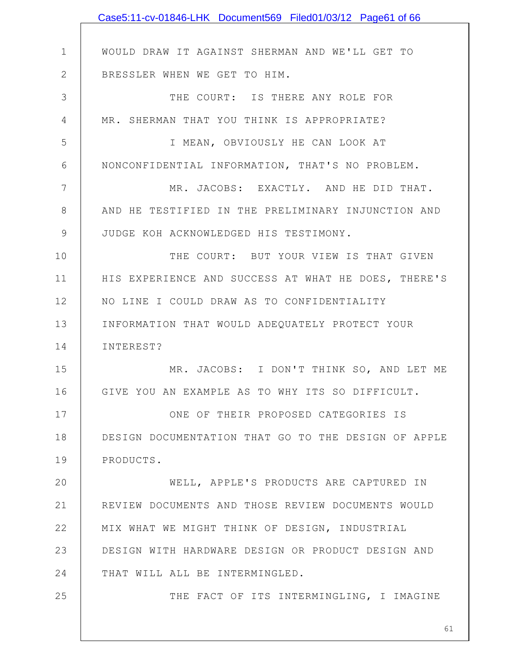|              | Case5:11-cv-01846-LHK Document569 Filed01/03/12 Page61 of 66 |
|--------------|--------------------------------------------------------------|
|              |                                                              |
| $\mathbf 1$  | WOULD DRAW IT AGAINST SHERMAN AND WE'LL GET TO               |
| $\mathbf{2}$ | BRESSLER WHEN WE GET TO HIM.                                 |
| 3            | THE COURT: IS THERE ANY ROLE FOR                             |
| 4            | MR. SHERMAN THAT YOU THINK IS APPROPRIATE?                   |
| 5            | I MEAN, OBVIOUSLY HE CAN LOOK AT                             |
| 6            | NONCONFIDENTIAL INFORMATION, THAT'S NO PROBLEM.              |
| 7            | MR. JACOBS: EXACTLY. AND HE DID THAT.                        |
| 8            | AND HE TESTIFIED IN THE PRELIMINARY INJUNCTION AND           |
| $\mathsf 9$  | JUDGE KOH ACKNOWLEDGED HIS TESTIMONY.                        |
| 10           | THE COURT: BUT YOUR VIEW IS THAT GIVEN                       |
| 11           | HIS EXPERIENCE AND SUCCESS AT WHAT HE DOES, THERE'S          |
| 12           | NO LINE I COULD DRAW AS TO CONFIDENTIALITY                   |
| 13           | INFORMATION THAT WOULD ADEQUATELY PROTECT YOUR               |
| 14           | INTEREST?                                                    |
| 15           | MR. JACOBS: I DON'T THINK SO, AND LET ME                     |
| 16           | GIVE YOU AN EXAMPLE AS TO WHY ITS SO DIFFICULT.              |
| 17           | ONE OF THEIR PROPOSED CATEGORIES IS                          |
| 18           | DESIGN DOCUMENTATION THAT GO TO THE DESIGN OF APPLE          |
| 19           | PRODUCTS.                                                    |
| 20           | WELL, APPLE'S PRODUCTS ARE CAPTURED IN                       |
| 21           | REVIEW DOCUMENTS AND THOSE REVIEW DOCUMENTS WOULD            |
| 22           | MIX WHAT WE MIGHT THINK OF DESIGN, INDUSTRIAL                |
| 23           | DESIGN WITH HARDWARE DESIGN OR PRODUCT DESIGN AND            |
| 24           | THAT WILL ALL BE INTERMINGLED.                               |
| 25           | THE FACT OF ITS INTERMINGLING, I IMAGINE                     |
|              |                                                              |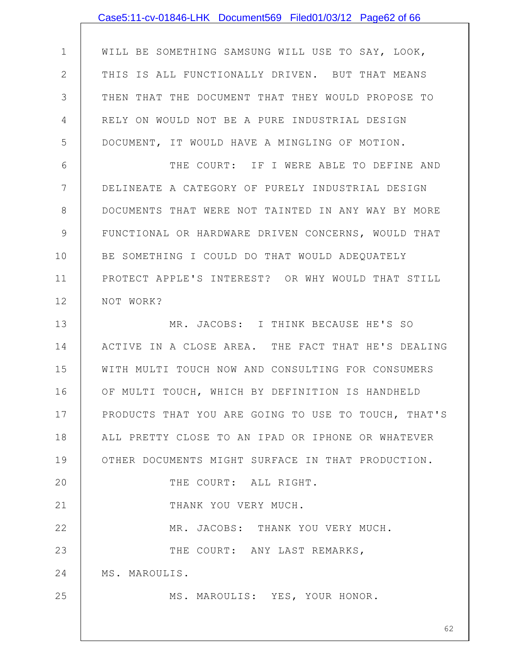|                | Case5:11-cv-01846-LHK Document569 Filed01/03/12 Page62 of 66 |
|----------------|--------------------------------------------------------------|
|                |                                                              |
| $\mathbf 1$    | WILL BE SOMETHING SAMSUNG WILL USE TO SAY, LOOK,             |
| $\mathbf{2}$   | THIS IS ALL FUNCTIONALLY DRIVEN. BUT THAT MEANS              |
| 3              | THEN THAT THE DOCUMENT THAT THEY WOULD PROPOSE TO            |
| 4              | RELY ON WOULD NOT BE A PURE INDUSTRIAL DESIGN                |
| 5              | DOCUMENT, IT WOULD HAVE A MINGLING OF MOTION.                |
| 6              | THE COURT: IF I WERE ABLE TO DEFINE AND                      |
| $7\phantom{.}$ | DELINEATE A CATEGORY OF PURELY INDUSTRIAL DESIGN             |
| 8              | DOCUMENTS THAT WERE NOT TAINTED IN ANY WAY BY MORE           |
| $\mathcal{G}$  | FUNCTIONAL OR HARDWARE DRIVEN CONCERNS, WOULD THAT           |
| 10             | BE SOMETHING I COULD DO THAT WOULD ADEQUATELY                |
| 11             | PROTECT APPLE'S INTEREST? OR WHY WOULD THAT STILL            |
| 12             | NOT WORK?                                                    |
| 13             | MR. JACOBS: I THINK BECAUSE HE'S SO                          |
| 14             | ACTIVE IN A CLOSE AREA. THE FACT THAT HE'S DEALING           |
| 15             | WITH MULTI TOUCH NOW AND CONSULTING FOR CONSUMERS            |
| 16             | OF MULTI TOUCH, WHICH BY DEFINITION IS HANDHELD              |
| 17             | PRODUCTS THAT YOU ARE GOING TO USE TO TOUCH, THAT'S          |
| 18             | ALL PRETTY CLOSE TO AN IPAD OR IPHONE OR WHATEVER            |
| 19             | OTHER DOCUMENTS MIGHT SURFACE IN THAT PRODUCTION.            |
| 20             | THE COURT: ALL RIGHT.                                        |
| 21             | THANK YOU VERY MUCH.                                         |
| 22             | MR. JACOBS: THANK YOU VERY MUCH.                             |
| 23             | THE COURT: ANY LAST REMARKS,                                 |
| 24             | MS. MAROULIS.                                                |
| 25             | MS. MAROULIS: YES, YOUR HONOR.                               |
|                | 62                                                           |
|                |                                                              |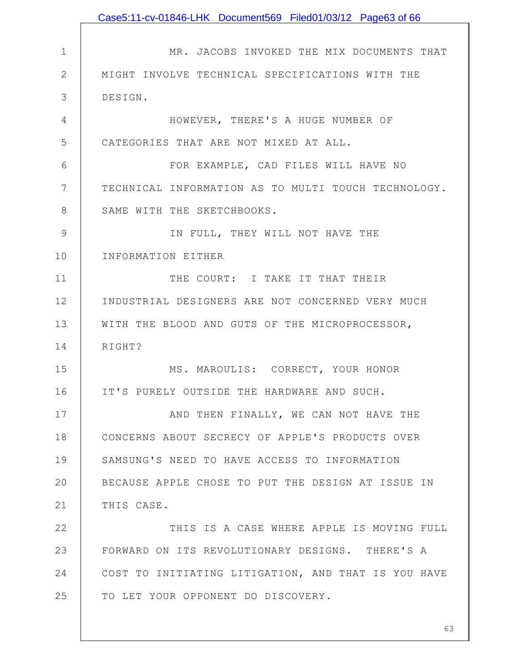|              | Case5:11-cv-01846-LHK Document569 Filed01/03/12 Page63 of 66 |
|--------------|--------------------------------------------------------------|
|              |                                                              |
| $\mathbf 1$  | MR. JACOBS INVOKED THE MIX DOCUMENTS THAT                    |
| $\mathbf{2}$ | MIGHT INVOLVE TECHNICAL SPECIFICATIONS WITH THE              |
| 3            | DESIGN.                                                      |
| 4            | HOWEVER, THERE'S A HUGE NUMBER OF                            |
| 5            | CATEGORIES THAT ARE NOT MIXED AT ALL.                        |
| 6            | FOR EXAMPLE, CAD FILES WILL HAVE NO                          |
| 7            | TECHNICAL INFORMATION AS TO MULTI TOUCH TECHNOLOGY.          |
| 8            | SAME WITH THE SKETCHBOOKS.                                   |
| 9            | IN FULL, THEY WILL NOT HAVE THE                              |
| 10           | INFORMATION EITHER                                           |
| 11           | THE COURT: I TAKE IT THAT THEIR                              |
| 12           | INDUSTRIAL DESIGNERS ARE NOT CONCERNED VERY MUCH             |
| 13           | WITH THE BLOOD AND GUTS OF THE MICROPROCESSOR,               |
| 14           | RIGHT?                                                       |
| 15           | MS. MAROULIS: CORRECT, YOUR HONOR                            |
| 16           | IT'S PURELY OUTSIDE THE HARDWARE AND SUCH.                   |
| 17           | AND THEN FINALLY, WE CAN NOT HAVE THE                        |
| 18           | CONCERNS ABOUT SECRECY OF APPLE'S PRODUCTS OVER              |
| 19           | SAMSUNG'S NEED TO HAVE ACCESS TO INFORMATION                 |
| 20           | BECAUSE APPLE CHOSE TO PUT THE DESIGN AT ISSUE IN            |
| 21           | THIS CASE.                                                   |
| 22           | THIS IS A CASE WHERE APPLE IS MOVING FULL                    |
| 23           | FORWARD ON ITS REVOLUTIONARY DESIGNS. THERE'S A              |
| 24           | COST TO INITIATING LITIGATION, AND THAT IS YOU HAVE          |
| 25           | TO LET YOUR OPPONENT DO DISCOVERY.                           |
|              |                                                              |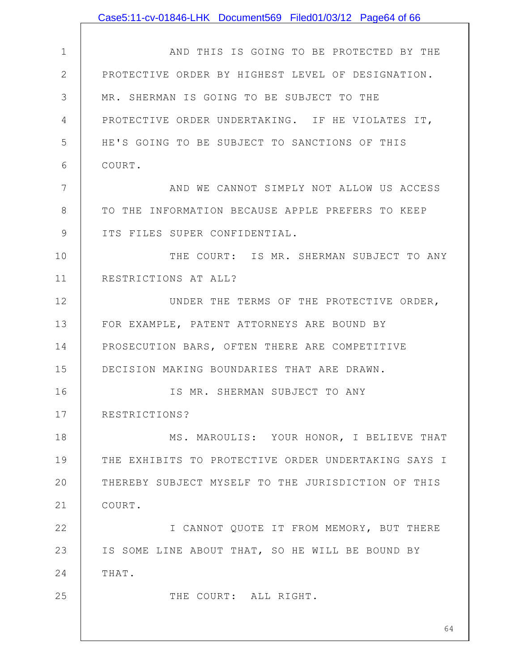|               | Case5:11-cv-01846-LHK Document569 Filed01/03/12 Page64 of 66 |
|---------------|--------------------------------------------------------------|
|               |                                                              |
| $\mathbf 1$   | AND THIS IS GOING TO BE PROTECTED BY THE                     |
| $\mathbf{2}$  | PROTECTIVE ORDER BY HIGHEST LEVEL OF DESIGNATION.            |
| 3             | MR. SHERMAN IS GOING TO BE SUBJECT TO THE                    |
| 4             | PROTECTIVE ORDER UNDERTAKING. IF HE VIOLATES IT,             |
| 5             | HE'S GOING TO BE SUBJECT TO SANCTIONS OF THIS                |
| 6             | COURT.                                                       |
| 7             | AND WE CANNOT SIMPLY NOT ALLOW US ACCESS                     |
| 8             | TO THE INFORMATION BECAUSE APPLE PREFERS TO KEEP             |
| $\mathcal{G}$ | ITS FILES SUPER CONFIDENTIAL.                                |
| 10            | THE COURT: IS MR. SHERMAN SUBJECT TO ANY                     |
| 11            | RESTRICTIONS AT ALL?                                         |
| 12            | UNDER THE TERMS OF THE PROTECTIVE ORDER,                     |
| 13            | FOR EXAMPLE, PATENT ATTORNEYS ARE BOUND BY                   |
| 14            | PROSECUTION BARS, OFTEN THERE ARE COMPETITIVE                |
| 15            | DECISION MAKING BOUNDARIES THAT ARE DRAWN.                   |
| 16            | IS MR. SHERMAN SUBJECT TO ANY                                |
| 17            | RESTRICTIONS?                                                |
| 18            | MS. MAROULIS: YOUR HONOR, I BELIEVE THAT                     |
| 19            | THE EXHIBITS TO PROTECTIVE ORDER UNDERTAKING SAYS I          |
| 20            | THEREBY SUBJECT MYSELF TO THE JURISDICTION OF THIS           |
| 21            | COURT.                                                       |
| 22            | I CANNOT QUOTE IT FROM MEMORY, BUT THERE                     |
| 23            | IS SOME LINE ABOUT THAT, SO HE WILL BE BOUND BY              |
| 24            | THAT.                                                        |
| 25            | THE COURT: ALL RIGHT.                                        |
|               | 64                                                           |
|               |                                                              |

 $\mathsf{I}$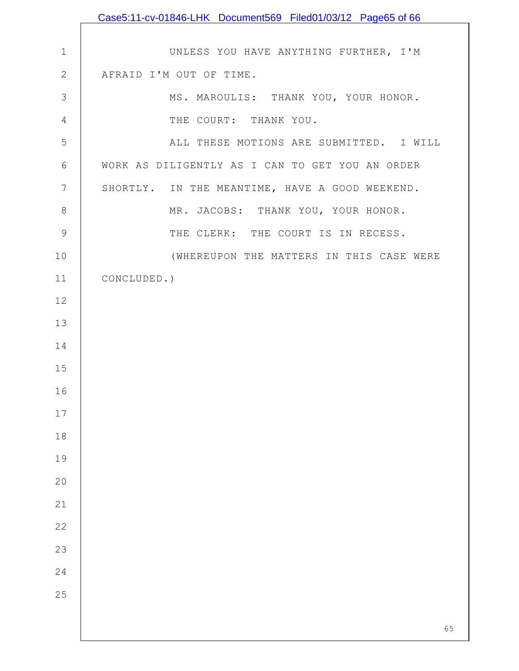|              | Case5:11-cv-01846-LHK Document569 Filed01/03/12 Page65 of 66 |
|--------------|--------------------------------------------------------------|
|              |                                                              |
| $\mathbf 1$  | UNLESS YOU HAVE ANYTHING FURTHER, I'M                        |
| $\mathbf{2}$ | AFRAID I'M OUT OF TIME.                                      |
| 3            | MS. MAROULIS: THANK YOU, YOUR HONOR.                         |
| 4            | THE COURT: THANK YOU.                                        |
| 5            | ALL THESE MOTIONS ARE SUBMITTED. I WILL                      |
| 6            | WORK AS DILIGENTLY AS I CAN TO GET YOU AN ORDER              |
| 7            | SHORTLY. IN THE MEANTIME, HAVE A GOOD WEEKEND.               |
| $\,8\,$      | MR. JACOBS: THANK YOU, YOUR HONOR.                           |
| $\mathsf 9$  | THE CLERK: THE COURT IS IN RECESS.                           |
| 10           | (WHEREUPON THE MATTERS IN THIS CASE WERE                     |
| 11           | CONCLUDED.)                                                  |
| 12           |                                                              |
| 13           |                                                              |
| 14           |                                                              |
| 15           |                                                              |
| 16           |                                                              |
| $17$         |                                                              |
| 18           |                                                              |
| 19           |                                                              |
| 20           |                                                              |
| 21           |                                                              |
| 22           |                                                              |
| 23           |                                                              |
| 24           |                                                              |
| 25           |                                                              |
|              |                                                              |
|              | 65                                                           |

 $\mathsf{I}$